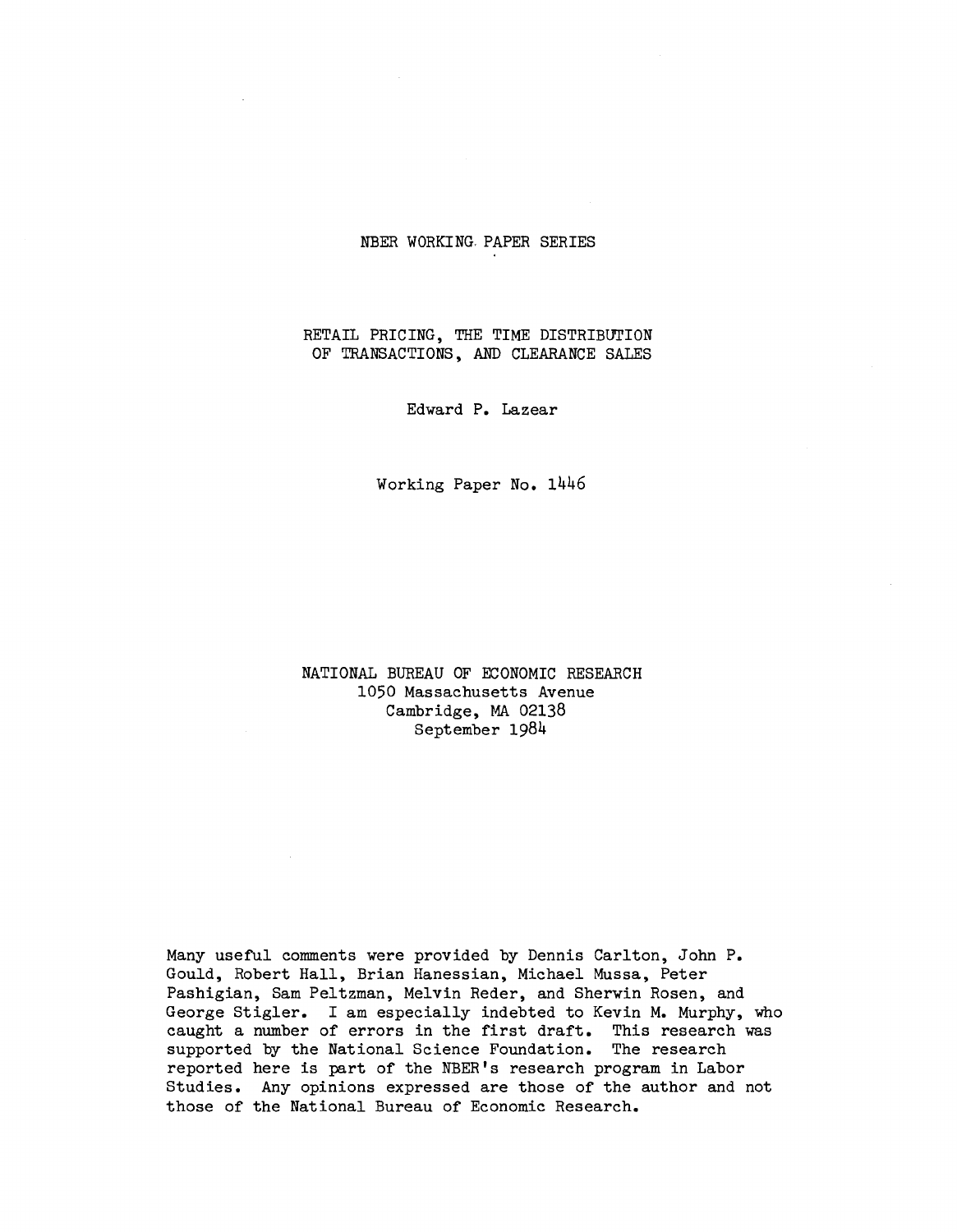# NBER WORKING. PAPER SERIES

# RETAIL PRICING, THE TIME DISTRIBUTION OF TRANSACTIONS, AND CLEARANCE SALES

Edward P. Lazear

Working Paper No. 1446

NATIONAL BUREAU OF ECONOMIC RESEARCH 1050 Massachusetts Avenue Cambridge, MA 02138 September 19814

Many useful comments were provided by Dennis Carlton, John P. Gould, Robert Hall, Brian Hanessian, Michael Mussa, Peter Pashigian, Sam Peltzman, Melvin Reder, and Sherwin Rosen, and George Stigler. I am especially indebted to Kevin M. Murphy, who caught a number of errors in the first draft. This research was supported by the National Science Foundation. The research reported here is part of the NBER's research program in Labor Studies. Any opinions expressed are those of the author and not those of the National Bureau of Economic Research.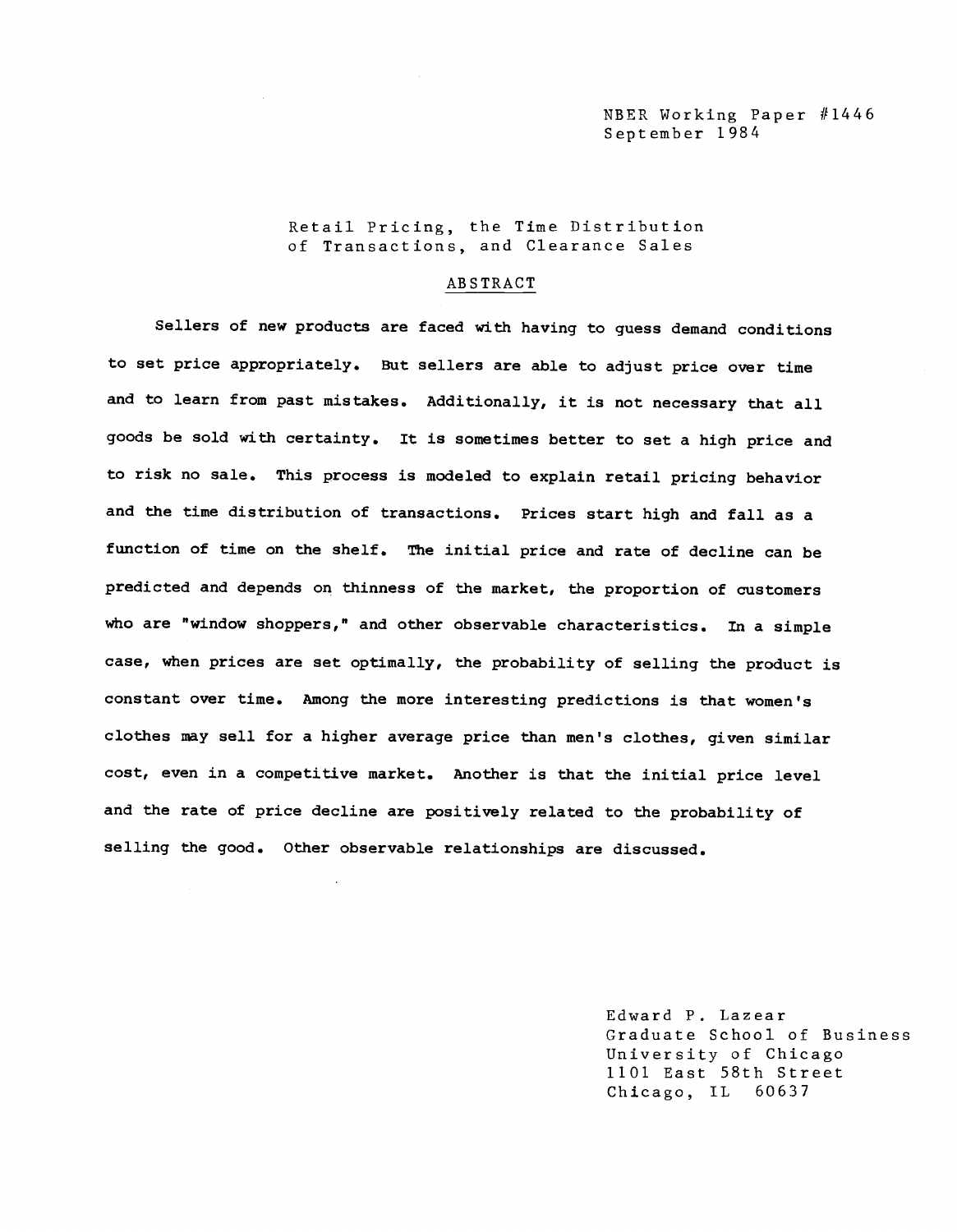Retail Pricing, the Time Distribution of Transactions, and Clearance Sales

#### ABSTRACT

Sellers of new products are faced with having to guess demand conditions to set price appropriately. But sellers are able to adjust price over time and to learn from past mistakes. Additionally, it is not necessary that all goods be sold with certainty. It is sometimes better to set a high price and to risk no sale. This process is modeled to explain retail pricing behavior and the time distribution of transactions. Prices start high and fall as a function of time on the shelf. The initial price and rate of decline can be predicted and depends on thinness of the market, the proportion of customers who are "window shoppers," and other observable characteristics. In a simple case, when prices are set optimally, the probability of selling the product is constant over time. Among the more interesting predictions is that women's clothes may sell for a higher average price than men's clothes, given similar cost, even in a competitive market. Another is that the initial price level and the rate of price decline are positively related to the probability of selling the good. Other observable relationships are discussed.

> Edward P. Lazear Graduate School of Business University of Chicago 1101 East 58th Street Chicago, IL 60637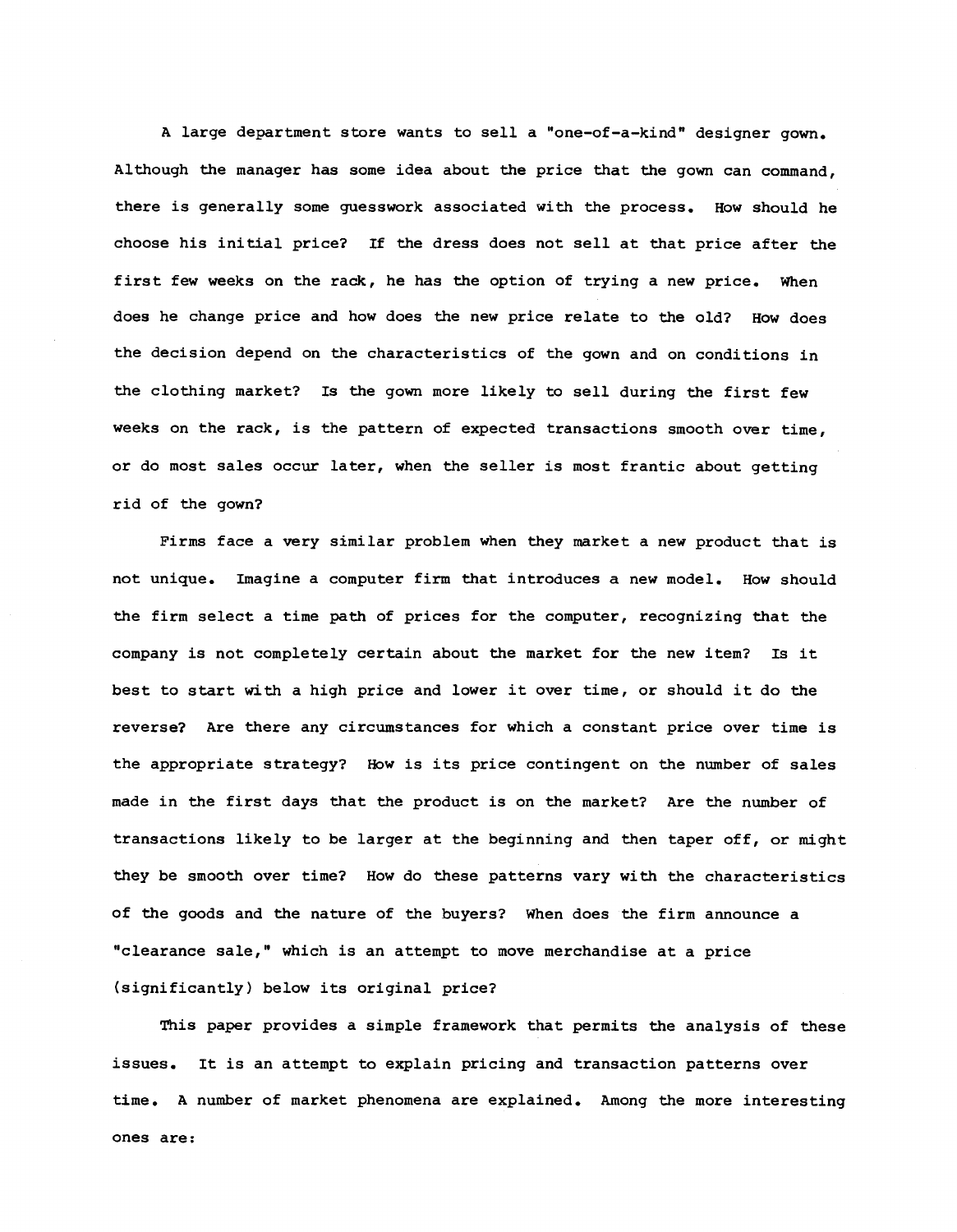A large department store wants to sell a "one-of-a-kind" designer gown. Although the manager has some idea about the price that the gown can command, there is generally some guesswork associated with the process. How should he choose his initial price? If the dress does not sell at that price after the first few weeks on the rack, he has the option of trying a new price, when does he change price and how does the new price relate to the old? How does the decision depend on the characteristics of the gown and on conditions in the clothing market? Is the gown more likely to sell during the first few weeks on the rack, is the pattern of expected transactions smooth over time, or do most sales occur later, when the seller is most frantic about getting rid of the gown?

Firms face a very similar problem when they market a new product that is not unique. Imagine a computer firm that introduces a new model. How should the firm select a time path of prices for the computer, recognizing that the company is not completely certain about the market for the new item? Is it best to start with a high price and lower it over time, or should it do the reverse? Are there any circumstances for which a constant price over time is the appropriate strategy? How is its price contingent on the number of sales made in the first days that the product is on the market? Are the number of transactions likely to be larger at the beginning and then taper off, or might they be smooth over time? How do these patterns vary with the characteristics of the goods and the nature of the buyers? When does the firm announce a "clearance sale," which is an attempt to move merchandise at a price (significantly) below its original price?

This paper provides a simple framework that permits the analysis of these issues. It is an attempt to explain pricing and transaction patterns over time. A number of market phenomena are explained. Among the more interesting ones are: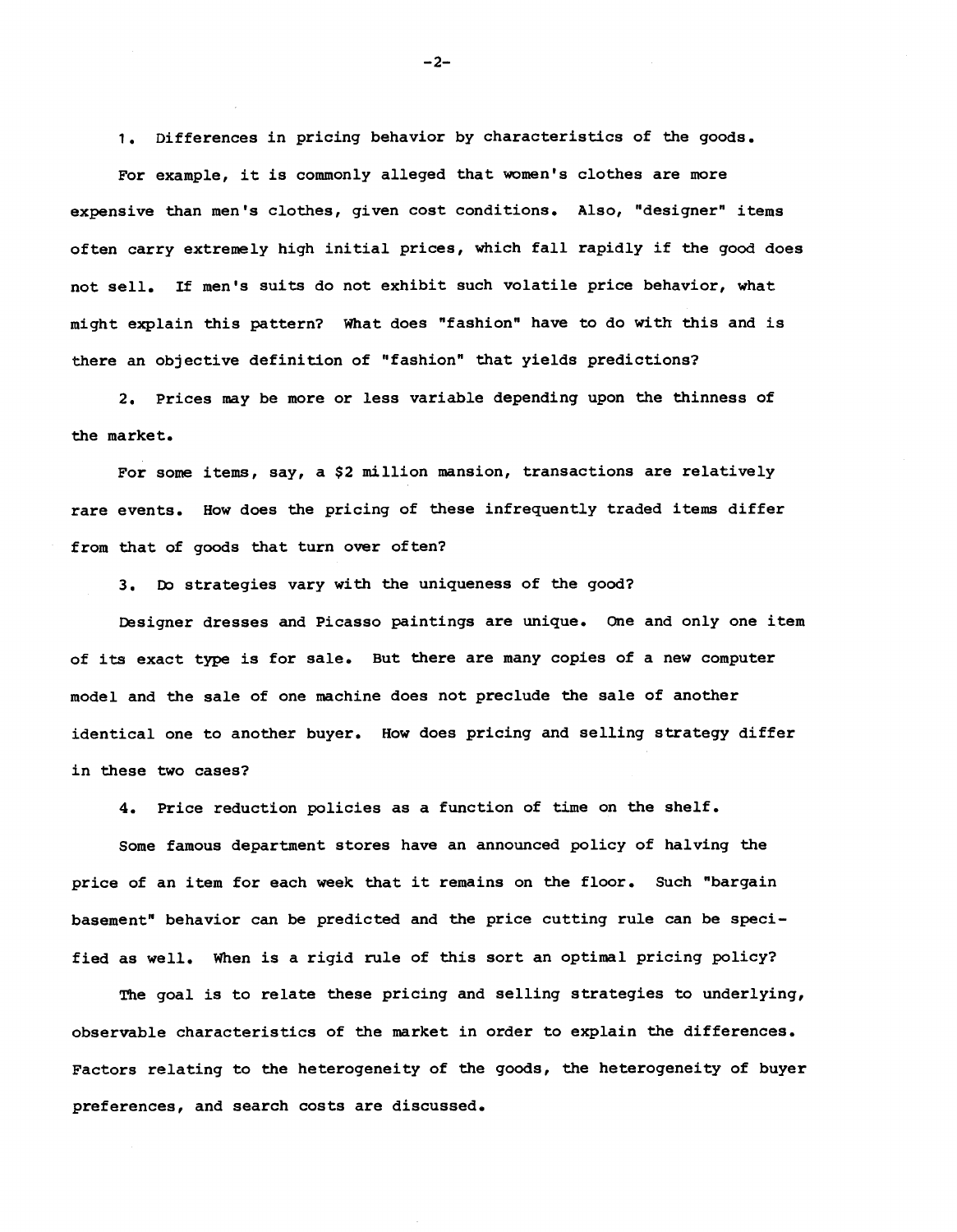1. Differences in pricing behavior by characteristics of the goods.

For example, it is commonly alleged that women's clothes are more expensive than men's clothes, given cost conditions. Also, "designer" items often carry extremely high initial prices, which fall rapidly if the good does not sell. If men's suits do not exhibit such volatile price behavior, what might explain this pattern? What does "fashion" have to do with this and is there an objective definition of "fashion" that yields predictions?

2. Prices may be more or less variable depending upon the thinness of the market.

For some items, say, a \$2 million mansion, transactions are relatively rare events. How does the pricing of these infrequently traded items differ from that of goods that turn over often?

3. Do strategies vary with the uniqueness of the good?

Designer dresses and Picasso paintings are unique. One and only one item of its exact type is for sale. But there are many copies of a new computer model and the sale of one machine does not preclude the sale of another identical one to another buyer. How does pricing and selling strategy differ in these two cases?

4. Price reduction policies as a function of time on the shelf.

Some famous department stores have an announced policy of halving the price of an item for each week that it remains on the floor. Such "bargain basement" behavior can be predicted and the price cutting rule can be specified as well. When is a rigid rule of this sort an optimal pricing policy?

The goal is to relate these pricing and selling strategies to underlying, observable characteristics of the market in order to explain the differences. Factors relating to the heterogeneity of the goods, the heterogeneity of buyer preferences, and search costs are discussed.

—2—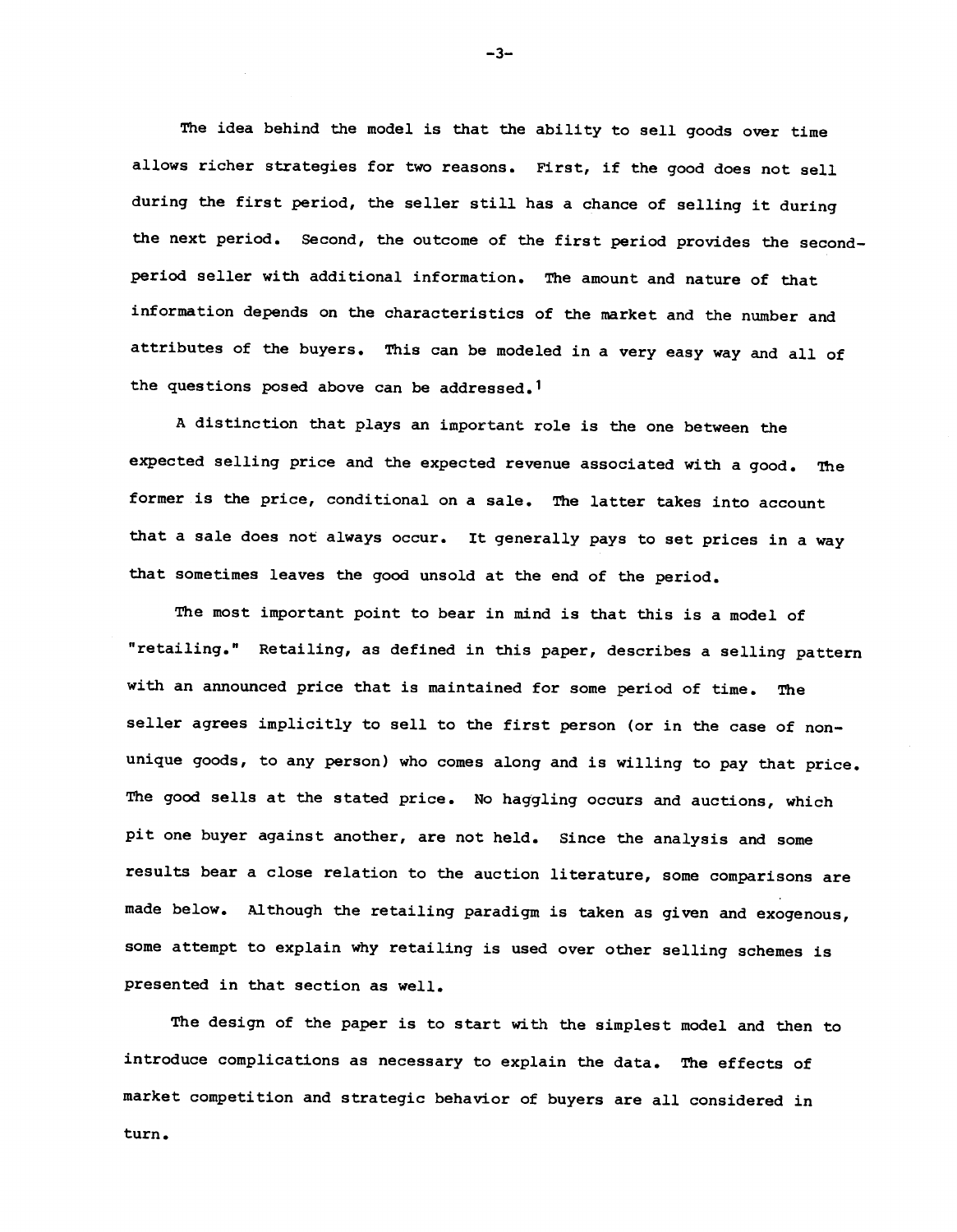The idea behind the model is that the ability to sell goods over time allows richer strategies for two reasons. First, if the good does not sell during the first period, the seller still has a chance of selling it during the next period. Second, the outcome of the first period provides the second period seller with additional information. The amount and nature of that information depends on the characteristics of the market and the number and attributes of the buyers. This can be modeled in a very easy way and all of the questions posed above can be addressed.1

A distinction that plays an important role is the one between the expected selling price and the expected revenue associated with a good. The former is the price, conditional on a sale. The latter takes into account that a sale does not always occur. It generally pays to set prices in a way that sometimes leaves the good unsold at the end of the period.

The most important point to bear in mind is that this is a model of "retailing." Retailing, as defined in this paper, describes a selling pattern with an announced price that is maintained for some period of time. The seller agrees implicitly to sell to the first person (or in the case of nonunique goods, to any person) who comes along and is willing to pay that price. The good sells at the stated price. No haggling occurs and auctions, which pit one buyer against another, are not held. Since the analysis and some results bear a close relation to the auction literature, some comparisons are made below. Although the retailing paradigm is taken as given and exogenous, some attempt to explain why retailing is used over other selling schemes is presented in that section as well.

The design of the paper is to start with the simplest model and then to introduce complications as necessary to explain the data. The effects of market competition and strategic behavior of buyers are all considered in turn.

—3—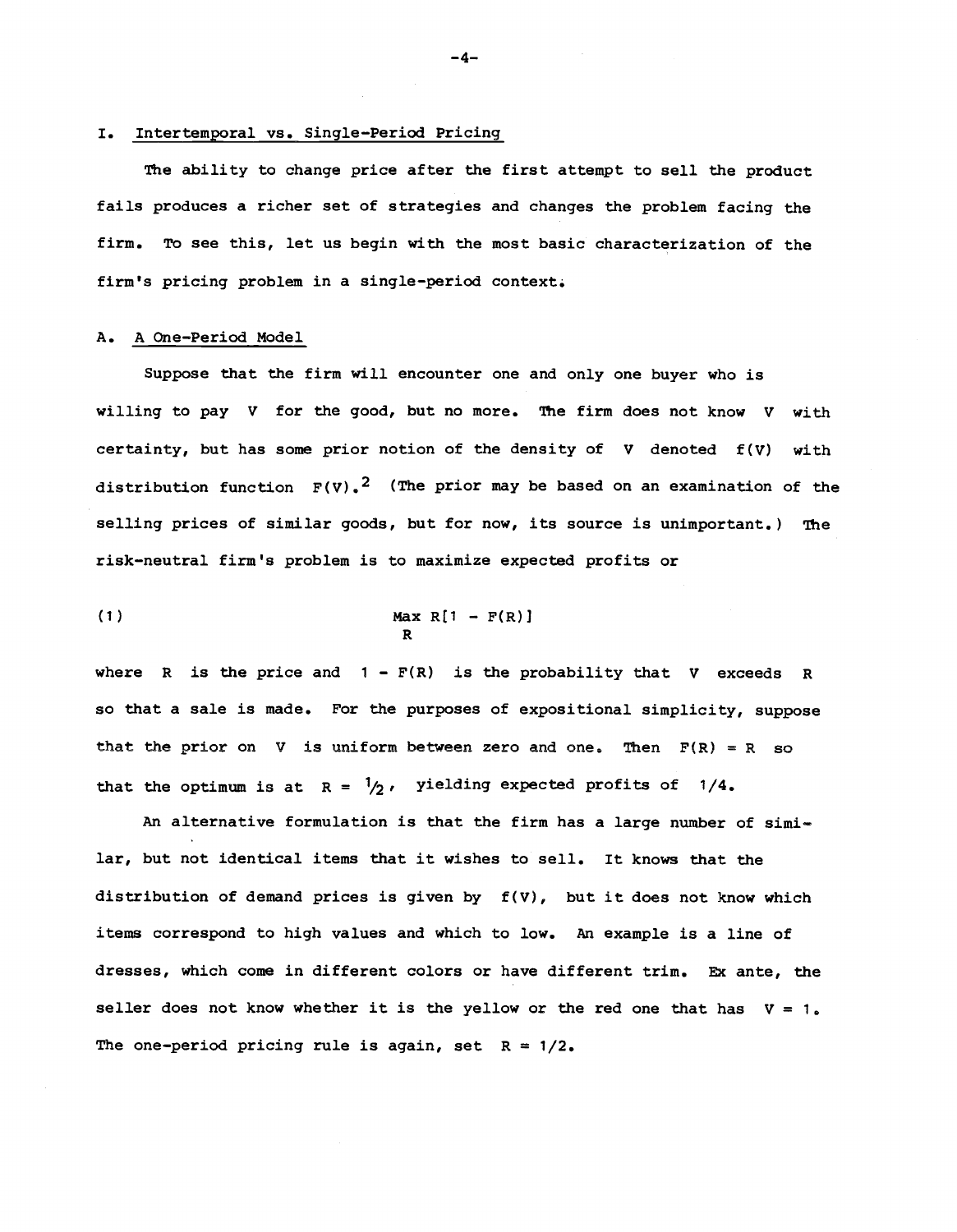#### I. Intertemporal vs. Single—Period Pricing

The ability to change price after the first attempt to sell the product fails produces a richer set of strategies and changes the problem facing the firm. To see this, let us begin with the most basic characterization of the firm's pricing problem in a single—period context.

### A. A One-Period Model

Suppose that the firm will encounter one and only one buyer who is willing to pay V for the good, but no more. The firm does not know V with certainty, but has some prior notion of the density of  $V$  denoted  $f(V)$  with distribution function  $F(V)$ .<sup>2</sup> (The prior may be based on an examination of the selling prices of similar goods, but for now, its source is unimportant.) The risk—neutral firm's problem is to maximize expected profits or

$$
\begin{array}{c}\n\text{Max R[1 - F(R)]} \\
\text{R}\n\end{array}
$$

where R is the price and  $1 - F(R)$  is the probability that V exceeds R so that a sale is made. For the purposes of expositional simplicity, suppose that the prior on V is uniform between zero and one. Then  $F(R) = R$  so that the optimum is at  $R = \frac{1}{2}$ , yielding expected profits of 1/4.

An alternative formulation is that the firm has a large number of similar, but not identical items that it wishes to sell. It knows that the distribution of demand prices is given by  $f(V)$ , but it does not know which items correspond to high values and which to low. An example is a line of dresses, which come in different colors or have different trim. Ex ante, the seller does not know whether it is the yellow or the red one that has  $V = 1$ . The one-period pricing rule is again, set  $R = 1/2$ .

—4—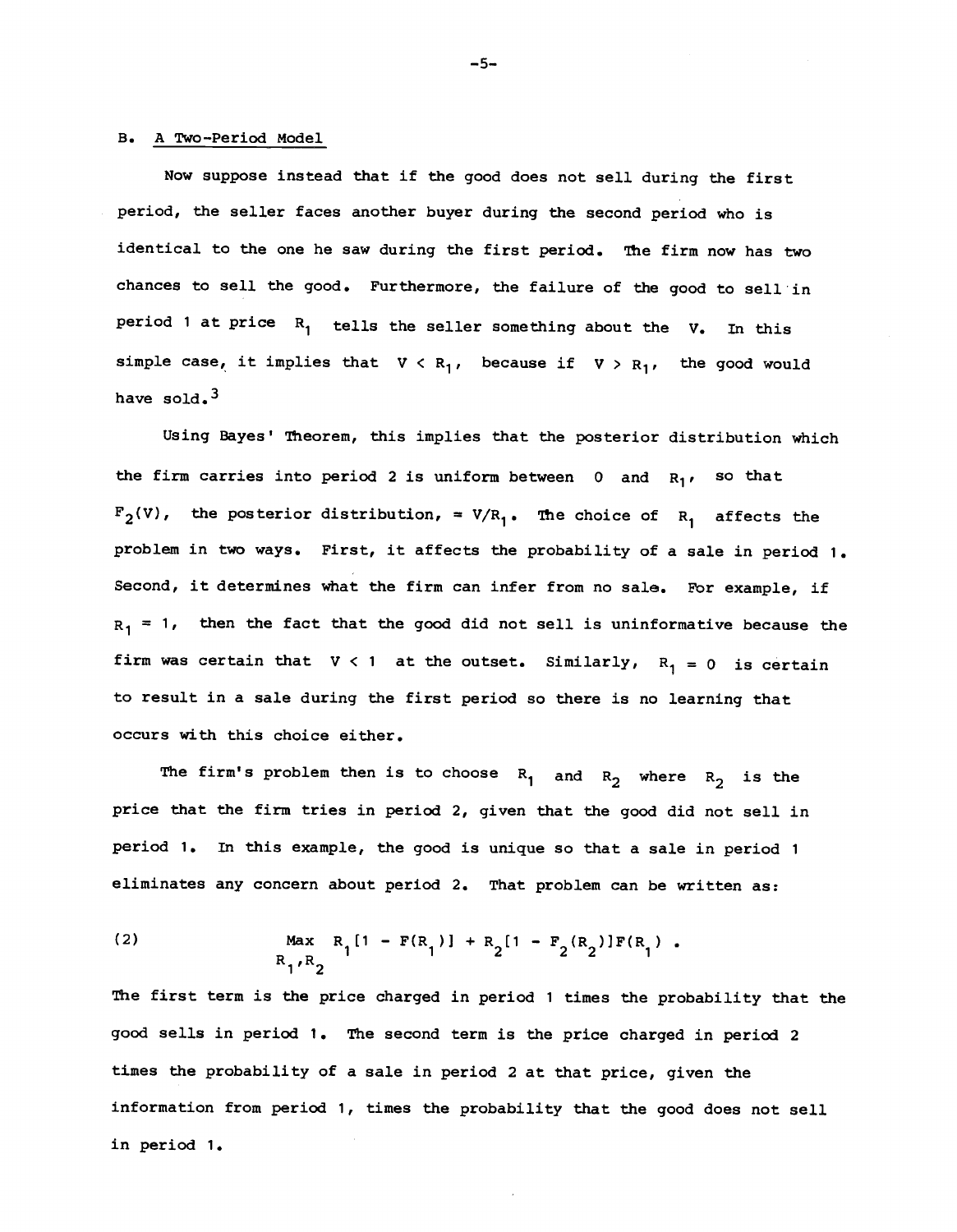# B. A Two-Period Model

Now suppose instead that if the good does not sell during the first period, the seller faces another buyer during the second period who is identical to the one he saw during the first period. The firm now has two chances to sell the good. Furthermore, the failure of the good to sell in period 1 at price  $R_1$  tells the seller something about the V. In this simple case, it implies that  $V \subset R_1$ , because if  $V > R_1$ , the good would have sold.<sup>3</sup>

Using Bayes' Theorem, this implies that the posterior distribution which the firm carries into period 2 is uniform between 0 and  $R_1$ , so that  $F_2(V)$ , the posterior distribution, =  $V/R_1$ . The choice of R, affects the problem in two ways. First, it affects the probability of a sale in period 1. Second, it determines what the firm can infer from no sale. For example, if  $R_1$  = 1, then the fact that the good did not sell is uninformative because the firm was certain that  $V < 1$  at the outset. Similarly,  $R_1 = 0$  is certain to result in a sale during the first period so there is no learning that occurs with this choice either.

The firm's problem then is to choose  $R_1$  and  $R_2$  where  $R_2$  is the price that the firm tries in period 2, given that the good did not sell in period 1. In this example, the good is unique so that a sale in period 1 eliminates any concern about period 2. That problem can be written as:

(2) 
$$
\operatorname{Max}_{R_1, R_2} R_1[1 - F(R_1)] + R_2[1 - F_2(R_2)]F(R_1).
$$

The first term is the price charged in period 1 times the probability that the good sells in period 1. The second term is the price charged in period 2 times the probability of a sale in period 2 at that price, given the information from period 1, times the probability that the good does not sell in period 1.

—5-.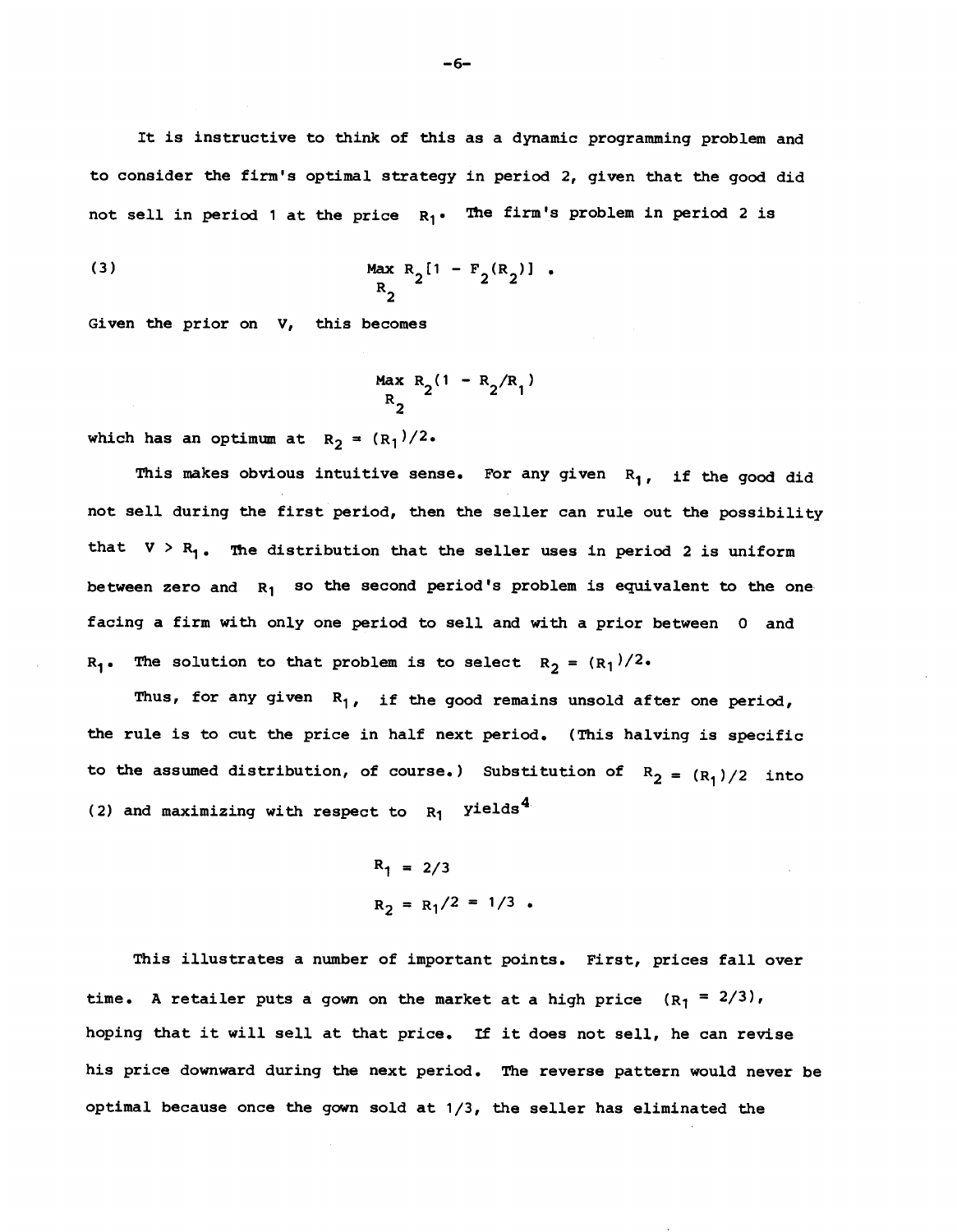It is instructive to think of this as a dynamic programming problem and to consider the firm's optimal strategy in period 2, given that the good did not sell in period 1 at the price  $R_1$ . The firm's problem in period 2 is

(3) 
$$
\frac{\text{Max } R_2[1 - F_2(R_2)]}{R_2}.
$$

Given the prior on V, this becomes

$$
R_2^{Max R_2(1 - R_2/R_1)}
$$

which has an optimum at  $R_2 = (R_1)/2$ .

This makes obvious intuitive sense. For any given  $R_1$ , if the good did not sell during the first period, then the seller can rule out the possibility that  $V > R_1$ . The distribution that the seller uses in period 2 is uniform between zero and  $R_1$  so the second period's problem is equivalent to the one facing a firm with only one period to sell and with a prior between 0 and  $R_1$ . The solution to that problem is to select  $R_2 = (R_1)/2$ .

Thus, for any given  $R_1$ , if the good remains unsold after one period, the rule is to cut the price in half next period. (This halving is specific to the assumed distribution, of course.) Substitution of  $R_2 = (R_1)/2$  into (2) and maximizing with respect to  $R_1$  yields<sup>4</sup>

$$
R_1 = 2/3
$$
  

$$
R_2 = R_1/2 = 1/3
$$

This illustrates a number of important points, First, prices fall over time. A retailer puts a gown on the market at a high price  $(R_1 = 2/3)$ , hoping that it will sell at that price. If it does not sell, he can revise his price downward during the next period. The reverse pattern would never be optimal because once the gown sold at 1/3, the seller has eliminated the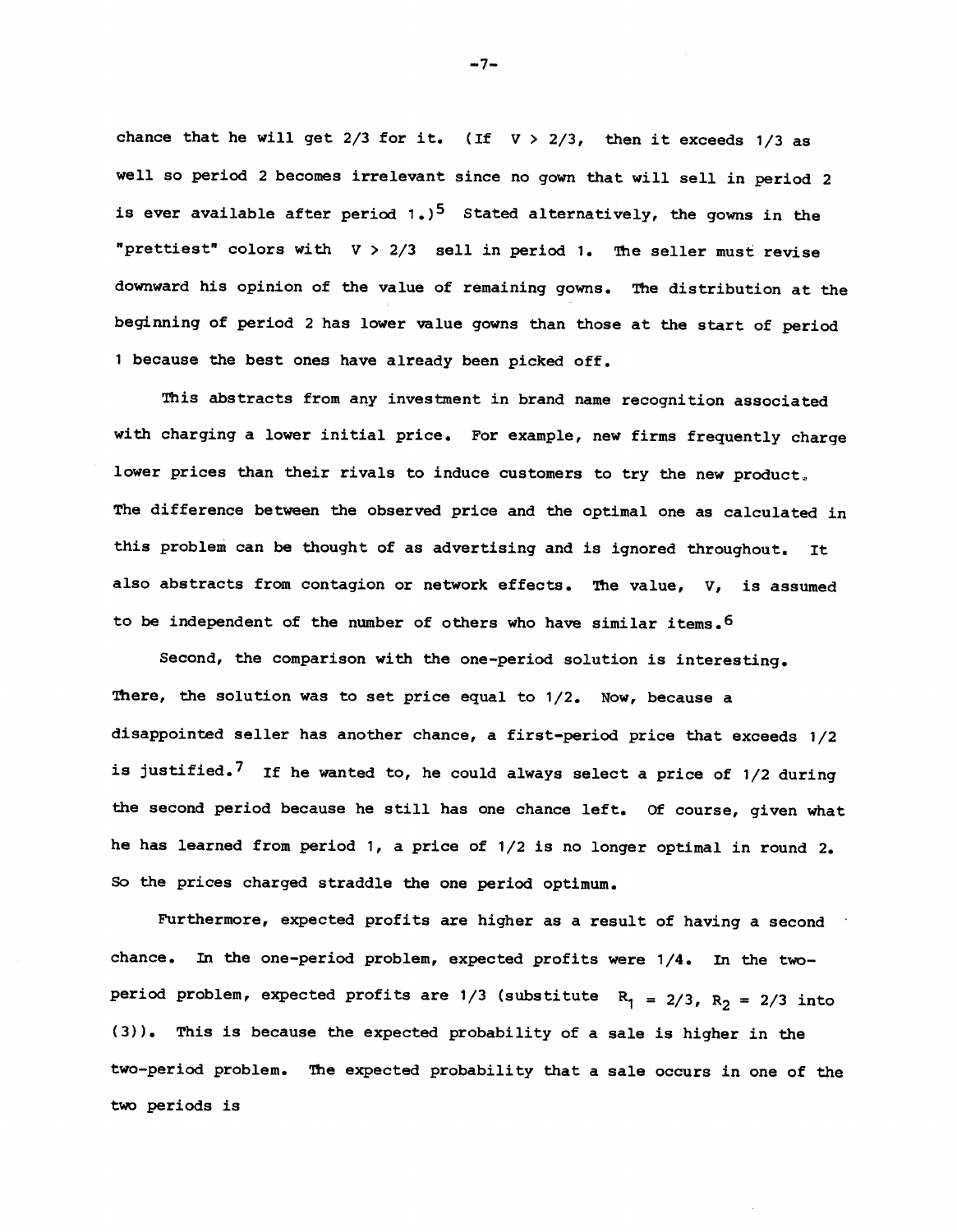chance that he will get  $2/3$  for it. (If  $V > 2/3$ , then it exceeds  $1/3$  as well so period 2 becomes irrelevant since no gown that will sell in period 2 is ever available after period  $1.$ )<sup>5</sup> Stated alternatively, the gowns in the "prettiest" colors with  $V > 2/3$  sell in period 1. The seller must revise downward his opinion of the value of remaining gowns. The distribution at the beginning of period 2 has lower value gowns than those at the start of period <sup>1</sup> because the best ones have already been picked off.

This abstracts from any investment in brand name recognition associated with charging a lower initial price. For example, new firms frequently charge lower prices than their rivals to induce customers to try the new product. The difference between the observed price and the optimal one as calculated in this problem can be thought of as advertising and is ignored throughout. It also abstracts from contagion or network effects. The value, V, is assumed to be independent of the number of others who have similar items.6

Second, the comparison with the one—period solution is interesting. There, the solution was to set price equal to 1/2. Now, because a disappointed seller has another chance, a first—period price that exceeds 1/2 is justified.<sup>7</sup> If he wanted to, he could always select a price of  $1/2$  during the second period because he still has one chance left. Of course, given what he has learned from period 1, a price of 1/2 is no longer optimal in round 2. So the prices charged straddle the one period optimum.

Furthermore, expected profits are higher as a result of having a second chance. In the one-period problem, expected profits were 1/4. In the twoperiod problem, expected profits are 1/3 (substitute  $R_1 = 2/3$ ,  $R_2 = 2/3$  into (3)). This is because the expected probability of a sale is higher in the two—period problem. The expected probability that a sale occurs in one of the two periods is

—7—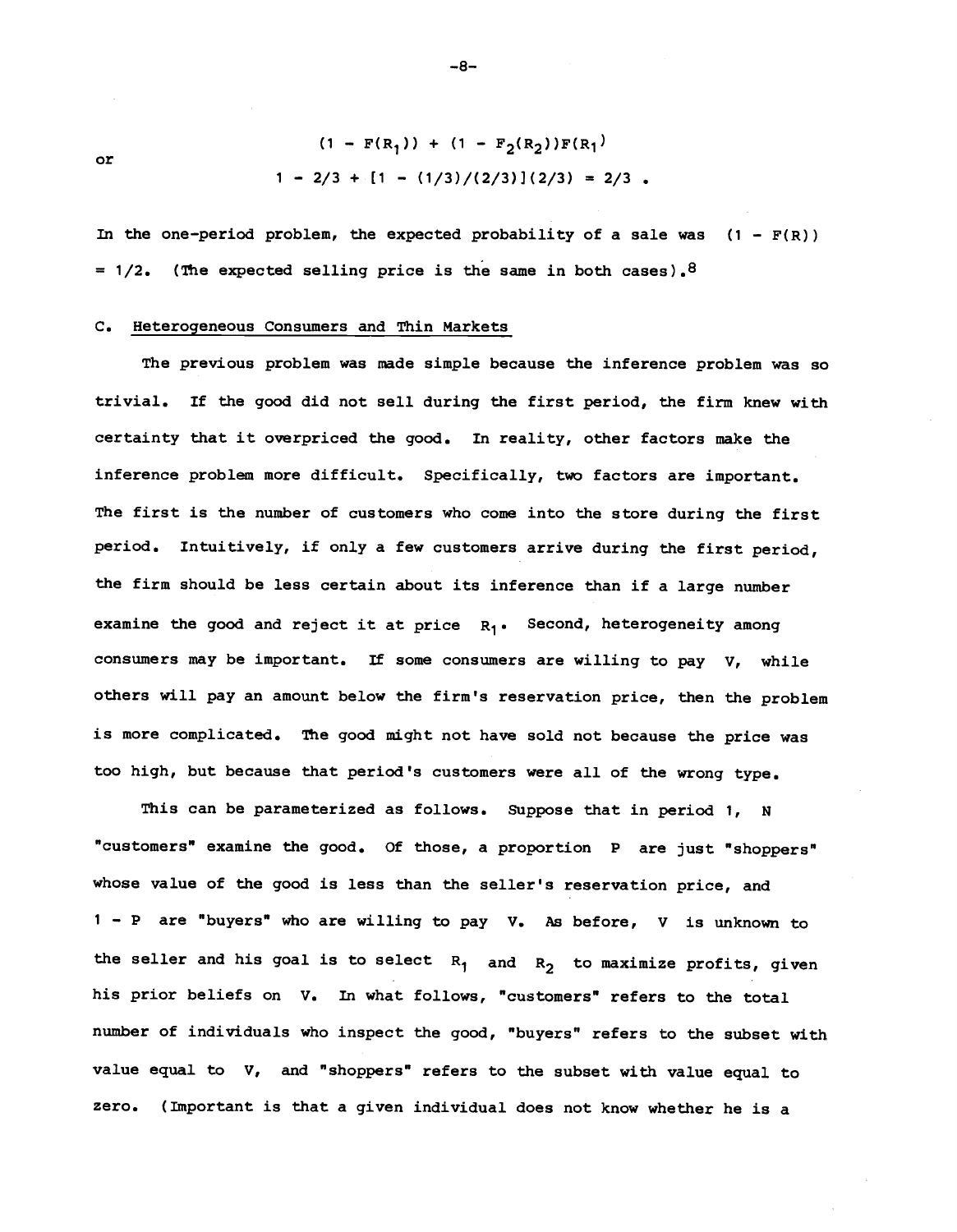or

$$
(1 - F(R_1)) + (1 - F_2(R_2))F(R_1)
$$
  
1 - 2/3 + [1 - (1/3)/(2/3)](2/3) = 2/3.

In the one-period problem, the expected probability of a sale was  $(1 - F(R))$ =  $1/2$ . (The expected selling price is the same in both cases).<sup>8</sup>

# C. Heterogeneous Consumers and Thin Markets

The previous problem was made simple because the inference problem was so trivial. If the good did not sell during the first period, the firm knew with certainty that it overpriced the good. In reality, other factors make the inference problem more difficult. Specifically, two factors are important. The first is the number of customers who come into the store during the first period. Intuitively, if only a few customers arrive during the first period, the firm should be less certain about its inference than if a large number examine the good and reject it at price  $R_1$ . Second, heterogeneity among consumers may be important. If some consumers are willing to pay V, while others will pay an amount below the firm's reservation price, then the problem is more complicated. The good might not have sold not because the price was too high, but because that period's customers were all of the wrong type.

This can be parameterized as follows. Suppose that in period 1, <sup>N</sup> "customers" examine the good. Of those, a proportion P are just "shoppers" whose value of the good is less than the seller's reservation price, and 1 - P are "buyers" who are willing to pay V. As before, v is unknown to the seller and his goal is to select  $R_1$  and  $R_2$  to maximize profits, given his prior beliefs on V. In what follows, "customers" refers to the total number of individuals who inspect the good, "buyers" refers to the subset with value equal to V, and "shoppers" refers to the subset with value equal to zero. (Important is that a given individual does not know whether he is a

—8—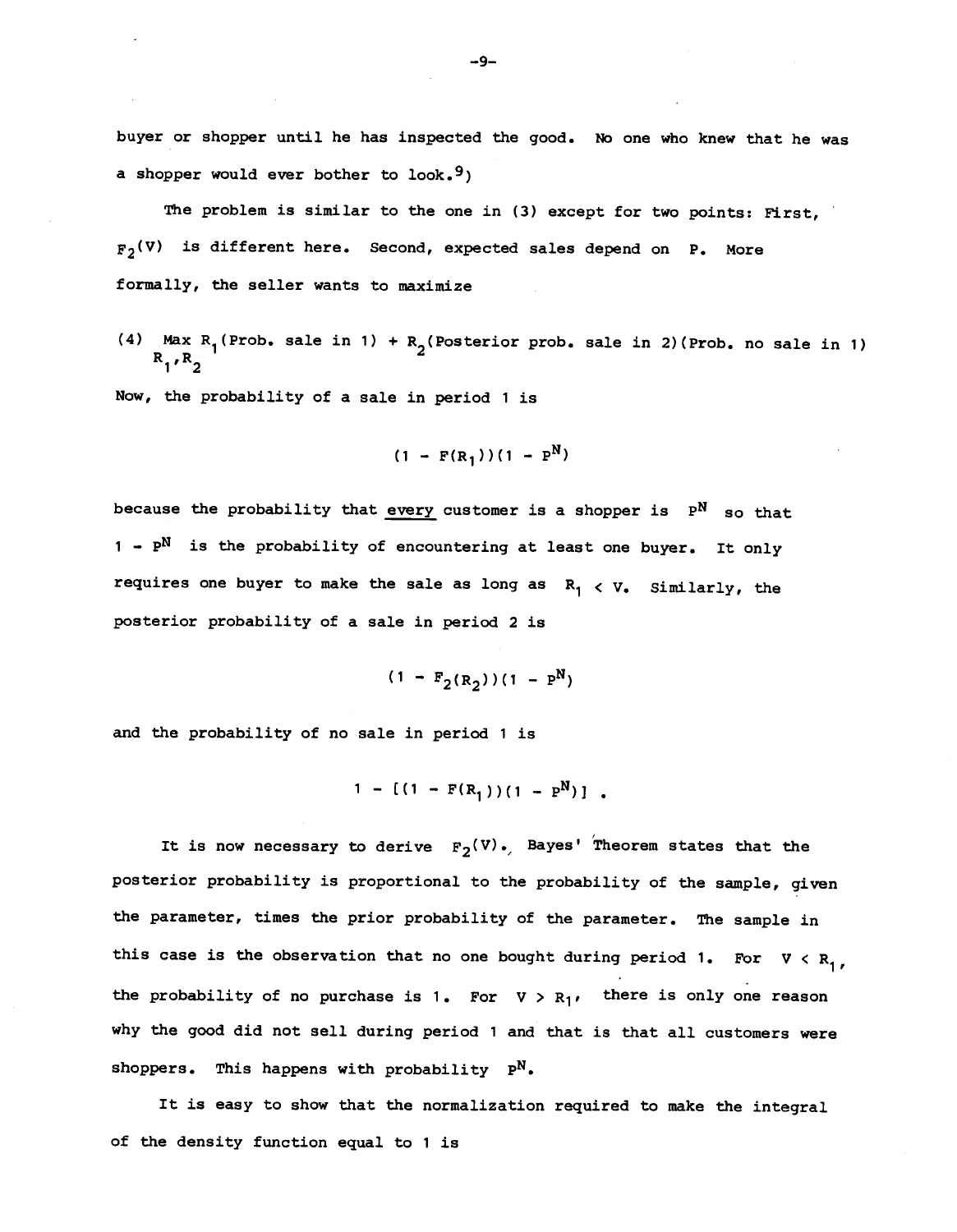buyer or shopper until he has inspected the good. No one who knew that he was a shopper would ever bother to look.<sup>9</sup>)

The problem is similar to the one in (3) except for two points: First,  $F_2(V)$  is different here. Second, expected sales depend on P. More formally, the seller wants to maximize

(4) Max R<sub>1</sub>(Prob. sale in 1) + R<sub>2</sub>(Posterior prob. sale in 2)(Prob. no sale in 1)  $R_1, R_2$ 

Now, the probability of a sale in period 1 is

$$
(1 - F(R_1))(1 - P^N)
$$

because the probability that every customer is a shopper is  $P^N$  so that  $1$  -  $P^N$  is the probability of encountering at least one buyer. It only requires one buyer to make the sale as long as  $R_1 \lt V$ . Similarly, the posterior probability of a sale in period 2 is

$$
(1 - F_2(R_2))(1 - P^N)
$$

and the probability of no sale in period 1 is

$$
1 - [(1 - F(R_1))(1 - P^N)]
$$

It is now necessary to derive  $F_2(V)$ . Bayes' Theorem states that the posterior probability is proportional to the probability of the sample, given the parameter, times the prior probability of the parameter. The sample in this case is the observation that no one bought during period 1. For V < R<sub>1</sub>, the probability of no purchase is 1. For  $V > R_1$ , there is only one reason why the good did not sell during period 1 and that is that all customers were shoppers. This happens with probability  $P^N$ .

It is easy to show that the normalization required to make the integral of the density function equal to 1 is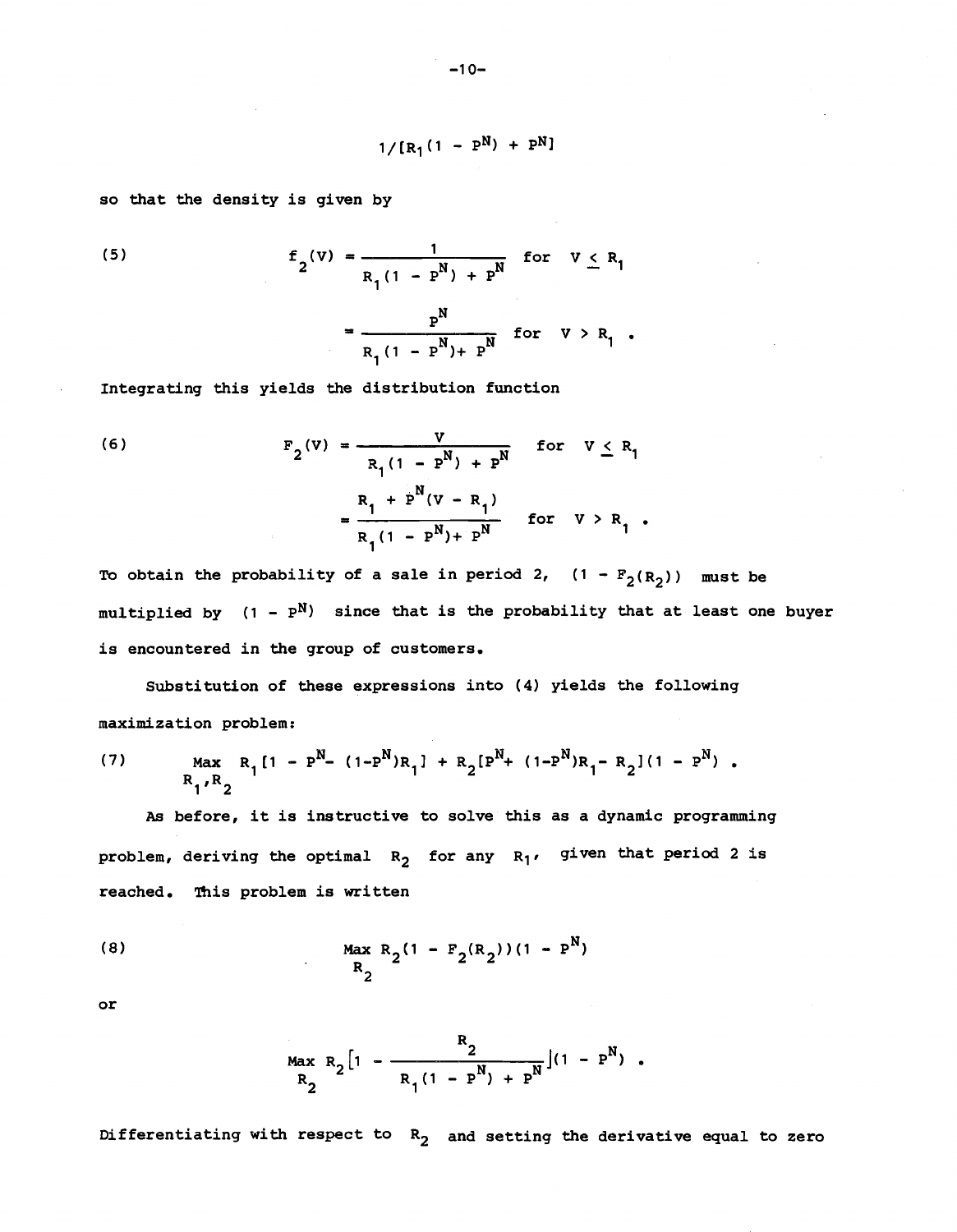$$
1/[R_1(1 - P^N) + P^N]
$$

so that the density is given by

(5) 
$$
f_2(v) = \frac{1}{R_1(1 - P^N) + P^N}
$$
 for  $v \le R_1$   

$$
= \frac{P^N}{R_1(1 - P^N) + P^N}
$$
 for  $v > R_1$ .

Integrating this yields the distribution function

(6) 
$$
F_2(V) = \frac{V}{R_1(1 - P^N) + P^N} \quad \text{for } V \le R_1
$$

$$
= \frac{R_1 + P^N(V - R_1)}{R_1(1 - P^N) + P^N} \quad \text{for } V > R_1.
$$

To obtain the probability of a sale in period 2,  $(1 - F_2(R_2))$  must be multiplied by  $(1 - P^N)$  since that is the probability that at least one buyer is encountered in the group of customers.

Substitution of these expressions into (4) yields the following maximization problem:

(7) Max 
$$
R_1[1 - P^N - (1 - P^N)R_1] + R_2[P^N + (1 - P^N)R_1 - R_2](1 - P^N)
$$
.

As before, it is instructive to solve this as a dynamic programming problem, deriving the optimal  $R_2$  for any  $R_1$ , given that period 2 is reached. This problem is written

(8) Max 
$$
R_2(1 - F_2(R_2))(1 - P^N)
$$
  
 $R_2$ 

or

$$
\max_{R_2} R_2 \left[ 1 - \frac{R_2}{R_1 (1 - P^N) + P^N} \right] (1 - P^N) .
$$

Differentiating with respect to  $R_2$  and setting the derivative equal to zero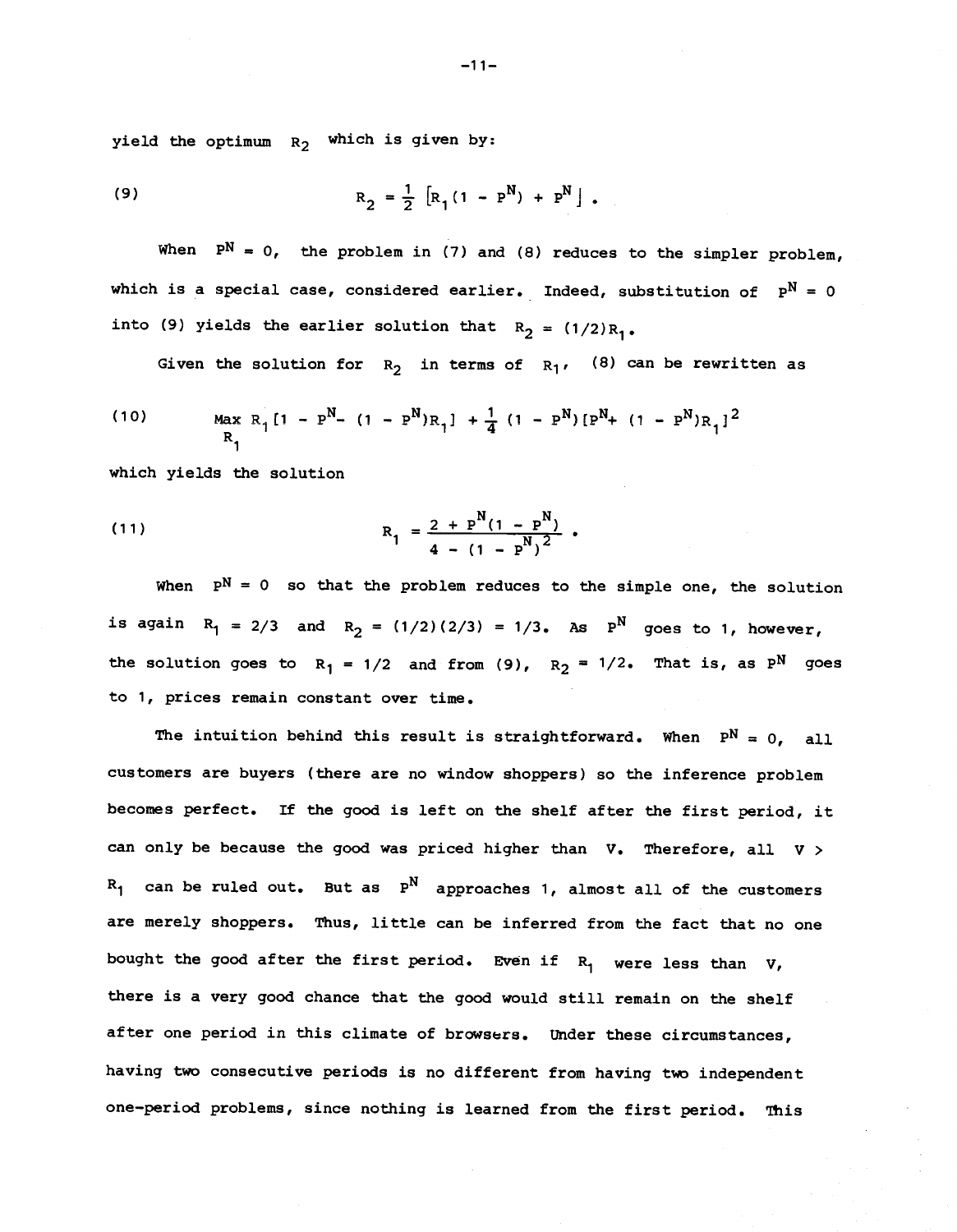yield the optimum  $R_2$  which is given by:

(9) 
$$
R_2 = \frac{1}{2} [R_1(1 - P^N) + P^N]
$$
.

When  $P^N = 0$ , the problem in (7) and (8) reduces to the simpler problem, which is a special case, considered earlier. Indeed, substitution of  $\mathbb{P}^\mathbf{N} \,=\, 0$ into (9) yields the earlier solution that  $R_2 = (1/2)R_1$ .

Given the solution for  $R_2$  in terms of  $R_1$ , (8) can be rewritten as

(10) 
$$
\max_{R_1} R_1[1 - P^N - (1 - P^N)R_1] + \frac{1}{4} (1 - P^N) [P^N + (1 - P^N)R_1]^2
$$

which yields the solution

(11) 
$$
R_1 = \frac{2 + P^{N}(1 - P^{N})}{4 - (1 - P^{N})^{2}}.
$$

When  $P^N = 0$  so that the problem reduces to the simple one, the solution is again  $R_1 = 2/3$  and  $R_2 = (1/2)(2/3) = 1/3$ . As  $P^N$  goes to 1, however, the solution goes to  $R_1 = 1/2$  and from (9),  $R_2 = 1/2$ . That is, as P<sup>N</sup> goes to 1, prices remain constant over time.

The intuition behind this result is straightforward. When  $P^N = 0$ , all customers are buyers (there are no window shoppers) so the inference problem becomes perfect. If the good is left on the shelf after the first period, it can only be because the good was priced higher than  $V$ . Therefore, all  $V >$  $R_1$  can be ruled out. But as  $P^N$  approaches 1, almost all of the customers are merely shoppers. Thus, little can be inferred from the fact that no one bought the good after the first period. Even if  $R_1$  were less than  $V$ , there is a very good chance that the good would still remain on the shelf after one period in this climate of browsers. Under these circumstances, having two consecutive periods is no different from having two independent one—period problems, since nothing is learned from the first period. This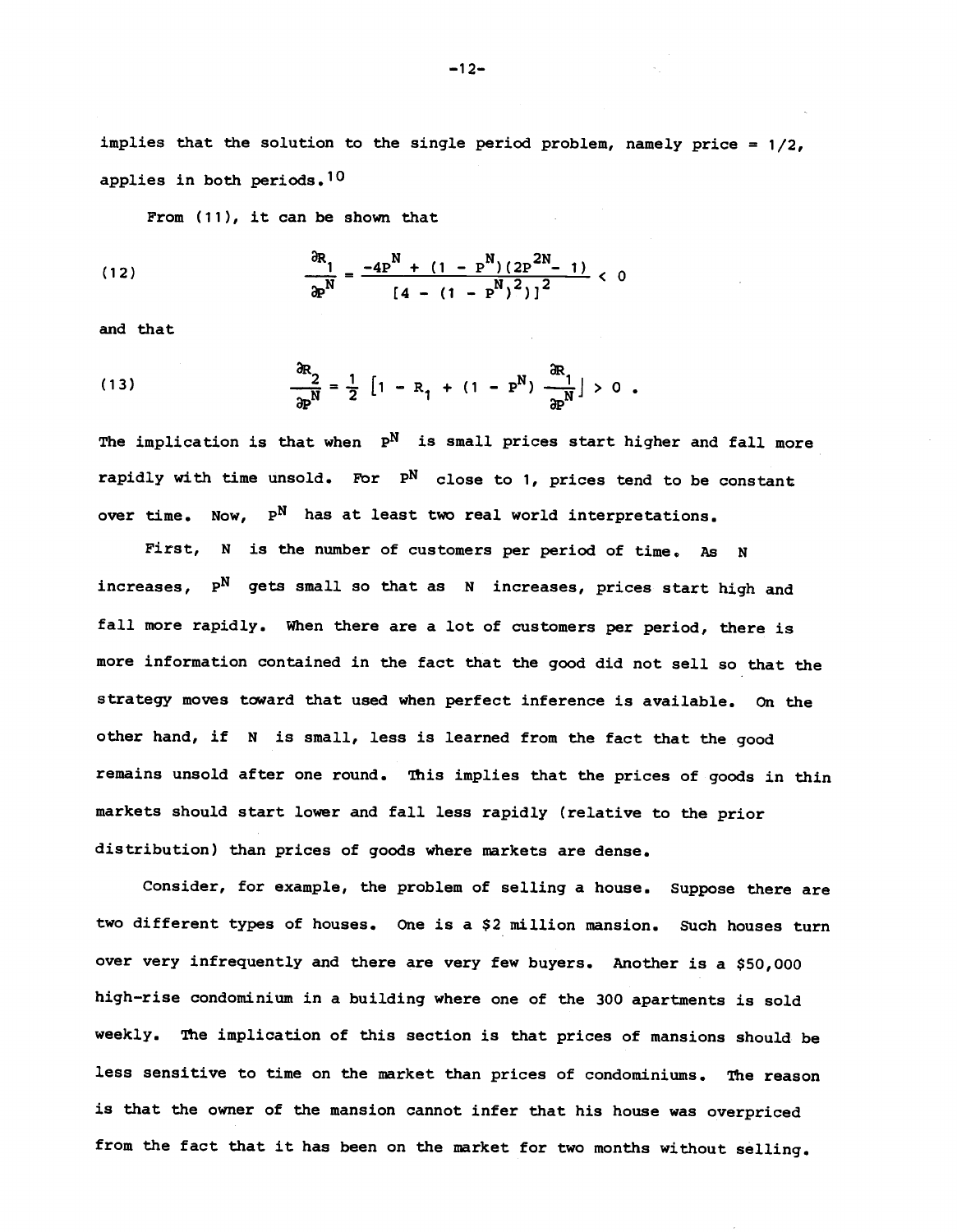implies that the solution to the single period problem, namely price =  $1/2$ , applies in both periods.10

From (11), it can be shown that

(12) 
$$
\frac{\partial R_1}{\partial P^N} = \frac{-4P^N + (1 - P^N)(2P^{2N} - 1)}{[4 - (1 - P^N)^2]^2} < 0
$$

and that

(13) 
$$
\frac{\partial R_2}{\partial P^N} = \frac{1}{2} \left[ 1 - R_1 + (1 - P^N) \frac{\partial R_1}{\partial P^N} \right] > 0
$$

The implication is that when  $P^N$  is small prices start higher and fall more rapidly with time unsold. For  $P^N$  close to 1, prices tend to be constant over time. Now,  $P^N$  has at least two real world interpretations.

First, N is the number of customers per period of time. As N increases.  $P^N$  gets small so that as N increases, prices start high and fall more rapidly, when there are a lot of customers per period, there is more information contained in the fact that the good did not sell so that the strategy moves toward that used when perfect inference is available. On the other hand, if N is small, less is learned from the fact that the good remains unsold after one round. This implies that the prices of goods in thin markets should start lower and fall less rapidly (relative to the prior distribution) than prices of goods where markets are dense.

Consider, for example, the problem of selling a house. Suppose there are two different types of houses. One is a \$2 million mansion. Such houses turn over very infrequently and there are very few buyers. Another is a \$50,000 high—rise condominium in a building where one of the 300 apartments is sold weekly. The implication of this section is that prices of mansions should be less sensitive to time on the market than prices of condominiums. The reason is that the owner of the mansion cannot infer that his house was overpriced from the fact that it has been on the market for two months without selling.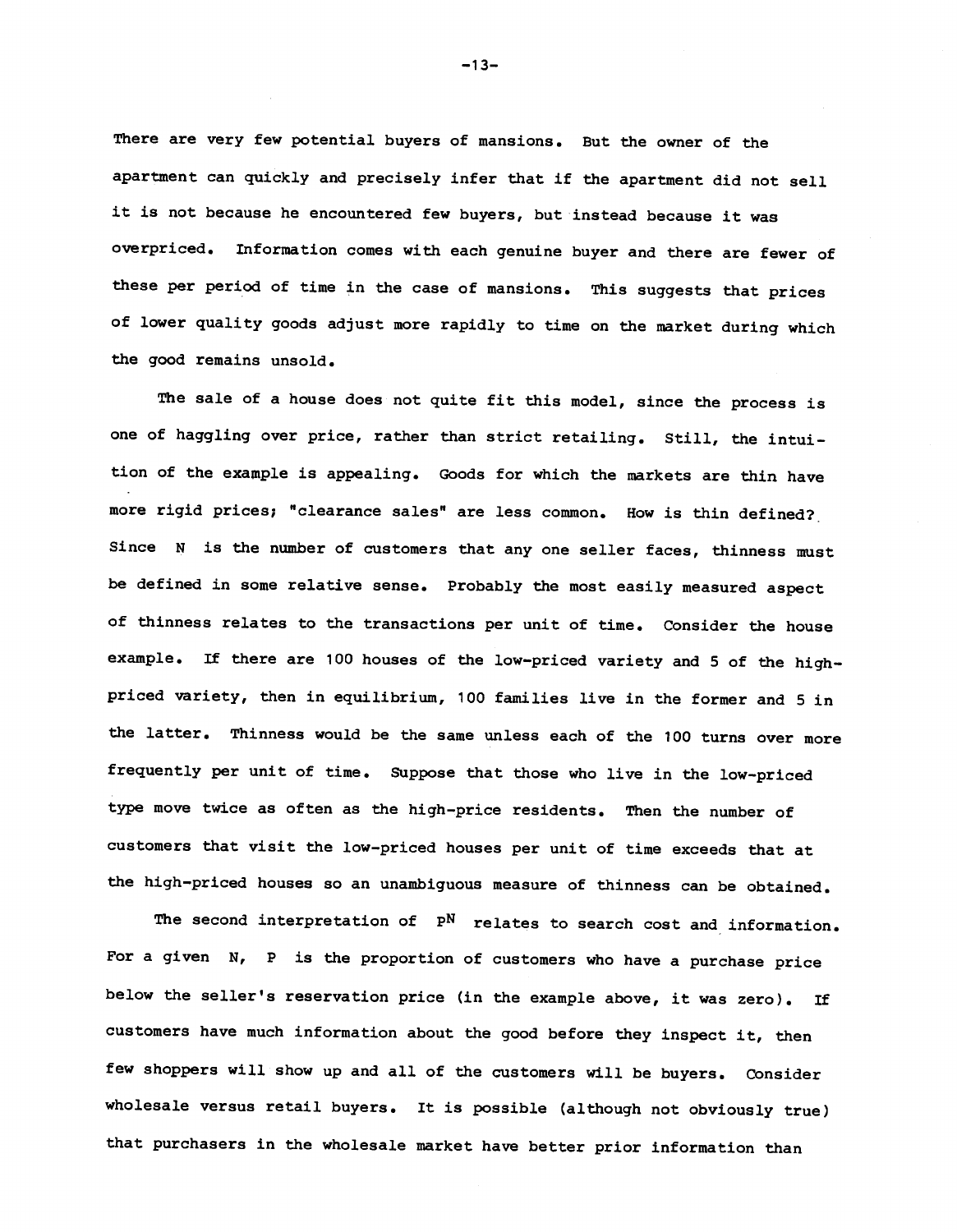There are very few potential buyers of mansions. But the owner of the apartment can quickly and precisely infer that if the apartment did not sell it is not because he encountered few buyers, but instead because it was overpriced. Information comes with each genuine buyer and there are fewer of these per period of time in the case of mansions. This suggests that prices of lower quality goods adjust more rapidly to time on the market during which the good remains unsold.

The sale of a house does not quite fit this model, since the process is one of haggling over price, rather than strict retailing. Still, the intuition of the example is appealing. Goods for which the markets are thin have more rigid prices; "clearance sales" are less common. How is thin defined? Since N is the number of customers that any one seller faces, thinness must be defined in some relative sense. Probably the most easily measured aspect of thinness relates to the transactions per unit of time. Consider the house example. If there are 100 houses of the low-priced variety and 5 of the highpriced variety, then in equilibrium, 100 families live in the former and 5 in the latter. Thinness would be the same unless each of the 100 turns over more frequently per unit of time. Suppose that those who live in the low-priced type move twice as often as the high—price residents. Then the number of customers that visit the low—priced houses per unit of time exceeds that at the high—priced houses so an unambiguous measure of thinness can be obtained.

The second interpretation of  $P^N$  relates to search cost and information. For a given N, P is the proportion of customers who have a purchase price below the seller's reservation price (in the example above, it was zero). If customers have much information about the good before they inspect it, then few shoppers will show up and all of the customers will be buyers. Consider wholesale versus retail buyers. It is possible (although not obviously true) that purchasers in the wholesale market have better prior information than

—13—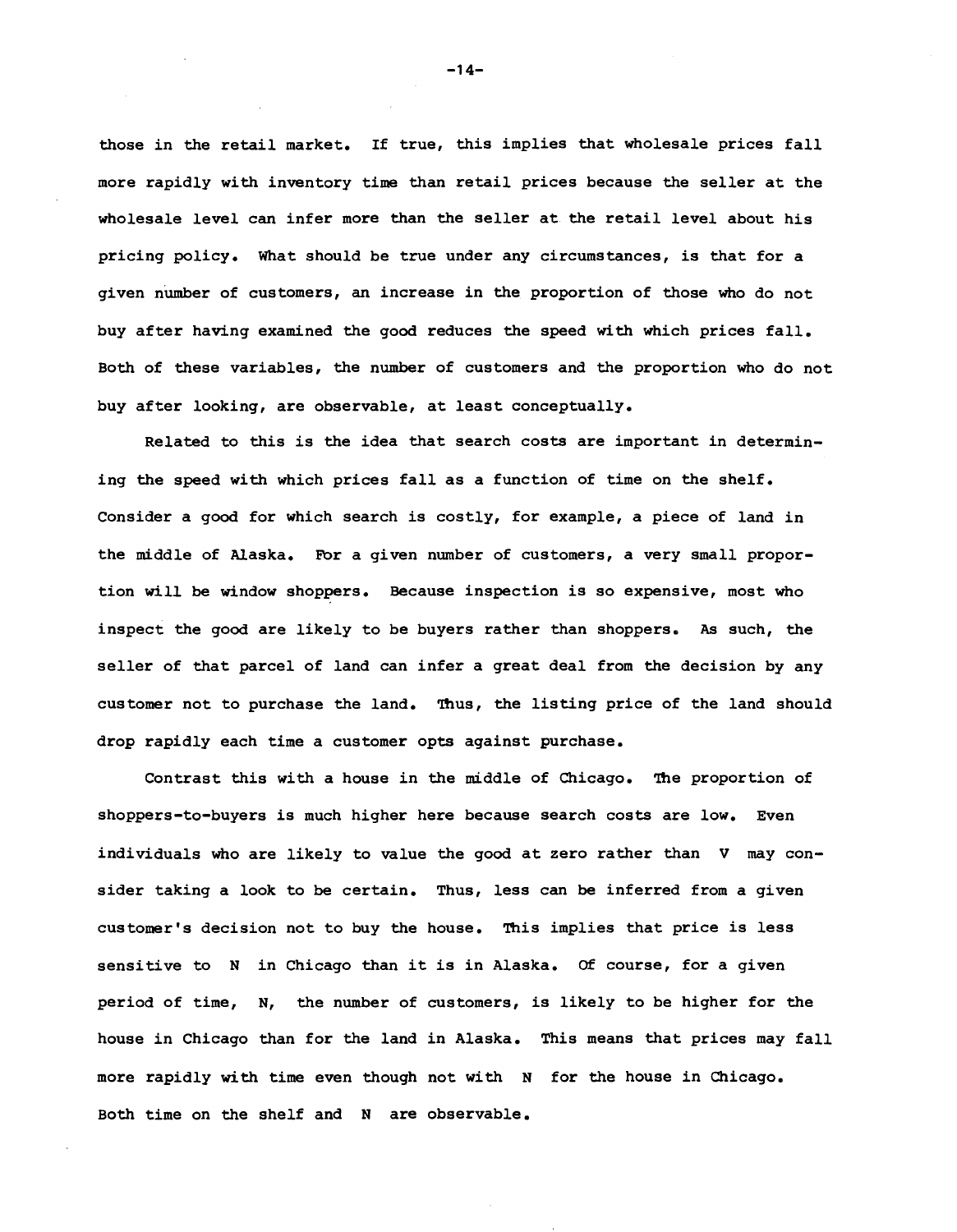those in the retail market. If true, this implies that wholesale prices fall more rapidly with inventory time than retail prices because the seller at the wholesale level can infer more than the seller at the retail level about his pricing policy. What should be true under any circumstances, is that for a given number of customers, an increase in the proportion of those who do not buy after having examined the good reduces the speed with which prices fall. Both of these variables, the number of customers and the proportion who do not buy after looking, are observable, at least conceptually.

Related to this is the idea that search costs are important in determining the speed with which prices fall as a function of time on the shelf. Consider a good for which search is costly, for example, a piece of land in the middle of Alaska. For a given number of customers, a very small proportion will be window shoppers. Because inspection is so expensive, most who inspect the good are likely to be buyers rather than shoppers. As such, the seller of that parcel of land can infer a great deal from the decision by any customer not to purchase the land. Thus, the listing price of the land should drop rapidly each time a customer opts against purchase.

Contrast this with a house in the middle of Chicago. The proportion of shoppers—to—buyers is much higher here because search costs are low. Even individuals who are likely to value the good at zero rather than V may consider taking a look to be certain. Thus, less can be inferred from a given customer's decision not to buy the house. This implies that price is less sensitive to N in Chicago than it is in Alaska. Of course, for a given period of time, N, the number of customers, is likely to be higher for the house in Chicago than for the land in Alaska. This means that prices may fall more rapidly with time even though not with N for the house in Chicago. Both time on the shelf and N are observable.

—14—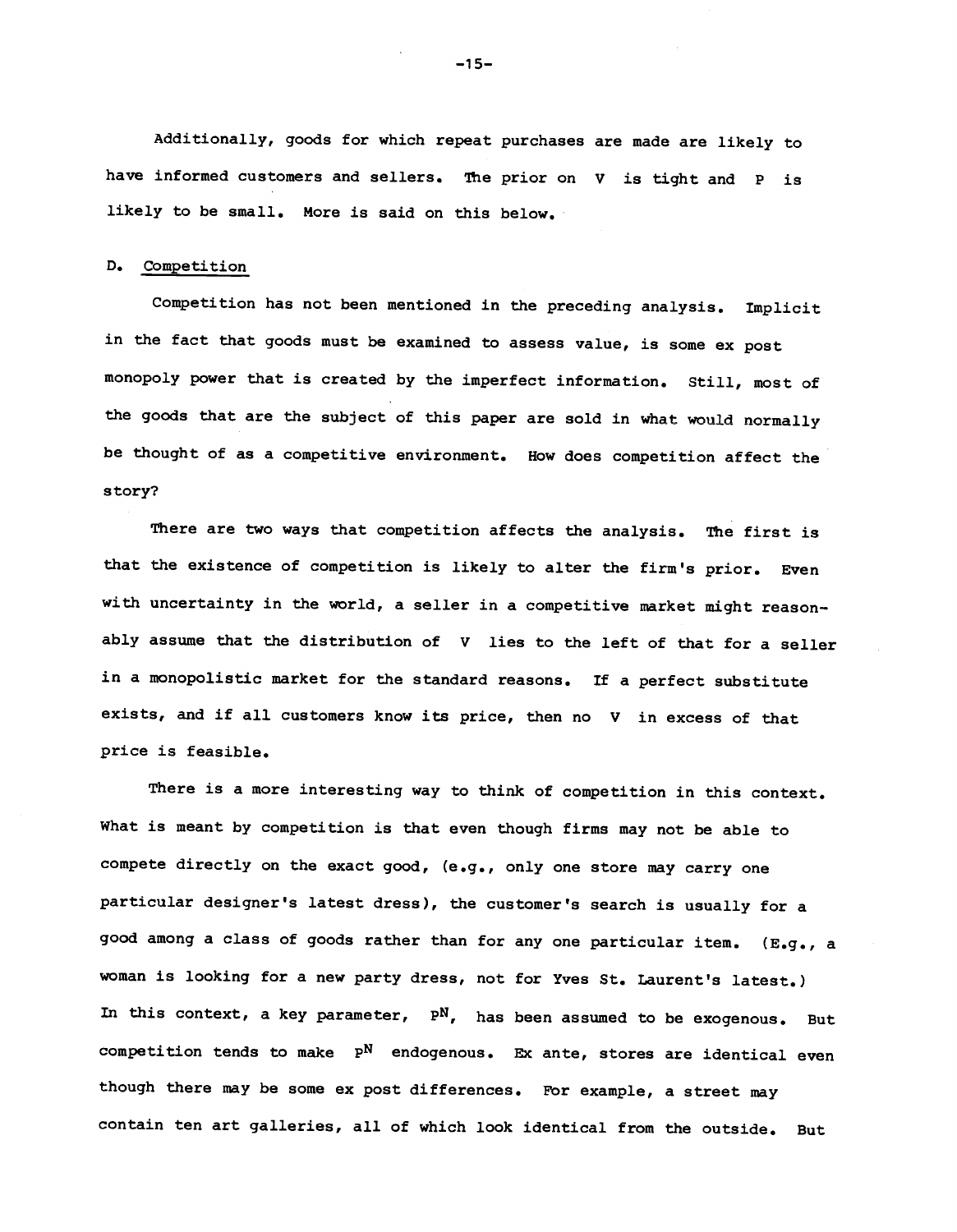Additionally, goods for which repeat purchases are made are likely to have informed customers and sellers. The prior on V is tight and P is likely to be small. More is said on this below.

#### D. Competition

Competition has not been mentioned in the preceding analysis. Implicit in the fact that goods must be examined to assess value, is some ex post monopoly power that is created by the imperfect information. Still, most of the goods that are the subject of this paper are sold in what would normally be thought of as a competitive environment. How does competition affect the story?

There are two ways that competition affects the analysis, The first is that the existence of competition is likely to alter the firm's prior. Even with uncertainty in the world, a seller in a competitive market might reasonably assume that the distribution of V lies to the left of that for a seller in a monopolistic market for the standard reasons. If a perfect substitute exists, and if all customers know its price, then no V in excess of that price is feasible.

There is a more interesting way to think of competition in this context. What is meant by competition is that even though firms may not be able to compete directly on the exact good, (e.g., only one store may carry one particular designer's latest dress), the customer's search is usually for a good among a class of goods rather than for any one particular item. (E.g., a woman is looking for a new party dress, not for Yves St. Laurent's latest.) In this context, a key parameter,  $P^N$ , has been assumed to be exogenous. But competition tends to make  $P^N$  endogenous. Ex ante, stores are identical even though there may be some ex post differences. For example, a street may contain ten art galleries, all of which look identical from the outside. But

—15—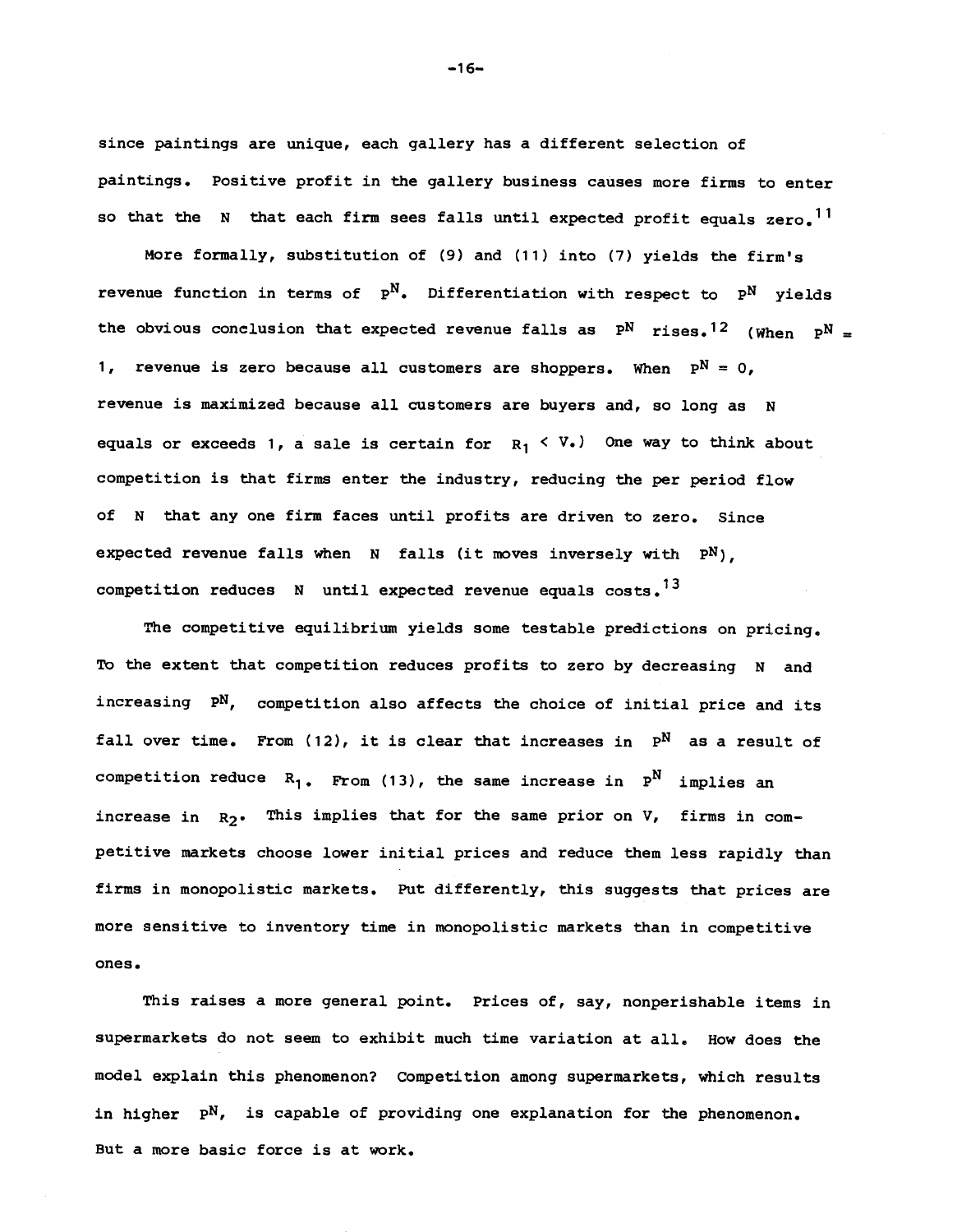since paintings are unique, each gallery has a different selection of paintings. Positive profit in the gallery business causes more firms to enter so that the N that each firm sees falls until expected profit equals  $zero^{-11}$ 

More formally, substitution of (9) and (11) into (7) yields the firm's revenue function in terms of  $P^N$ . Differentiation with respect to  $P^N$  vields the obvious conclusion that expected revenue falls as  $P^N$  rises.<sup>12</sup> (When  $P^N =$ 1, revenue is zero because all customers are shoppers. When  $P^N = 0$ , revenue is maximized because all customers are buyers and, so long as N equals or exceeds 1, a sale is certain for  $R_1 \leq V_1$ . One way to think about competition is that firms enter the industry, reducing the per period flow of N that any one firm faces until profits are driven to zero. Since expected revenue falls when  $N$  falls (it moves inversely with  $P^N$ ), competition reduces  $N$  until expected revenue equals costs.<sup>13</sup>

The competitive equilibrium yields some testable predictions on pricing. To the extent that competition reduces profits to zero by decreasing N and increasing PN, competition also affects the choice of initial price and its fall over time. From (12), it is clear that increases in  $P^N$  as a result of competition reduce  $R_1$ . From (13), the same increase in  $P^N$  implies an increase in  $R_2$ . This implies that for the same prior on V, firms in competitive markets choose lower initial prices and reduce them less rapidly than firms in monopolistic markets. Put differently, this suggests that prices are more sensitive to inventory time in monopolistic markets than in competitive ones.

This raises a more general point. Prices of, say, nonperishable items in supermarkets do not seem to exhibit much time variation at all. How does the model explain this phenomenon? Competition among supermarkets, which results in higher  $P^N$ , is capable of providing one explanation for the phenomenon. But a more basic force is at work.

—16—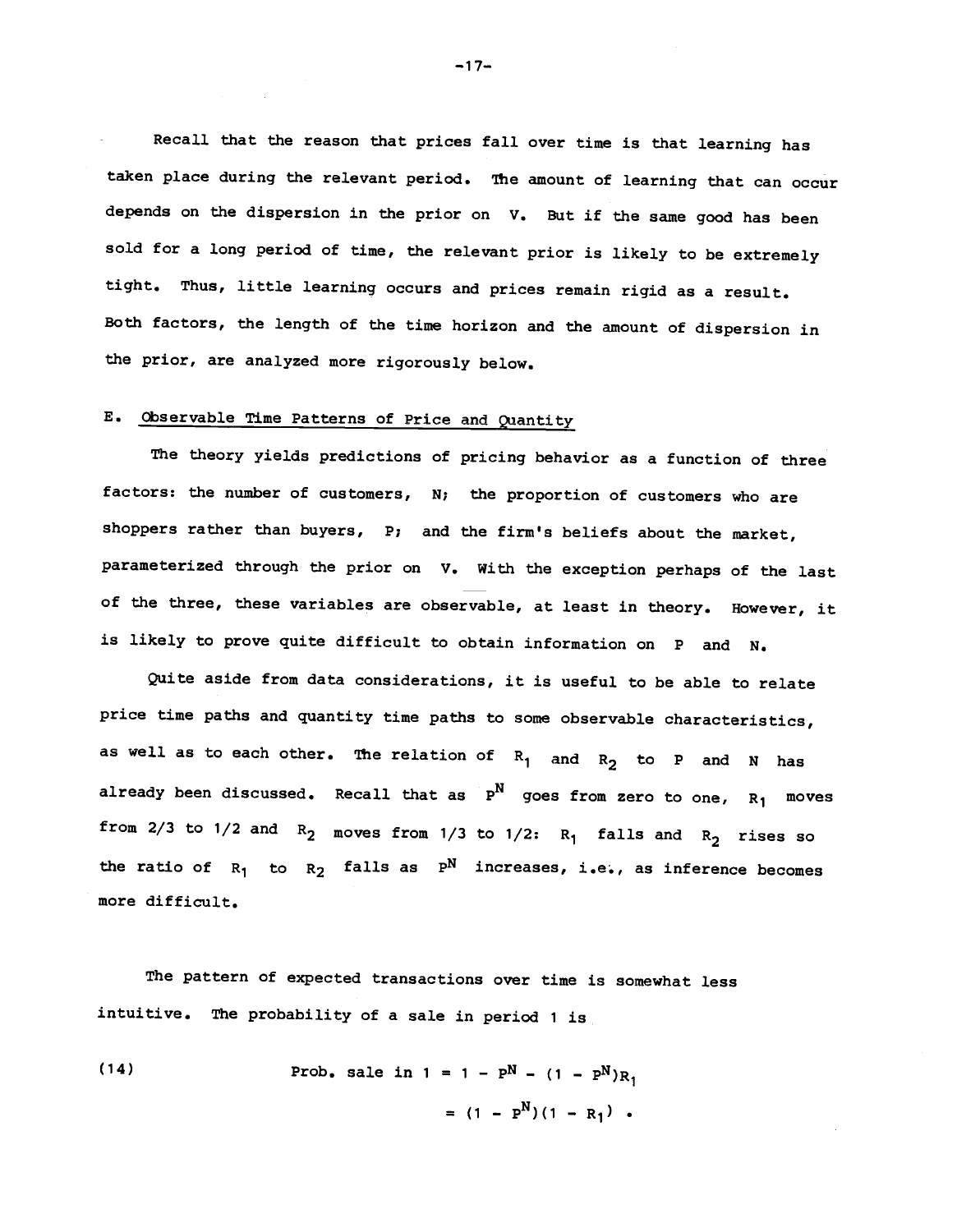Recall that the reason that prices fall over time is that learning has taken place during the relevant period. The amount of learning that can occur depends on the dispersion in the prior on V. But if the same good has been sold for a long period of time, the relevant prior is likely to be extremely tight. Thus, little learning occurs and prices remain rigid as a result. Both factors, the length of the time horizon and the amount of dispersion in the prior, are analyzed more rigorously below.

# E. Observable Time Patterns of Price and Quantity

The theory yields predictions of pricing behavior as a function of three factors: the number of customers, N; the proportion of customers who are shoppers rather than buyers, P; and the firm's beliefs about the market, parameterized through the prior on V. With the exception perhaps of the last of the three, these variables are observable, at least in theory. However, it is likely to prove quite difficult to obtain information on P and N.

Quite aside from data considerations, it is useful to be able to relate price time paths and quantity time paths to some observable characteristics, as well as to each other. The relation of  $R_1$  and  $R_2$  to P and N has already been discussed. Recall that as  $P^N$  goes from zero to one,  $R_1$  moves from 2/3 to 1/2 and  $R_2$  moves from 1/3 to 1/2:  $R_1$  falls and  $R_2$  rises so the ratio of  $R_1$  to  $R_2$  falls as  $P^N$  increases, i.e., as inference becomes more difficult.

The pattern of expected transactions over time is somewhat less intuitive. The probability of a sale in period 1 is

(14) 
$$
\text{Prob. sale in } 1 = 1 - P^N - (1 - P^N)R_1
$$

$$
= (1 - P^N)(1 - R_1) .
$$

—17—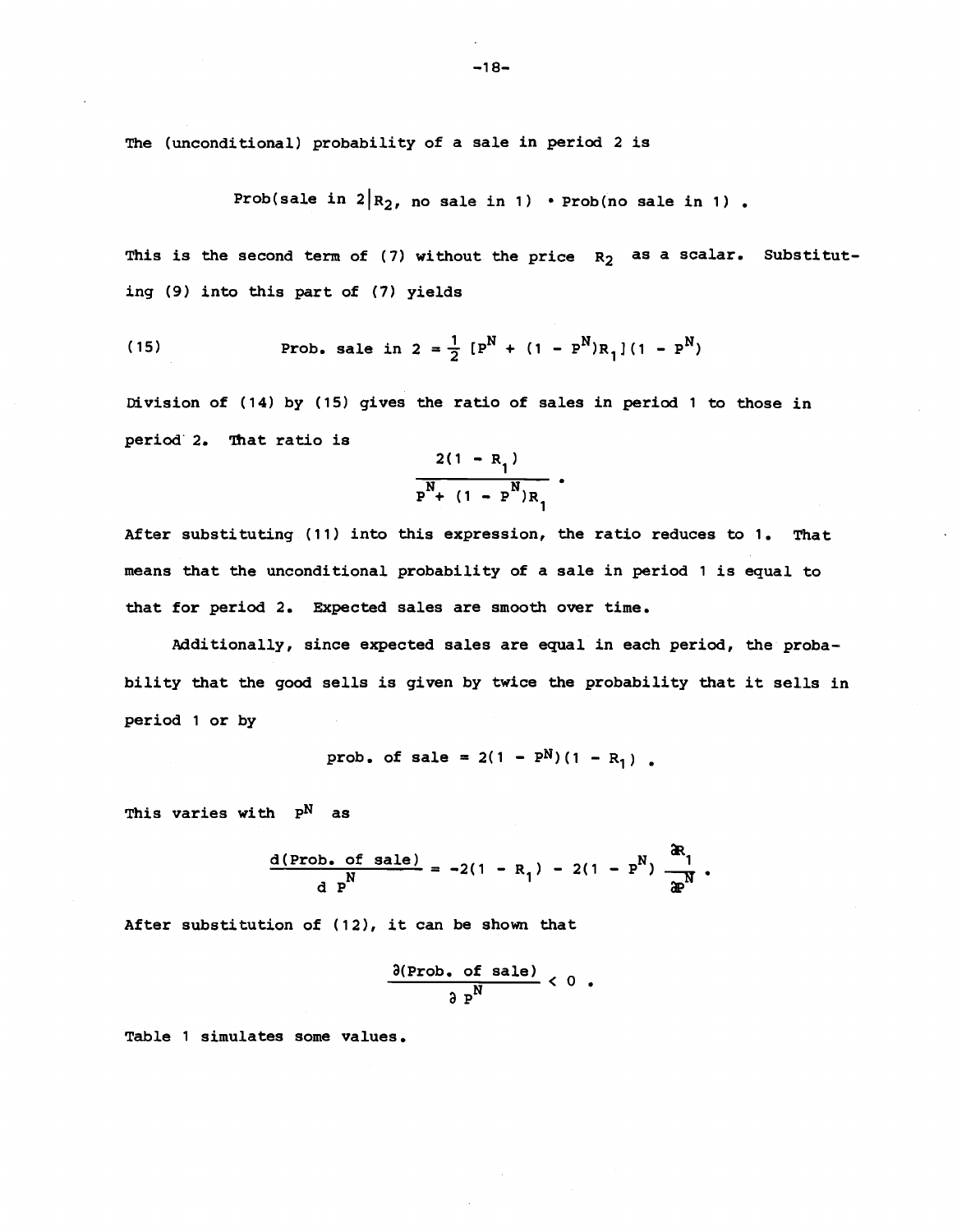The (unconditional) probability of a sale in period 2 is

Prob(sale in  $2R_2$ , no sale in 1) • Prob(no sale in 1) .

This is the second term of (7) without the price  $R_2$  as a scalar. Substituting (9) into this part of (7) yields

(15) **Prob.** sale in 
$$
2 = \frac{1}{2} [P^N + (1 - P^N)R_1](1 - P^N)
$$

Division of (14) by (15) gives the ratio of sales in period <sup>1</sup> to those in period 2. That ratio is

$$
\frac{2(1 - R_1)}{P^N + (1 - P^N)R_1}.
$$

After substituting (11) into this expression, the ratio reduces to 1. That means that the unconditional probability of a sale in period 1 is equal to that for period 2. Expected sales are smooth over time.

Additionally, since expected sales are equal in each period, the probability that the good sells is given by twice the probability that it sells in period 1 or by

prob. of sale = 
$$
2(1 - P^N)(1 - R_1)
$$
.

This varies with  $P^N$  as

$$
\frac{d(\text{Prob. of sale})}{d \text{ } p^N} = -2(1 - R_1) - 2(1 - P^N) \frac{dR_1}{dP^N}.
$$

After substitution of (12), it can be shown that

$$
\frac{\partial(\text{Prob. of sale})}{\partial P^N} < 0.
$$

Table 1 simulates some values.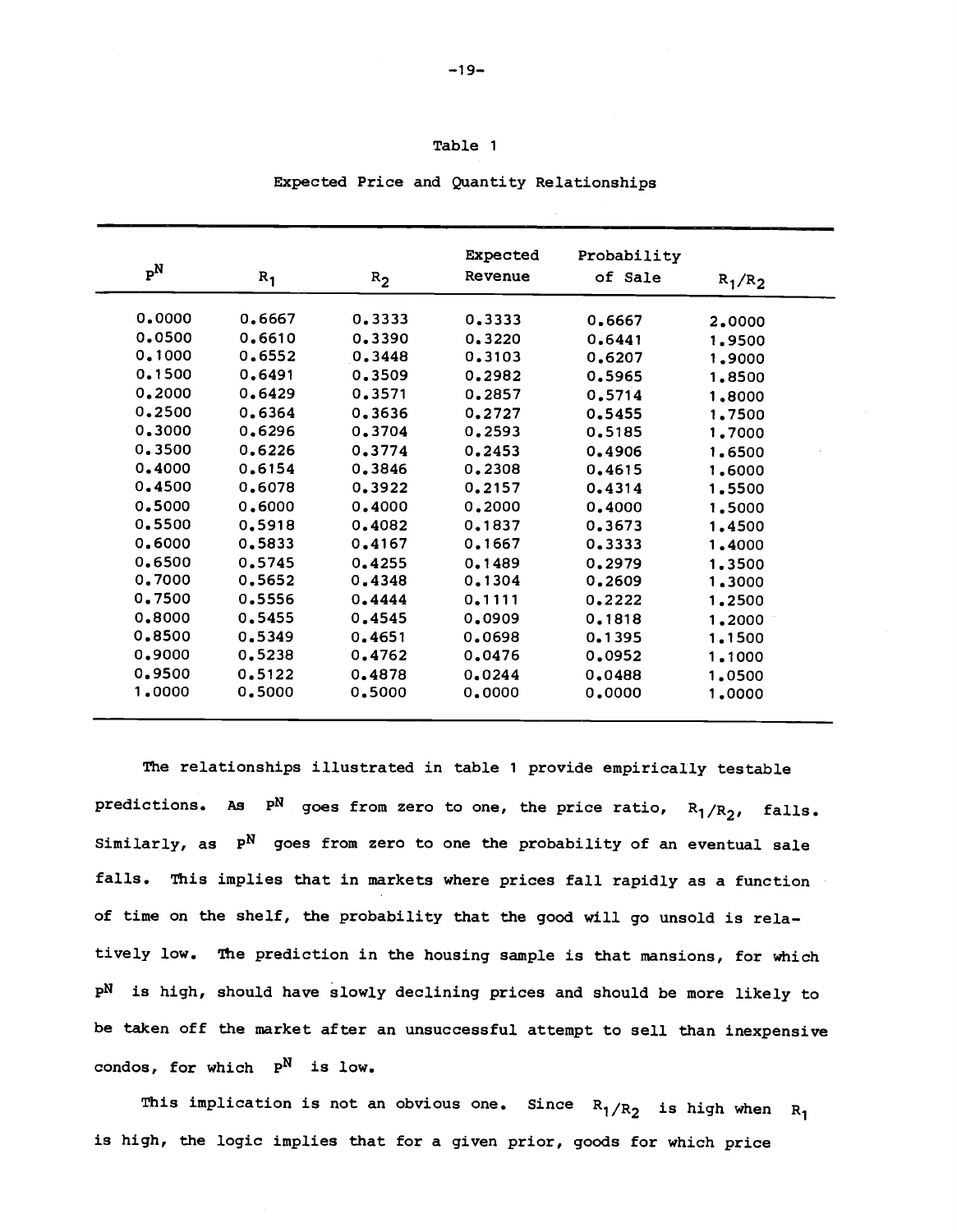| $P^N$  |        |         | Expected | Probability |           |
|--------|--------|---------|----------|-------------|-----------|
|        | $R_1$  | $R_{2}$ | Revenue  | of Sale     | $R_1/R_2$ |
| 0.0000 | 0.6667 | 0.3333  | 0.3333   | 0.6667      | 2,0000    |
| 0.0500 | 0.6610 | 0.3390  | 0.3220   | 0.6441      | 1.9500    |
| 0.1000 | 0.6552 | 0.3448  | 0.3103   | 0.6207      | 1,9000    |
| 0.1500 | 0.6491 | 0.3509  | 0.2982   | 0.5965      | 1.8500    |
| 0,2000 | 0.6429 | 0.3571  | 0.2857   | 0.5714      | 1,8000    |
| 0.2500 | 0.6364 | 0.3636  | 0.2727   | 0.5455      | 1.7500    |
| 0.3000 | 0.6296 | 0.3704  | 0.2593   | 0.5185      | 1,7000    |
| 0.3500 | 0.6226 | 0.3774  | 0.2453   | 0.4906      | 1.6500    |
| 0.4000 | 0.6154 | 0.3846  | 0.2308   | 0.4615      | 1,6000    |
| 0,4500 | 0.6078 | 0.3922  | 0.2157   | 0.4314      | 1.5500    |
| 0.5000 | 0.6000 | 0.4000  | 0.2000   | 0.4000      | 1.5000    |
| 0.5500 | 0.5918 | 0.4082  | 0.1837   | 0.3673      | 1,4500    |
| 0.6000 | 0.5833 | 0.4167  | 0.1667   | 0.3333      | 1,4000    |
| 0.6500 | 0.5745 | 0.4255  | 0.1489   | 0.2979      | 1.3500    |
| 0.7000 | 0.5652 | 0.4348  | 0.1304   | 0.2609      | 1,3000    |
| 0.7500 | 0.5556 | 0.4444  | 0.1111   | 0.2222      | 1,2500    |
| 0.8000 | 0.5455 | 0.4545  | 0.0909   | 0.1818      | 1,2000    |
| 0.8500 | 0.5349 | 0.4651  | 0.0698   | 0.1395      | 1,1500    |
| 0,9000 | 0.5238 | 0.4762  | 0.0476   | 0.0952      | 1,1000    |
| 0.9500 | 0.5122 | 0.4878  | 0.0244   | 0.0488      | 1,0500    |
| 1,0000 | 0.5000 | 0.5000  | 0.0000   | 0.0000      | 1,0000    |

Expected Price and Quantity Relationships

Table 1

The relationships illustrated in table 1 provide empirically testable predictions. As  $P^N$  goes from zero to one, the price ratio,  $R_1/R_2$ , falls. Similarly, as  $P^N$  goes from zero to one the probability of an eventual sale falls. This implies that in markets where prices fall rapidly as a function of time on the shelf, the probability that the good will go unsold is rela tively low. The prediction in the housing sample is that mansions, for which pN is high, should have slowly declining prices and should be more likely to be taken off the market after an unsuccessful attempt to sell than inexpensive condos, for which  $P^N$  is low.

This implication is not an obvious one. Since  $\rm\,R_1/R_2$  is high when  $\rm\,R_1$ is high, the logic implies that for a given prior, goods for which price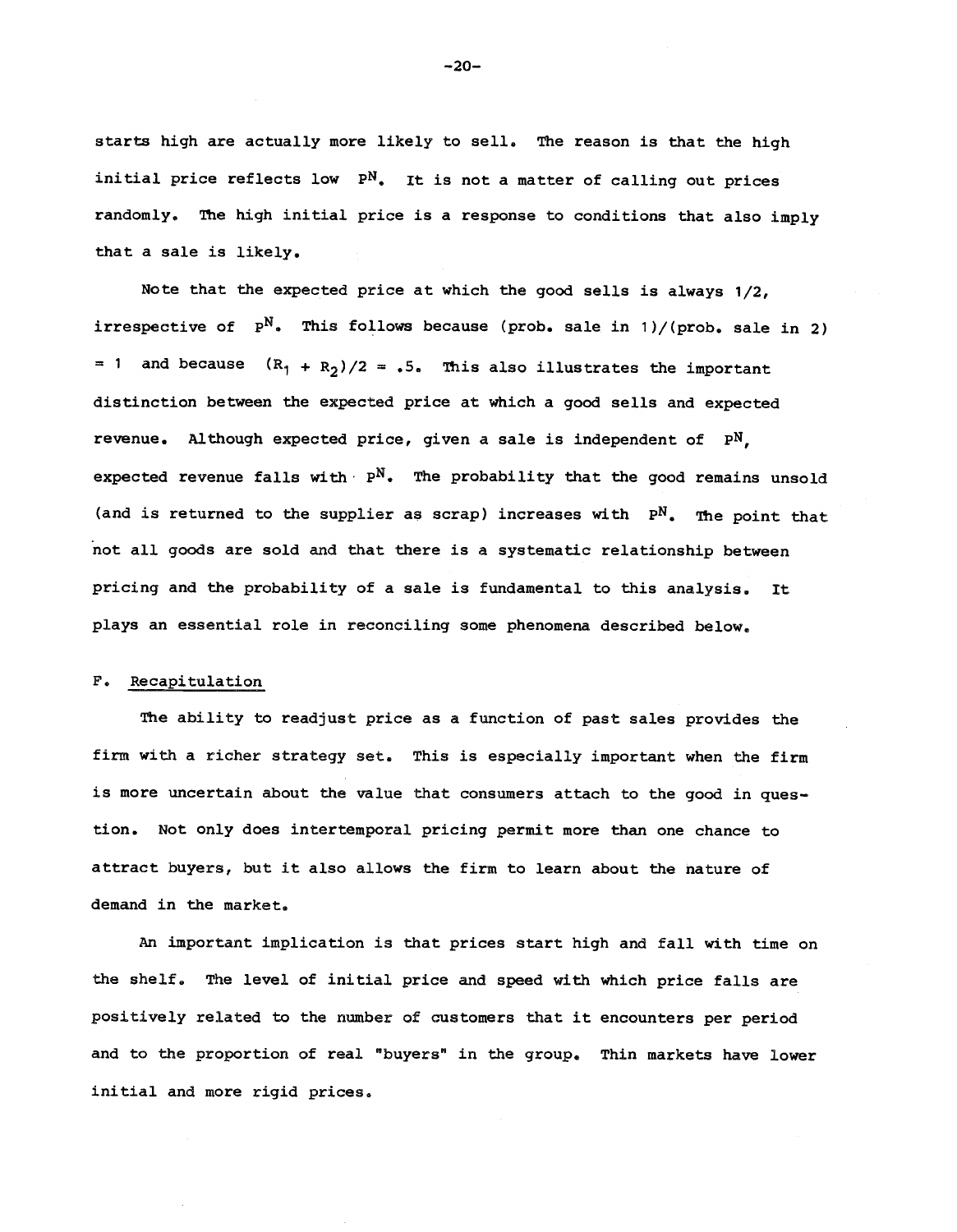starts high are actually more likely to sell. The reason is that the high initial price reflects low PN. It is not a matter of calling out prices randomly, The high initial price is a response to conditions that also imply that a sale is likely.

Note that the expected price at which the good sells is always 1/2, irrespective of  $P^N$ . This follows because (prob. sale in 1)/(prob. sale in 2) = 1 and because  $(R_1 + R_2)/2 = .5$ . This also illustrates the important distinction between the expected price at which a good sells and expected revenue. Although expected price, given a sale is independent of pM, expected revenue falls with  $P^N$ . The probability that the good remains unsold (and is returned to the supplier as scrap) increases with  $P^N$ . The point that not all goods are sold and that there is a systematic relationship between pricing and the probability of a sale is fundamental to this analysis. It plays an essential role in reconciling some phenomena described below,

# F. Recapitulation

The ability to readjust price as a function of past sales provides the firm with a richer strategy set. This is especially important when the firm is more uncertain about the value that consumers attach to the good in question. Not only does intertemporal pricing permit more than one chance to attract buyers, but it also allows the firm to learn about the nature of demand in the market,

An important implication is that prices start high and fall with time on the shelf, The level of initial price and speed with which price falls are positively related to the number of customers that it encounters per period and to the proportion of real "buyers" in the group. Thin markets have lower initial and more rigid prices.

—20—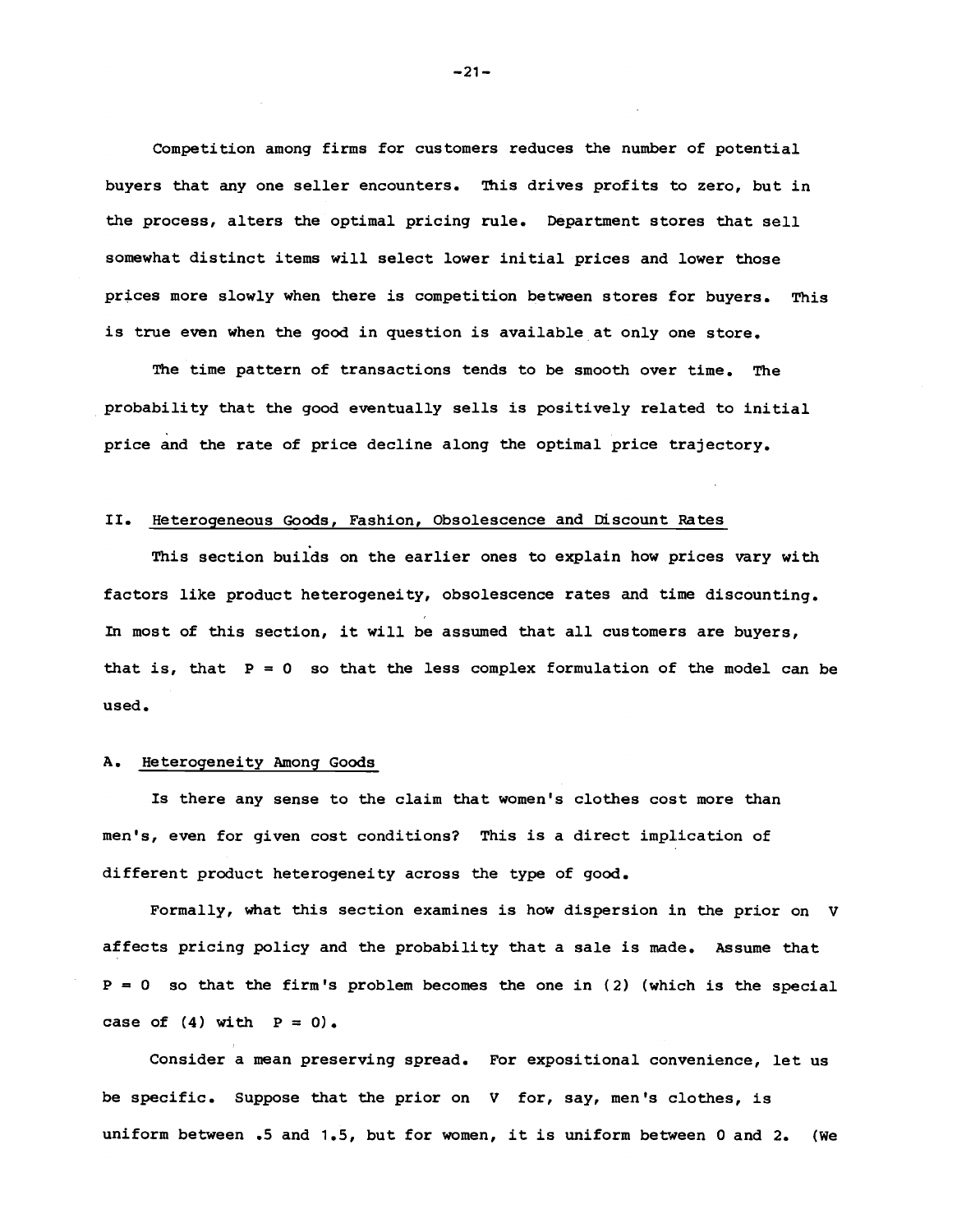Competition among firms for customers reduces the number of potential buyers that any one seller encounters. This drives profits to zero, but in the process, alters the optimal pricing rule. Department stores that sell somewhat distinct items will select lower initial prices and lower those prices more slowly when there is competition between stores for buyers. This is true even when the good in question is available at only one store.

The time pattern of transactions tends to be smooth over time. The probability that the good eventually sells is positively related to initial price and the rate of price decline along the optimal price trajectory.

## II. Heterogeneous Goods, Fashion, Obsolescence and Discount Rates

This section builds on the earlier ones to explain how prices vary with factors like product heterogeneity, obsolescence rates and time discounting. In most of this section, it will be assumed that all customers are buyers, that is, that  $P = 0$  so that the less complex formulation of the model can be used.

### A. Heterogeneity Among Goods

Is there any sense to the claim that women's clothes cost more than men's, even for given cost conditions? This is a direct implication of different product heterogeneity across the type of good.

Formally, what this section examines is how dispersion in the prior on V affects pricing policy and the probability that a sale is made. Assume that  $P = 0$  so that the firm's problem becomes the one in (2) (which is the special case of  $(4)$  with  $P = 0$ .

Consider a mean preserving spread. For expositional convenience, let us be specific. Suppose that the prior on V for, say, men's clothes, is uniform between .5 and 1.5, but for women, it is uniform between 0 and 2. (We

 $-21-$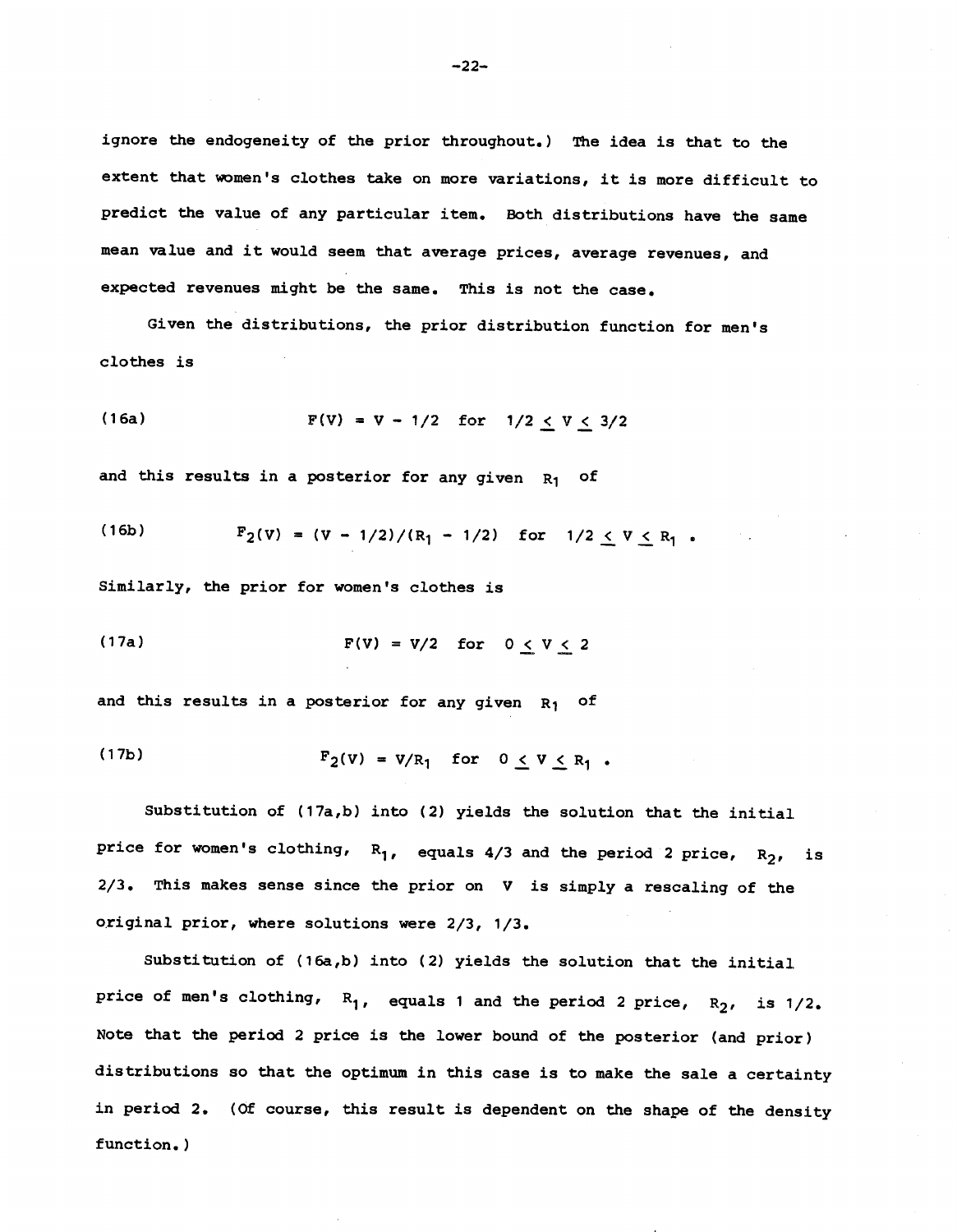ignore the endogeneity of the prior throughout.) The idea is that to the extent that women's clothes take on more variations, it is more difficult to predict the value of any particular item. Both distributions have the same mean value and it would seem that average prices, average revenues, and expected revenues might be the same. This is not the case.

Given the distributions, the prior distribution function for men's clothes is

(16a) 
$$
F(V) = V - 1/2 \text{ for } 1/2 \le V \le 3/2
$$

and this results in a posterior for any given  $R_1$  of

(16b) 
$$
F_2(v) = (v - 1/2)/(R_1 - 1/2) \text{ for } 1/2 \le v \le R_1.
$$

Similarly, the prior for women's clothes is

(17a) 
$$
F(V) = V/2 \quad \text{for} \quad 0 \le V \le 2
$$

and this results in a posterior for any given  $R_1$  of

(17b) 
$$
F_2(v) = v/R_1
$$
 for  $0 \le v \le R_1$ .

Substitution of  $(17a,b)$  into  $(2)$  yields the solution that the initial price for women's clothing,  $R_1$ , equals 4/3 and the period 2 price,  $R_2$ , is 2/3. This makes sense since the prior on V is simply a rescaling of the original prior, where solutions were 2/3, 1/3.

Substitution of (16a,b) into (2) yields the solution that the initial price of men's clothing,  $R_1$ , equals 1 and the period 2 price,  $R_2$ , is 1/2. Note that the period 2 price is the lower bound of the posterior (and prior) distributions so that the optimum in this case is to make the sale a certainty in period 2. (Of course, this result is dependent on the shape of the density function.)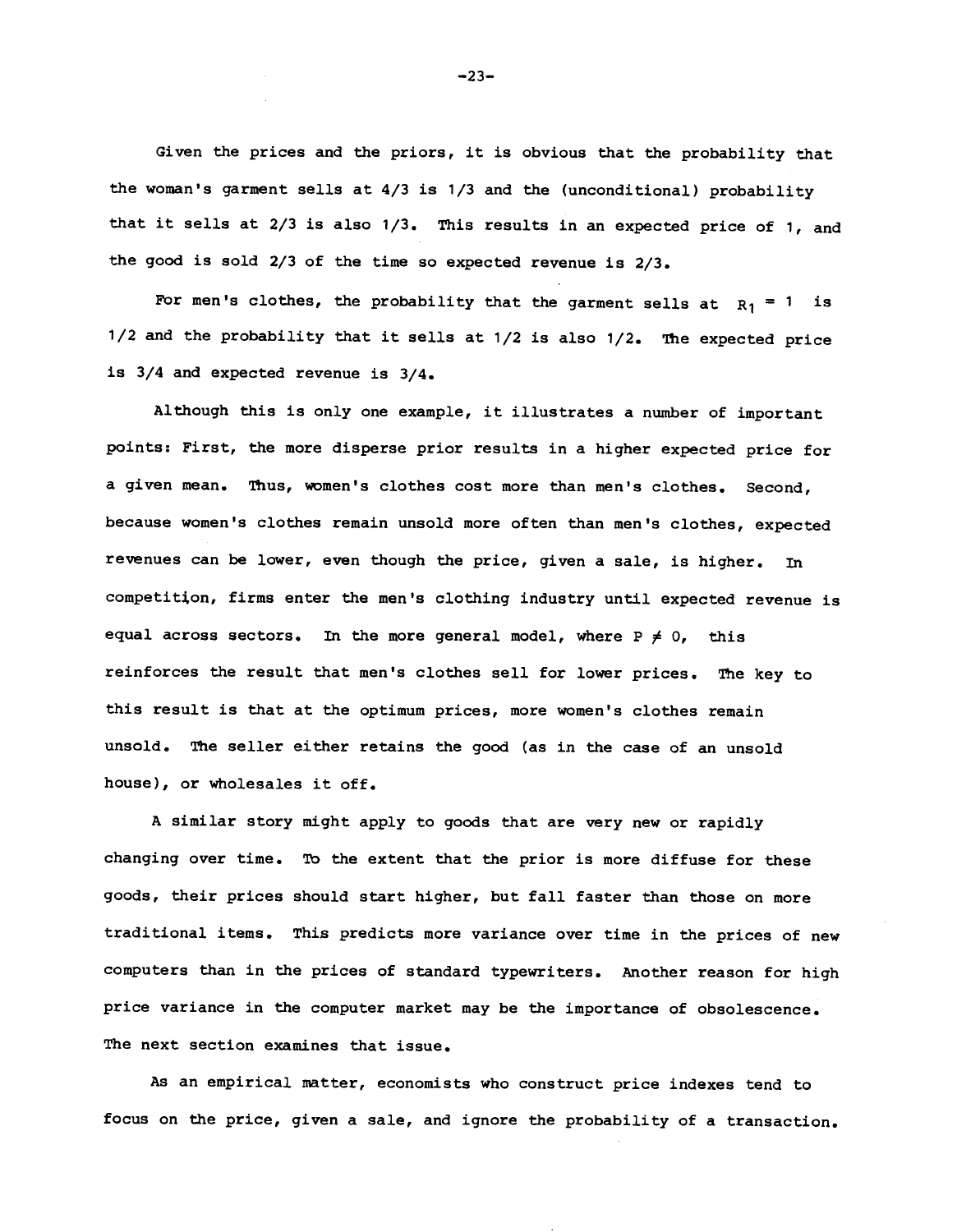Given the prices and the priors, it is obvious that the probability that the woman's garment sells at 4/3 is 1/3 and the (unconditional) probability that it sells at 2/3 is also 1/3. This results in an expected price of 1, and the good is sold 2/3 of the time so expected revenue is 2/3.

For men's clothes, the probability that the garment sells at  $R_1 = 1$  is 1/2 and the probability that it sells at 1/2 is also 1/2. The expected price is 3/4 and expected revenue is 3/4.

Although this is only one example, it illustrates a number of important points: First, the more disperse prior results in a higher expected price for a given mean. Thus, women's clothes cost more than men's clothes. Second, because women's clothes remain unsold more often than men's clothes, expected revenues can be lower, even though the price, given a sale, is higher. In competitjon, firms enter the men's clothing industry until expected revenue is equal across sectors. In the more general model, where  $P \neq 0$ , this reinforces the result that men's clothes sell for lower prices. The key to this result is that at the optimum prices, more women's clothes remain unsold. The seller either retains the good (as in the case of an unsold house), or wholesales it off.

A similar story might apply to goods that are very new or rapidly changing over time. To the extent that the prior is more diffuse for these goods, their prices should start higher, but fall faster than those on more traditional items. This predicts more variance over time in the prices of new computers than in the prices of standard typewriters. Another reason for high price variance in the computer market may be the importance of obsolescence. The next section examines that issue.

As an empirical matter, economists who construct price indexes tend to focus on the price, given a sale, and ignore the probability of a transaction.

—23—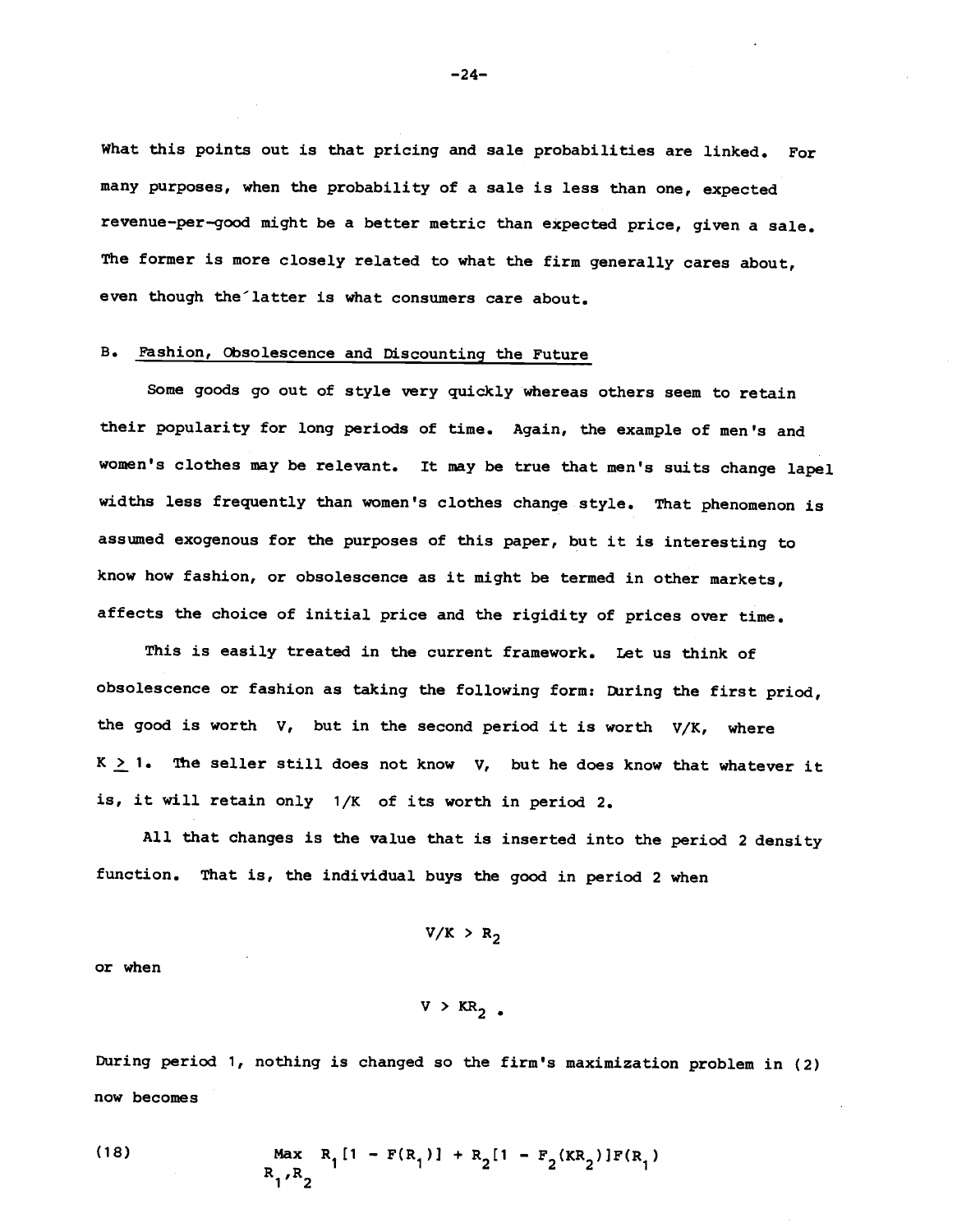What this points out is that pricing and sale probabilities are linked. For many purposes, when the probability of a sale is less than one, expected revenue—per—good might be a better metric than expected price, given a sale. The former is more closely related to what the firm generally cares about, even though the latter is what consumers care about.

# B. Fashion, Obsolescence and Discounting the Future

Some goods go out of style very quickly whereas others seem to retain their popularity for long periods of time. Again, the example of men's and women's clothes may be relevant. It may be true that men's suits change lapel widths less frequently than women's clothes change style. That phenomenon is assumed exogenous for the purposes of this paper, but it is interesting to know how fashion, or obsolescence as it might be termed in other markets, affects the choice of initial price and the rigidity of prices over time.

This is easily treated in the current framework. Let us think of obsolescence or fashion as taking the following form: During the first priod, the good is worth  $V$ , but in the second period it is worth  $V/K$ , where  $K \geq 1$ . The seller still does not know V, but he does know that whatever it is, it will retain only 1/K of its worth in period 2.

All that changes is the value that is inserted into the period 2 density function. That is, the individual buys the good in period 2 when

 $V/K > R<sub>2</sub>$ 

or when

```
V > KR_2.
```
During period 1, nothing is changed so the firm's maximization problem in (2) now becomes

(18) 
$$
\max_{R_1, R_2} R_1[1 - F(R_1)] + R_2[1 - F_2(KR_2)]F(R_1)
$$

—24—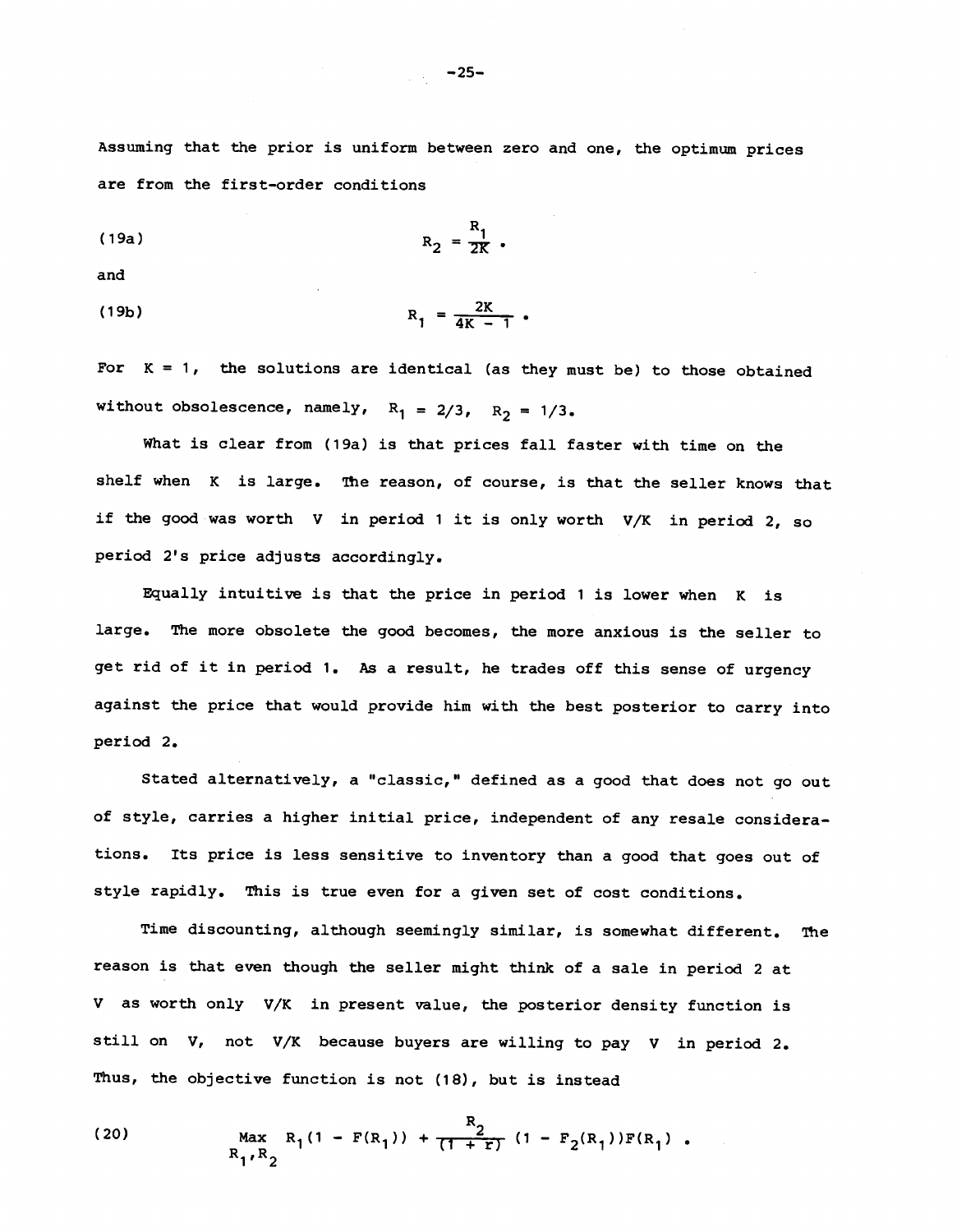Assuming that the prior is uniform between zero and one, the optimum prices are from the first—order conditions

$$
R_2 = \frac{R_1}{2K}.
$$

and

(19b) 
$$
R_1 = \frac{2K}{4K - 1}
$$
.

For  $K = 1$ , the solutions are identical (as they must be) to those obtained without obsolescence, namely,  $R_1 = 2/3$ ,  $R_2 = 1/3$ .

What is clear from (19a) is that prices fall faster with time on the shelf when K is large. The reason, of course, is that the seller knows that if the good was worth V in period 1 it is only worth V/K in period 2, so period 2's price adjusts accordingly.

Equally intuitive is that the price in period 1 is lower when K is large. The more obsolete the good becomes, the more anxious is the seller to get rid of it in period 1. As a result, he trades off this sense of urgency against the price that would provide him with the best posterior to carry into period 2.

Stated alternatively, a "classic," defined as a good that does not go out of style, carries a higher initial price, independent of any resale considerations. Its price is less sensitive to inventory than a good that goes out of style rapidly. This is true even for a given set of cost conditions.

Time discounting, although seemingly similar, is somewhat different. The reason is that even though the seller might think of a sale in period 2 at V as worth only V/K in present value, the posterior density function is still on V, not V/K because buyers are willing to pay V in period 2. Thus, the objective function is not (18), but is instead

(20) Max 
$$
R_1(1 - F(R_1)) + \frac{R_2}{(1 + r)} (1 - F_2(R_1))F(R_1)
$$
.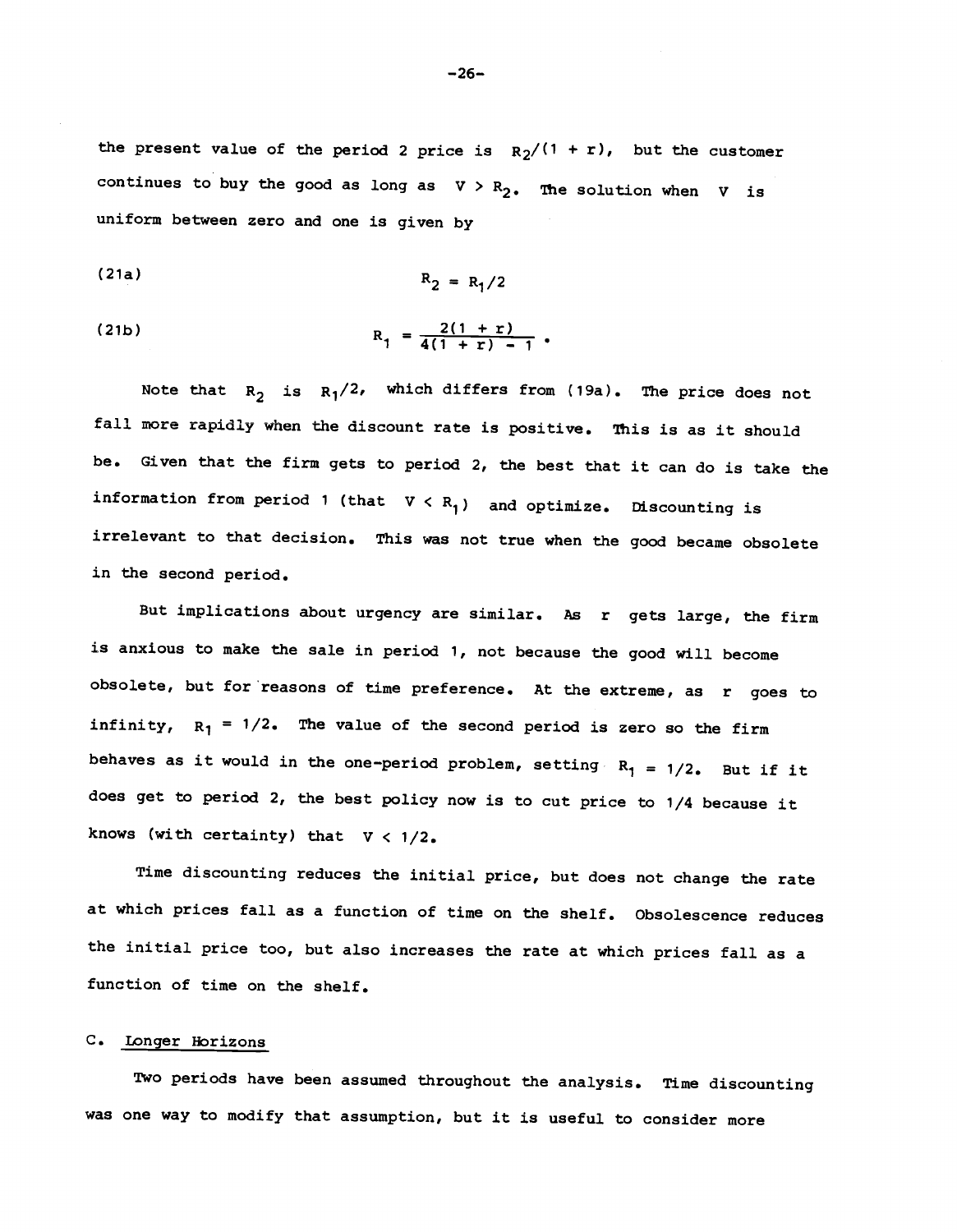the present value of the period 2 price is  $R_2/(1 + r)$ , but the customer continues to buy the good as long as  $V > R_2$ . The solution when V is uniform between zero and one is given by

(21a) 
$$
R_2 = R_1/2
$$

(21b) 
$$
R_1 = \frac{2(1+r)}{4(1+r) - 1}.
$$

Note that  $R_2$  is  $R_1/2$ , which differs from (19a). The price does not fall more rapidly when the discount rate is positive. This is as it should be. Given that the firm gets to period 2, the best that it can do is take the information from period 1 (that  $V < R_1$ ) and optimize. Discounting is irrelevant to that decision. This was not true when the good became obsolete in the second period.

But implications about urgency are similar. As r gets large, the firm is anxious to make the sale in period 1, not because the good will become obsolete, but for reasons of time preference. At the extreme, as r goes to infinity,  $R_1 = 1/2$ . The value of the second period is zero so the firm behaves as it would in the one-period problem, setting  $R_1 = 1/2$ . But if it does get to period 2, the best policy now is to cut price to 1/4 because it knows (with certainty) that  $V < 1/2$ .

Time discounting reduces the initial price, but does not change the rate at which prices fall as a function of time on the shelf. Obsolescence reduces the initial price too, but also increases the rate at which prices fall as a function of time on the shelf.

## C. Longer Horizons

Two periods have been assumed throughout the analysis. Time discounting was one way to modify that assumption, but it is useful to consider more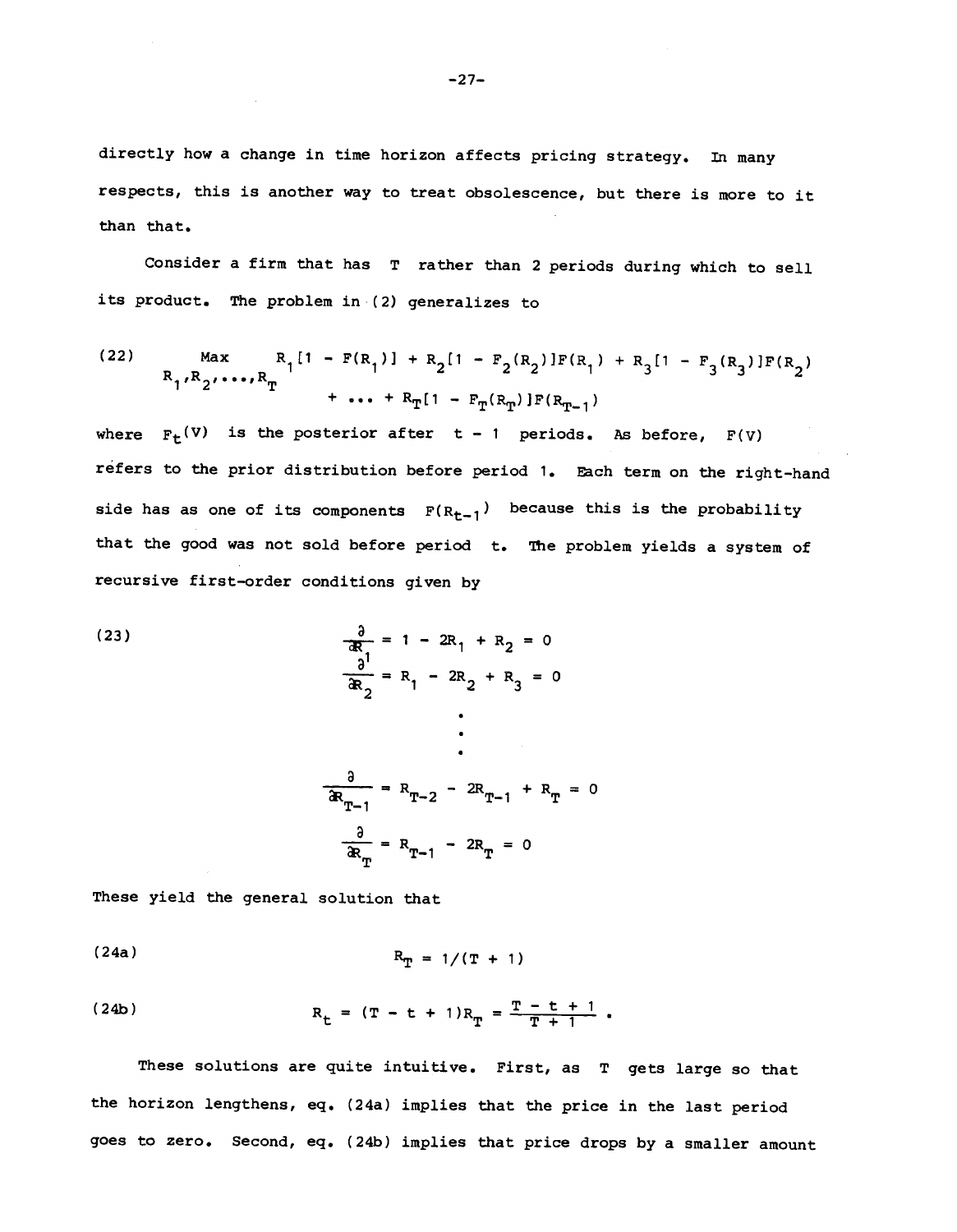directly how a change in time horizon affects pricing strategy. In many respects, this is another way to treat obsolescence, but there is more to it than that.

Consider a firm that has T rather than 2 periods during which to sell its product. The problem in (2) generalizes to

(22) Max 
$$
R_1[1 - F(R_1)] + R_2[1 - F_2(R_2)]F(R_1) + R_3[1 - F_3(R_3)]F(R_2)
$$
  
+ ... +  $R_T[1 - F_T(R_T)]F(R_{T-1})$ 

where  $F_t(V)$  is the posterior after t - 1 periods. As before,  $F(V)$ refers to the prior distribution before period 1. Each term on the right-hand side has as one of its components  $F(R_{t-1})$  because this is the probability that the good was not sold before period t. The problem yields a system of recursive first—order conditions given by

(23)  
\n
$$
\frac{\partial}{\partial R} = 1 - 2R_1 + R_2 = 0
$$
\n
$$
\frac{\partial}{\partial R} = R_1 - 2R_2 + R_3 = 0
$$
\n
$$
\frac{\partial}{\partial R_{T-1}} = R_{T-2} - 2R_{T-1} + R_T = 0
$$
\n
$$
\frac{\partial}{\partial R_T} = R_{T-1} - 2R_T = 0
$$

These yield the general solution that

(24a) 
$$
R_T = 1/(T + 1)
$$

(24b) 
$$
R_{t} = (T - t + 1)R_{T} = \frac{T - t + 1}{T + 1}.
$$

These solutions are quite intuitive. First, as T gets large so that the horizon lengthens, eq. (24a) implies that the price in the last period goes to zero. Second, eq. (24b) implies that price drops by a smaller amount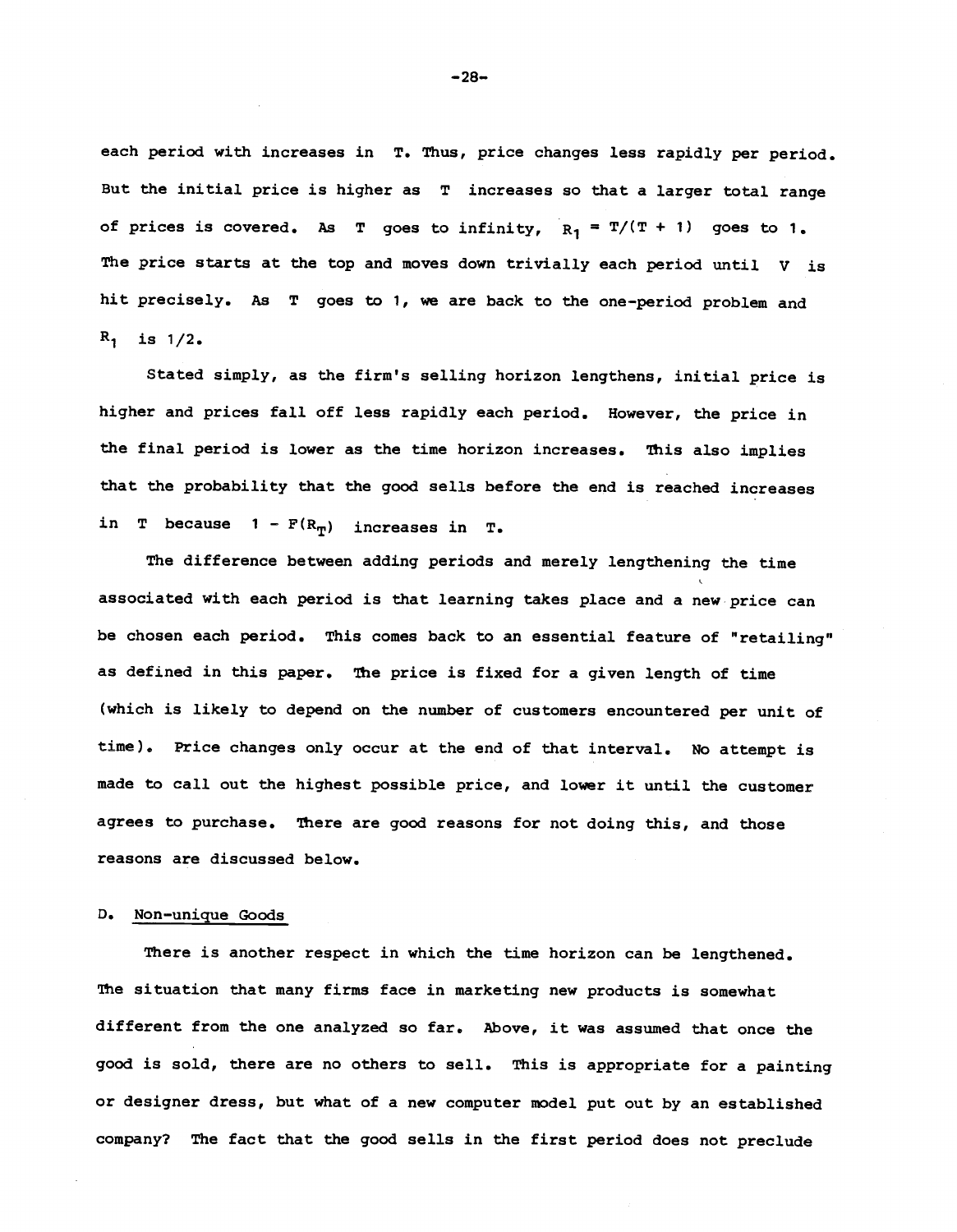each period with increases in T. Thus, price changes less rapidly per period. But the initial price is higher as T increases so that a larger total range of prices is covered. As T goes to infinity,  $R_1 = T/(T + 1)$  goes to 1. The price starts at the top and moves down trivially each period until  $V$  is hit precisely. As T goes to 1, we are back to the one-period problem and  $R_1$  is  $1/2$ .

Stated simply, as the firm's selling horizon lengthens, initial price is higher and prices fall off less rapidly each period. However, the price in the final period is lower as the time horizon increases. This also implies that the probability that the good sells before the end is reached increases in T because  $1 - F(R_T)$  increases in T.

The difference between adding periods and merely lengthening the time associated with each period is that learning takes place and a new price can be chosen each period. This comes back to an essential feature of "retailing" as defined in this paper. The price is fixed for a given length of time (which is likely to depend on the number of customers encountered per unit of time). Price changes only occur at the end of that interval. No attempt is made to call out the highest possible price, and lower it until the customer agrees to purchase. There are good reasons for not doing this, and those reasons are discussed below.

# D. Non—unique Goods

There is another respect in which the time horizon can be lengthened. The situation that many firms face in marketing new products is somewhat different from the one analyzed so far. above, it was assumed that once the good is sold, there are no others to sell. This is appropriate for a painting or designer dress, but what of a new computer model put out by an established company? The fact that the good sells in the first period does not preclude

—28—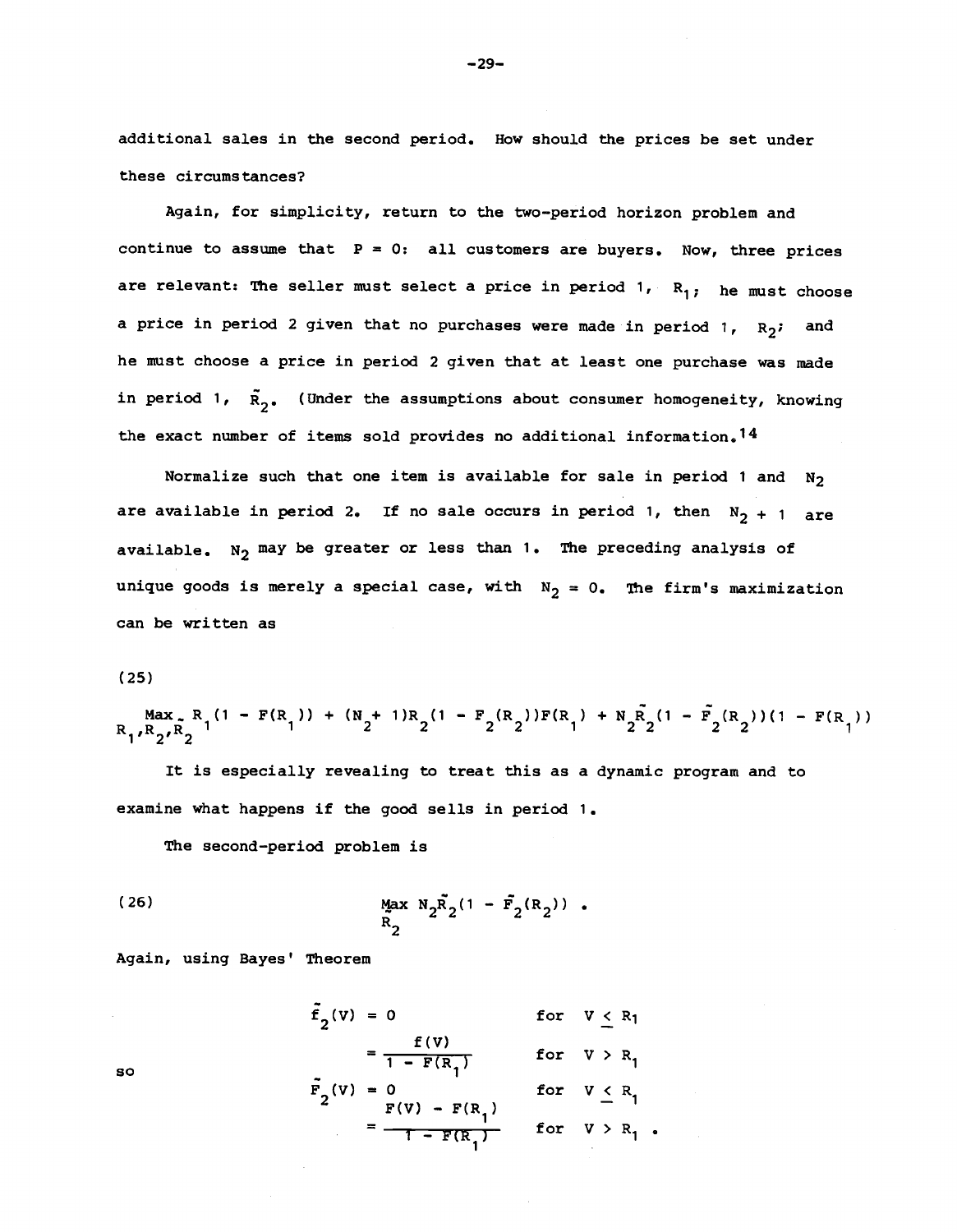additional sales in the second period. How should the prices be set under these circumstances?

Again, for simplicity, return to the two—period horizon problem and continue to assume that  $P = 0$ : all customers are buyers. Now, three prices are relevant: The seller must select a price in period  $1, R_{1}$ ; he must choose a price in period 2 given that no purchases were made in period 1,  $R_2$ ; and he must choose a price in period 2 given that at least one purchase was made in period 1,  $\tilde{R}_{2}$ . (Under the assumptions about consumer homogeneity, knowing the exact number of items sold provides no additional information.<sup>14</sup>

Normalize such that one item is available for sale in period 1 and  $N_2$ are available in period 2. If no sale occurs in period 1, then  $N_2 + 1$  are available.  $N_2$  may be greater or less than 1. The preceding analysis of unique goods is merely a special case, with  $N_2 = 0$ . The firm's maximization can be written as

### (25)

Max<sub>2</sub> R<sub>1</sub>(1 – F(R<sub>1</sub>)) + (N<sub>2</sub>+ 1)R<sub>2</sub>(1 – F<sub>2</sub>(R<sub>2</sub>))F(R<sub>1</sub>) + N<sub>2</sub>R<sub>2</sub>(1 – F<sub>2</sub>(R<sub>2</sub>))(1 – F(R<sub>1</sub>))  $1''$   $2'$   $2$ 

It is especially revealing to treat this as a dynamic program and to examine what happens if the good sells in period 1.

The second—period problem is

(26) 
$$
\frac{Max}{R_2} N_2 \bar{R}_2 (1 - \bar{F}_2 (R_2)) .
$$

Again, using Bayes' Theorem

$$
\tilde{f}_2(v) = 0 \quad \text{for } v \le R_1
$$
\n
$$
= \frac{f(v)}{1 - F(R_1)} \quad \text{for } v > R_1
$$
\n
$$
\tilde{F}_2(v) = 0 \quad \text{for } v \le R_1
$$
\n
$$
= \frac{F(v) - F(R_1)}{1 - F(R_1)} \quad \text{for } v > R_1
$$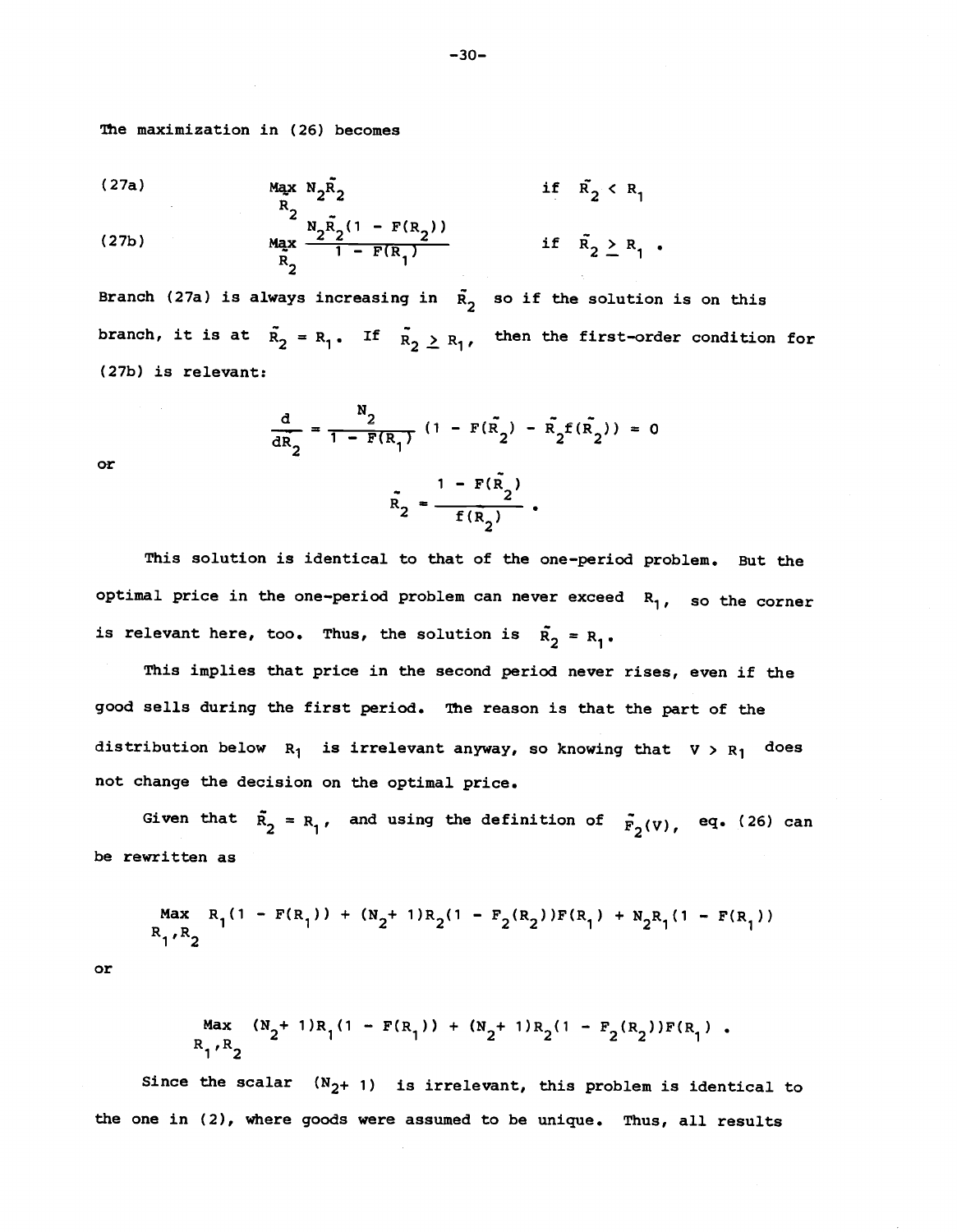The maximization in (26) becomes

(27a) 
$$
M_{2}X N_{2}R_{2}
$$
 if  $R_{2} < R_{1}$   
\n
$$
M_{2}X N_{2}R_{2}
$$
 if  $R_{2} < R_{1}$   
\n(27b) 
$$
M_{2}X \frac{N_{2}R_{2}(1 - F(R_{2}))}{1 - F(R_{1})}
$$
 if  $R_{2} \ge R_{1}$ .

Branch (27a) is always increasing in  $\tilde{R}_2$  so if the solution is on this branch, it is at  $\tilde{R}_2 = R_1$ . If  $\tilde{R}_2 \ge R_1$ , then the first-order condition for (27b) is relevant:

$$
\frac{d}{dR_2} = \frac{N_2}{1 - F(R_1)} (1 - F(\tilde{R}_2) - \tilde{R}_2 f(\tilde{R}_2)) = 0
$$
  

$$
\tilde{R}_2 = \frac{1 - F(\tilde{R}_2)}{f(R_2)}.
$$

or

This solution is identical to that of the one-period problem. But the optimal price in the one-period problem can never exceed  $R_1$ , so the corner is relevant here, too. Thus, the solution is  $\tilde{R}_2 = R_1$ .

This implies that price in the second period never rises, even if the good sells during the first period. The reason is that the part of the distribution below  $R_1$  is irrelevant anyway, so knowing that  $V > R_1$  does not change the decision on the optimal price.

Given that  $\tilde{R}_2 = R_1$ , and using the definition of  $\tilde{F}_2(v)$ , eq. (26) can be rewritten as

$$
R_1, R_2
$$
\n
$$
R_1, R_2
$$
\n
$$
R_1, R_2
$$
\n
$$
R_1, R_2
$$

or

$$
R_1, R_2
$$
  

$$
R_1, R_2
$$

Since the scalar  $(N_{2}+ 1)$  is irrelevant, this problem is identical to the one in (2), where goods were assumed to be unique. Thus, all results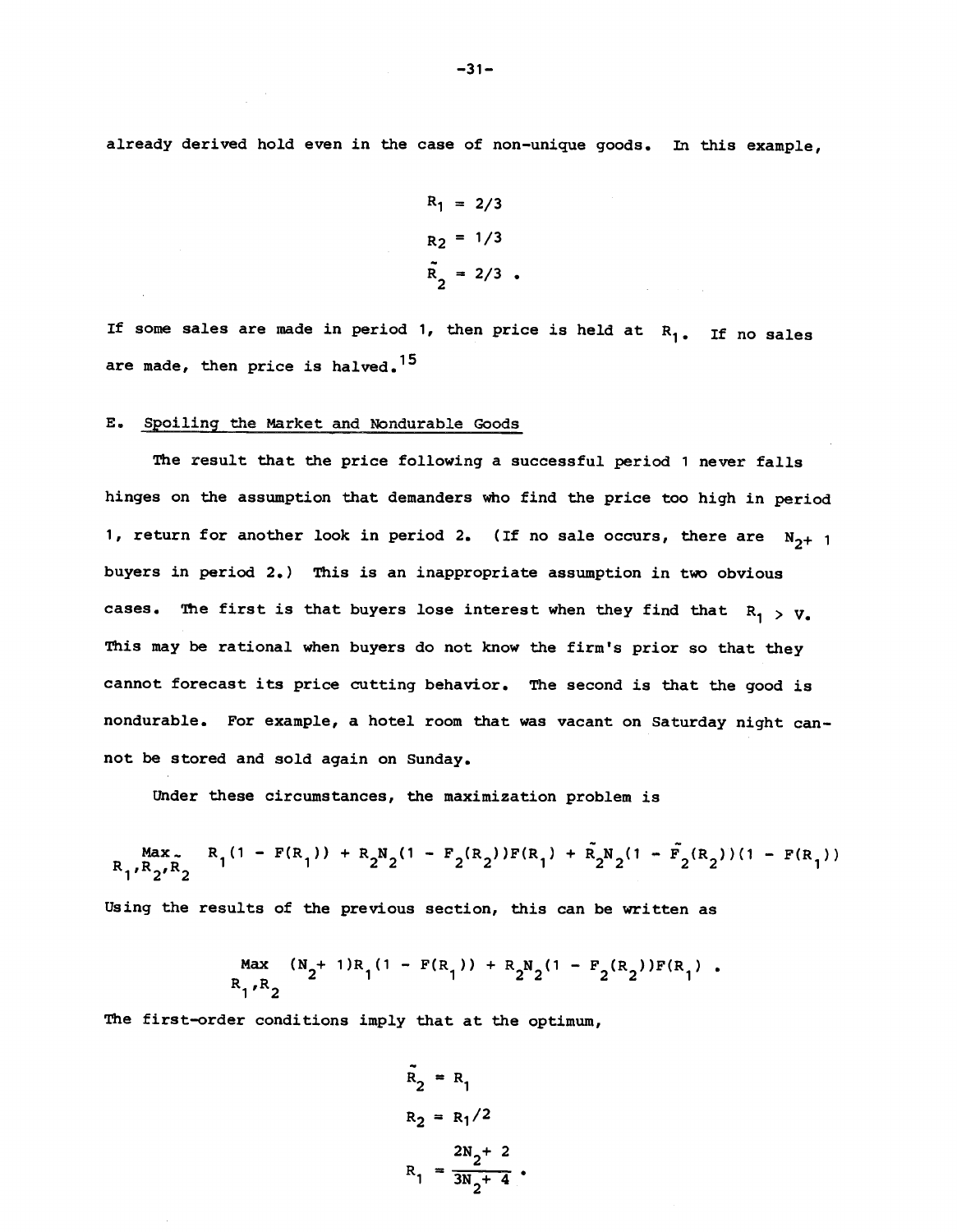already derived hold even in the case of non—unique goods. In this example,

$$
R_1 = 2/3
$$
  
\n
$$
R_2 = 1/3
$$
  
\n
$$
R_2 = 2/3
$$

If some sales are made in period 1, then price is held at  $R_1$ . If no sales are made, then price is halved.<sup>15</sup>

# E. Spoiling the Market and Nondurable Goods

The result that the price following a successful period 1 never falls hinges on the assumption that demanders who find the price too high in period 1, return for another look in period 2. (If no sale occurs, there are  $N_{2^+}$  1 buyers in period 2.) This is an inappropriate assumption in two obvious cases. The first is that buyers lose interest when they find that  $R_1 > V_c$ This may be rational when buyers do not know the firm's prior so that they cannot forecast its price cutting behavior. The second is that the good is nondurable. For example, a hotel room that was vacant on Saturday night cannot be stored and sold again on Sunday.

Under these circumstances, the maximization problem is

$$
\mathbf{R}_{1'}\mathbf{R}_{2'}\mathbf{R}_{2} \qquad \mathbf{R}_{1}(1 - \mathbf{F}(\mathbf{R}_{1})) + \mathbf{R}_{2}\mathbf{N}_{2}(1 - \mathbf{F}_{2}(\mathbf{R}_{2}))\mathbf{F}(\mathbf{R}_{1}) + \tilde{\mathbf{R}}_{2}\mathbf{N}_{2}(1 - \tilde{\mathbf{F}}_{2}(\mathbf{R}_{2})) (1 - \mathbf{F}(\mathbf{R}_{1}))
$$

Using the results of the previous section, this can be written as

$$
R_1, R_2
$$
\n
$$
R_1, R_2
$$
\n
$$
R_1, R_2
$$

The first-order conditions imply that at the optimum,

$$
\tilde{R}_2 = R_1
$$
  
\n
$$
R_2 = R_1/2
$$
  
\n
$$
R_1 = \frac{2N_2 + 2}{3N_2 + 4}
$$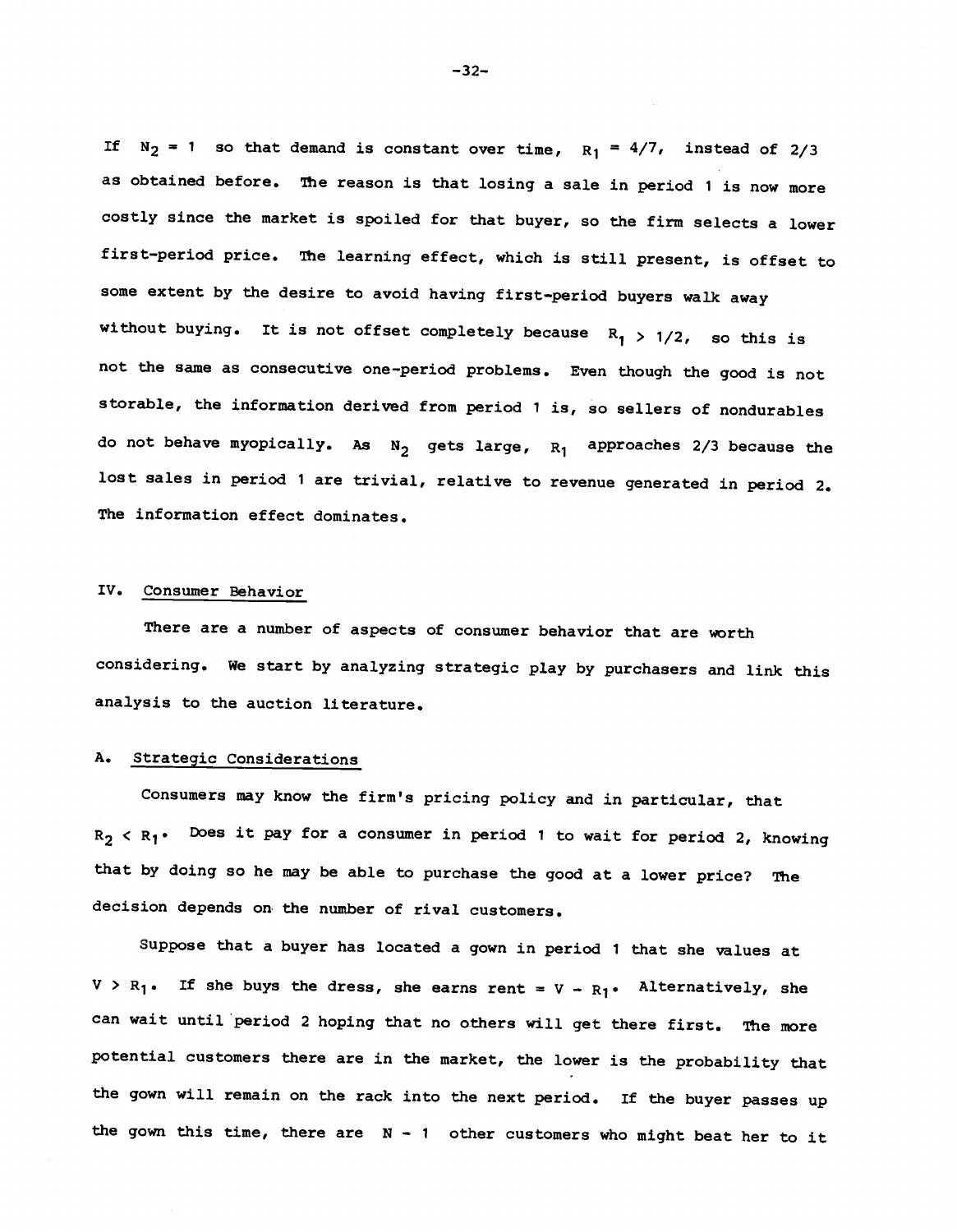If  $N_2 = 1$  so that demand is constant over time,  $R_1 = 4/7$ , instead of 2/3 as obtained before. The reason is that losing a sale in period 1 is now more costly since the market is spoiled for that buyer, so the firm selects a lower first—period price. The learning effect, which is still present, is offset to some extent by the desire to avoid having first—period buyers walk away without buying. It is not offset completely because  $R_1 > 1/2$ , so this is not the same as consecutive one—period problems. Even though the good is not storable, the information derived from period 1 is, so sellers of nondurables do not behave myopically. As  $N_2$  gets large,  $R_1$  approaches 2/3 because the lost sales in period 1 are trivial, relative to revenue generated in period 2. The information effect dominates.

# Iv. Consumer Behavior

There are a number of aspects of consumer behavior that are worth considering, We start by analyzing strategic play by purchasers and link this analysis to the auction literature.

# A. Strategic Considerations

Consumers may know the firm's pricing policy and in particular, that  $R_2 < R_1$ • Does it pay for a consumer in period 1 to wait for period 2, knowing that by doing so he may be able to purchase the good at a lower price? The decision depends on. the number of rival customers.

Suppose that a buyer has located a gown in period 1 that she values at  $V > R_1$ . If she buys the dress, she earns rent =  $V - R_1$ . Alternatively, she can wait until period 2 hoping that no others will get there first. The more potential customers there are in the market, the lower is the probability that the gown will remain on the rack into the next period. If the buyer passes up the gown this time, there are  $N - 1$  other customers who might beat her to it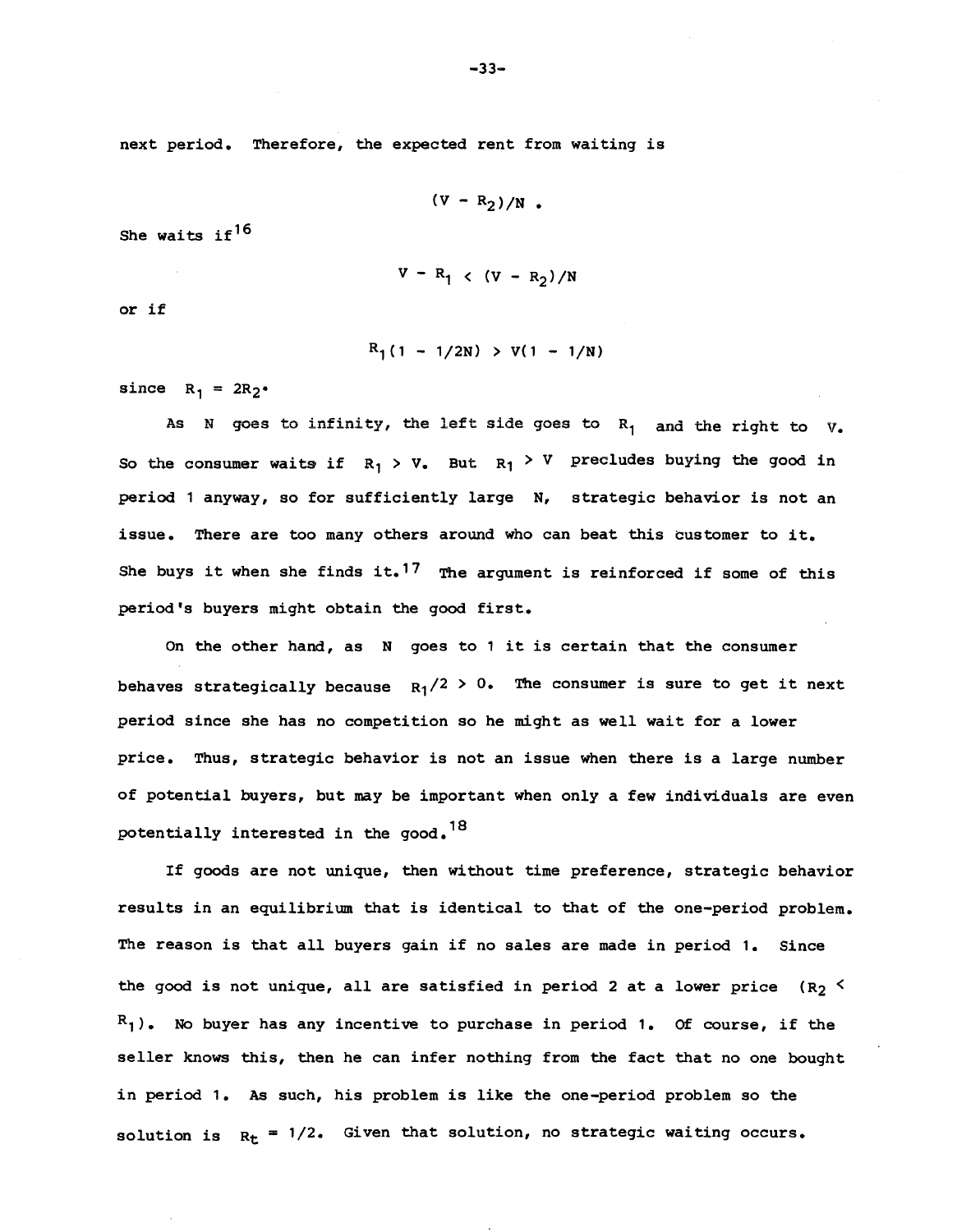next period. Therefore, the expected rent from waiting is

$$
(\mathbf{V}-\mathbf{R}_2)/\mathbf{N} .
$$

She waits if<sup>16</sup>

$$
V - R_1 \langle (V - R_2) / N
$$

or if

 $R_1(1 - 1/2N) > V(1 - 1/N)$ 

since  $R_1 = 2R_2$ .

As N goes to infinity, the left side goes to  $R_1$  and the right to  $V_e$ So the consumer waits if  $R_1 > V_1$ . But  $R_1 > V_1$  precludes buying the good in period 1 anyway, so for sufficiently large N, strategic behavior is not an issue. There are too many others around who can beat this customer to it. She buys it when she finds it.<sup>17</sup> The argument is reinforced if some of this period's buyers might obtain the good first.

On the other hand, as N goes to 1 it is certain that the consumer behaves strategically because  $R_1/2 > 0$ . The consumer is sure to get it next period since she has no competition so he might as well wait for a lower price. Thus, strategic behavior is not an issue when there is a large number of potential buyers, but may be important when only a few individuals are even potentially interested in the good.<sup>18</sup>

If goods are not unique, then without time preference, strategic behavior results in an equilibrium that is identical to that of the one—period problem. The reason is that all buyers gain if no sales are made in period 1. Since the good is not unique, all are satisfied in period 2 at a lower price (R<sub>2</sub>  $\leq$  $R_1$ ). No buyer has any incentive to purchase in period 1. Of course, if the seller knows this, then he can infer nothing from the fact that no one bought in period 1. As such, his problem is like the one—period problem so the solution is  $R_t = 1/2$ . Given that solution, no strategic waiting occurs.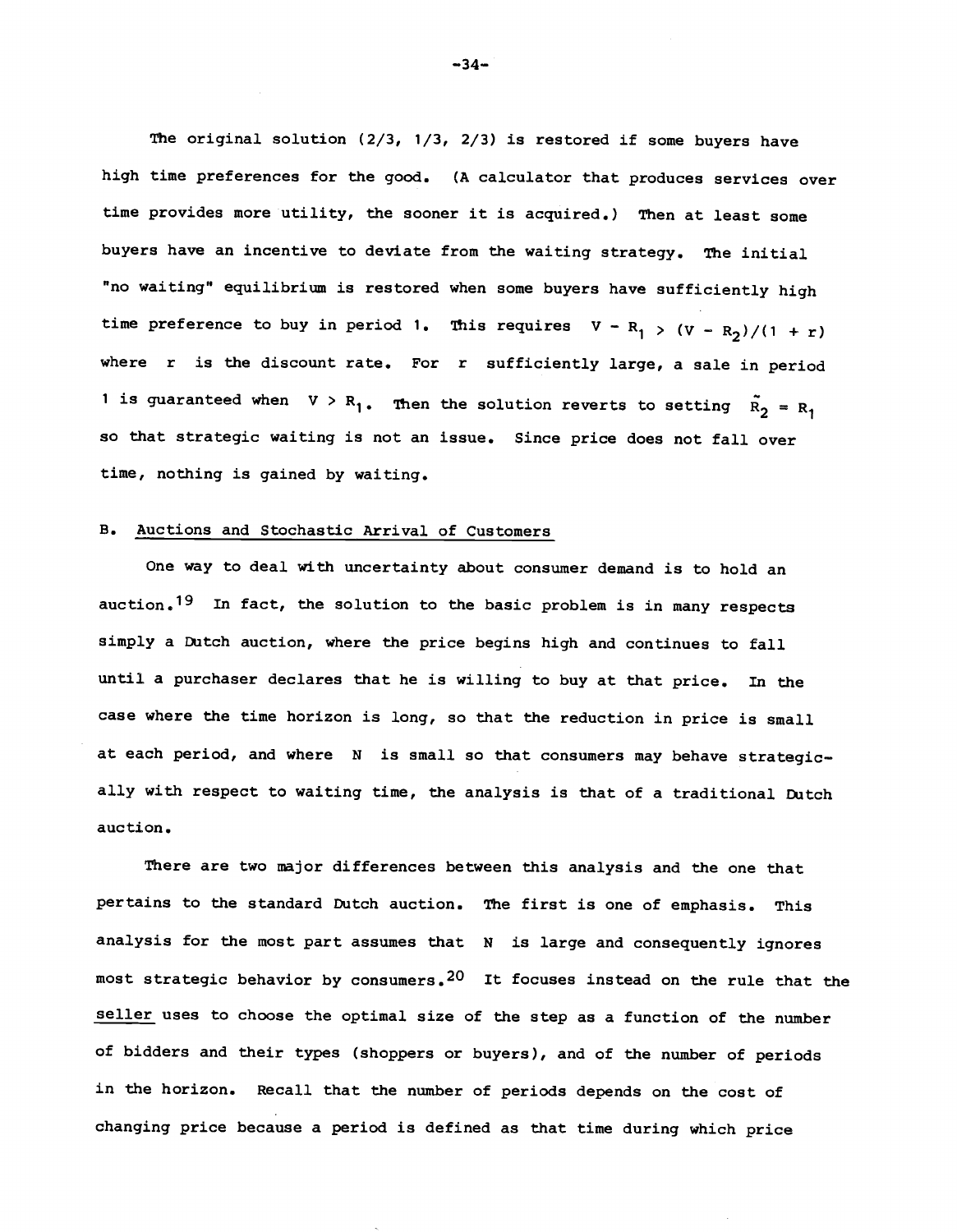The original solution  $(2/3, 1/3, 2/3)$  is restored if some buyers have high time preferences for the good. (A calculator that produces services over time provides more utility, the sooner it is acquired.) Then at least some buyers have an incentive to deviate from the waiting strategy. The initial "no waiting" equilibrium is restored when some buyers have sufficiently high time preference to buy in period 1. This requires  $V - R_1 > (V - R_2)/(1 + r)$ where r is the discount rate. For r sufficiently large, a sale in period 1 is guaranteed when  $V > R_1$ . Then the solution reverts to setting  $\tilde{R_2} = R_1$ so that strategic waiting is not an issue. Since price does not fall over time, nothing is gained by waiting.

### B. Auctions and Stochastic Arrival of Customers

One way to deal with uncertainty about consumer demand is to hold an auction.<sup>19</sup> In fact, the solution to the basic problem is in many respects simply a Dutch auction, where the price begins high and continues to fall until a purchaser declares that he is willing to buy at that price. In the case where the time horizon is long, so that the reduction in price is small at each period, and where N is small so that consumers may behave strategically with respect to waiting time, the analysis is that of a traditional Dutch auction.

There are two major differences between this analysis and the one that pertains to the standard Dutch auction. The first is one of emphasis. This analysis for the most part assumes that N is large and consequently ignores most strategic behavior by consumers.<sup>20</sup> It focuses instead on the rule that the seller uses to choose the optimal size of the step as a function of the number of bidders and their types (shoppers or buyers), and of the number of periods in the horizon. Recall that the number of periods depends on the cost of changing price because a period is defined as that time during which price

 $-34-$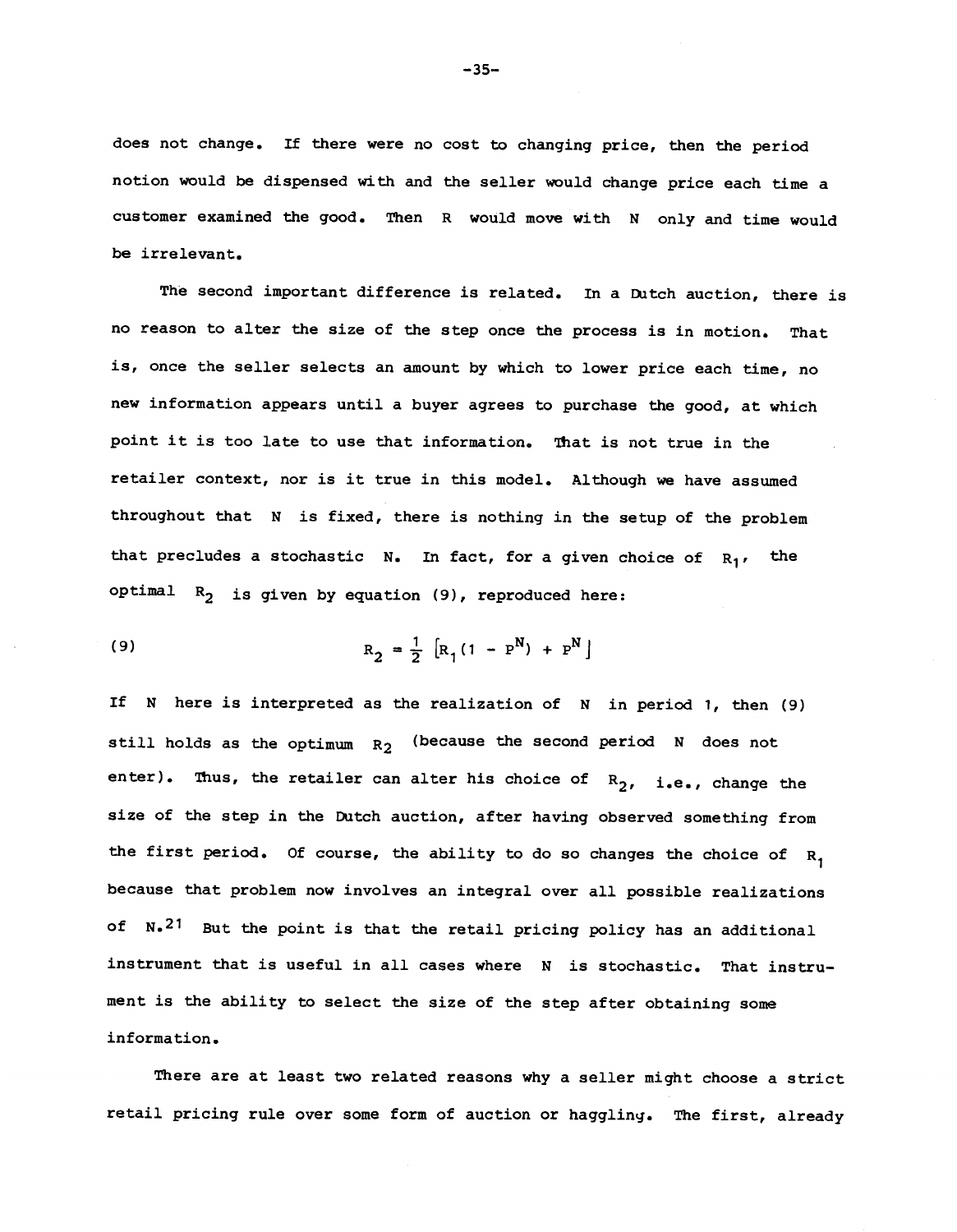does not change. If there were no cost to changing price, then the period notion would be dispensed with and the seller would change price each time a customer examined the good. Then R would move with N only and time would be irrelevant.

The second important difference is related. In a Dutch auction, there is no reason to alter the size of the step once the process is in motion. That is, once the seller selects an amount by which to lower price each time, no new information appears until a buyer agrees to purchase the good, at which point it is too late to use that information. That is not true in the retailer context, nor is it true in this model. Although we have assumed throughout that N is fixed, there is nothing in the setup of the problem that precludes a stochastic N. In fact, for a given choice of  $R_1$ , the optimal  $R_2$  is given by equation (9), reproduced here:

(9) 
$$
R_2 = \frac{1}{2} [R_1(1 - P^N) + P^N]
$$

If N here is interpreted as the realization of N in period 1, then (9) still holds as the optimum  $R_2$  (because the second period N does not enter). Thus, the retailer can alter his choice of  $R_2$ , i.e., change the size of the step in the Dutch auction, after having observed something from the first period. Of course, the ability to do so changes the choice of  $R^1$ because that problem now involves an integral over all possible realizations of N.<sup>21</sup> But the point is that the retail pricing policy has an additional instrument that is useful in all cases where N is stochastic. That instrument is the ability to select the size of the step after obtaining some information.

There are at least two related reasons why a seller might choose a strict retail pricing rule over some form of auction or haggling. The first, already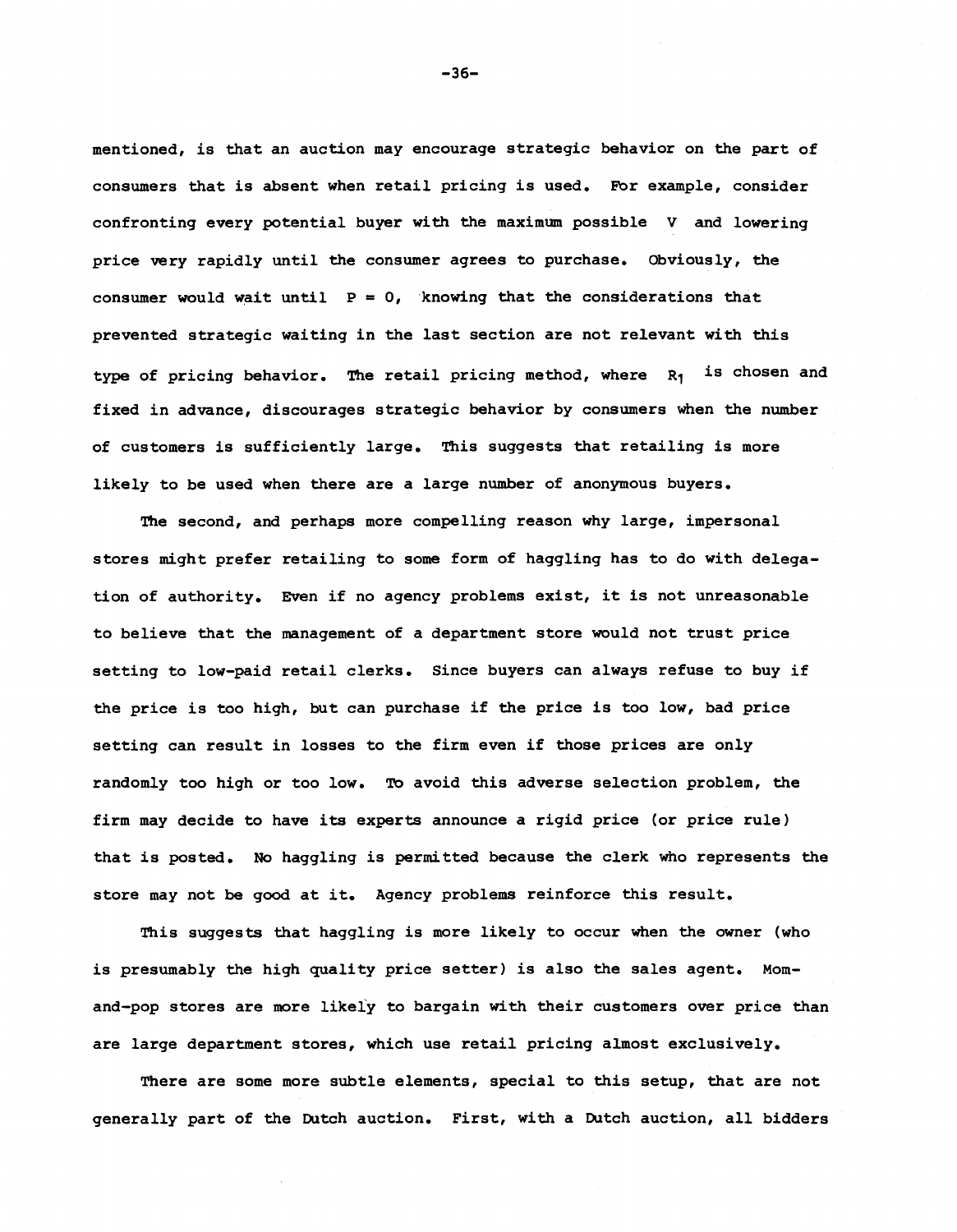mentioned, is that an auction may encourage strategic behavior on the part of consumers that is absent when retail pricing is used. For example, consider confronting every potential buyer with the maximum possible V and lowering price very rapidly until the consumer agrees to purchase. Obviously, the consumer would wait until  $P = 0$ , knowing that the considerations that prevented strategic waiting in the last section are not relevant with this type of pricing behavior. The retail pricing method, where  $R_1$  is chosen and fixed in advance, discourages strategic behavior by consumers when the number of customers is sufficiently large. This suggests that retailing is more likely to be used when there are a large number of anonymous buyers.

The second, and perhaps more compelling reason why large, impersonal stores might prefer retailing to some form of haggling has to do with delegation of authority. Even if no agency problems exist, it is not unreasonable to believe that the management of a department store would not trust price setting to low—paid retail clerks. Since buyers can always refuse to buy if the price is too high, but can purchase if the price is too low, bad price setting can result in losses to the firm even if those prices are only randomly too high or too low. To avoid this adverse selection problem, the firm may decide to have its experts announce a rigid price (or price rule) that is posted. No haggling is permitted because the clerk who represents the store may not be good at it. Agency problems reinforce this result.

This suggests that haggling is more likely to occur when the owner (who is presumably the high quality price setter) is also the sales agent. Momand—pop stores are more likely to bargain with their customers over price than are large department stores, which use retail pricing almost exclusively.

There are some more subtle elements, special to this setup, that are not generally part of the Dutch auction. First, with a Dutch auction, all bidders

—36—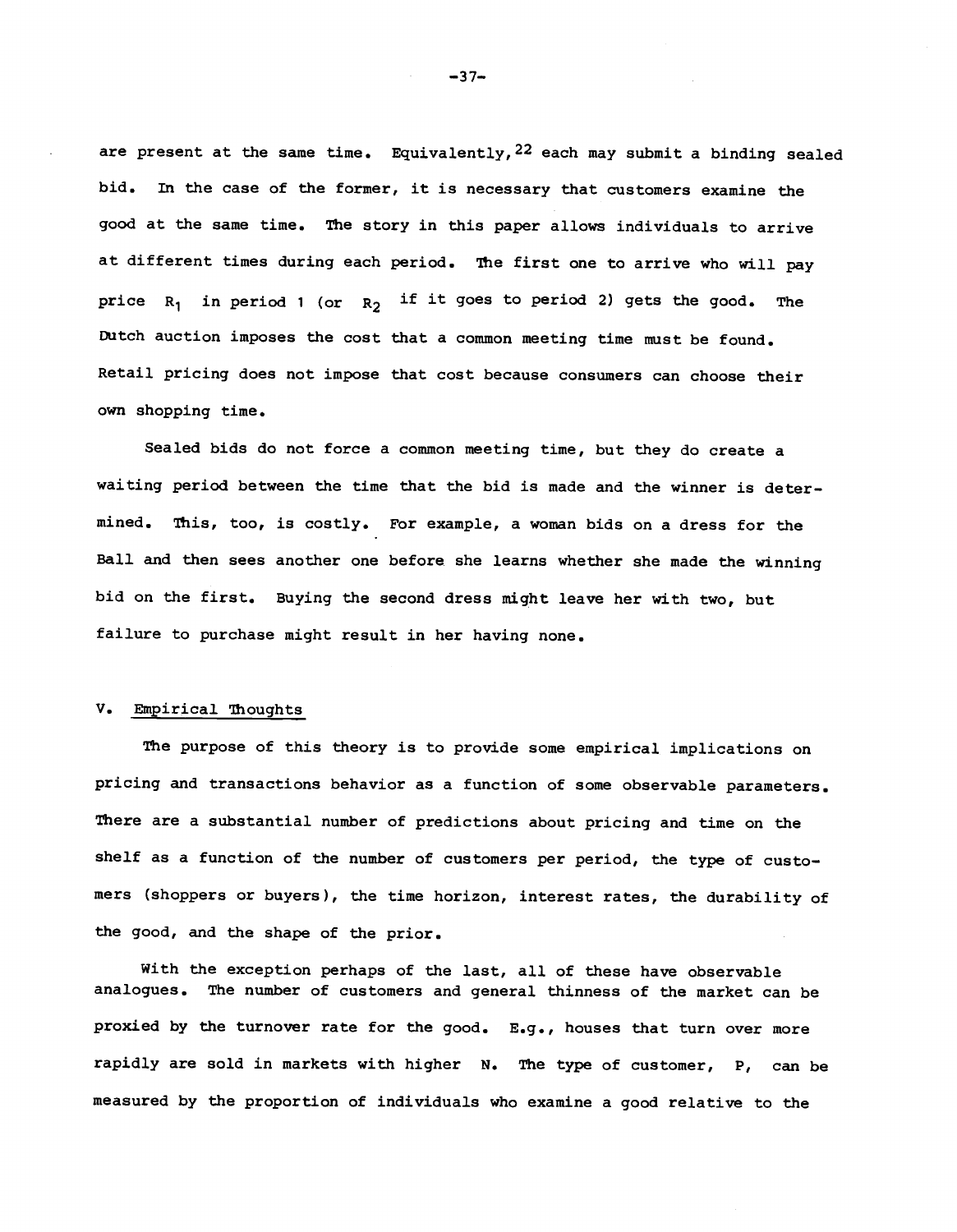are present at the same time. Equivalently,  $22$  each may submit a binding sealed bid. In the case of the former, it is necessary that customers examine the good at the same time. The story in this paper allows individuals to arrive at different times during each period. The first one to arrive who will pay price  $R_1$  in period 1 (or  $R_2$  if it goes to period 2) gets the good. The Dutch auction imposes the cost that a common meeting time must be found. Retail pricing does not impose that cost because consumers can choose their own shopping time.

Sealed bids do not force a common meeting time, but they do create a waiting period between the time that the bid is made and the winner is determined. This, too, is costly. For example, a woman bids on a dress for the Ball and then sees another one before she learns whether she made the winning bid on the first. Buying the second dress might leave her with two, but failure to purchase might result in her having none.

### V. Empirical Thoughts

The purpose of this theory is to provide some empirical implications on pricing and transactions behavior as a function of some observable parameters. There are a substantial number of predictions about pricing and time on the shelf as a function of the number of customers per period, the type of customers (shoppers or buyers), the time horizon, interest rates, the durability of the good, and the shape of the prior.

With the exception perhaps of the last, all of these have observable analogues. The number of customers and general thinness of the market can be proxied by the turnover rate for the good. E.g., houses that turn over more rapidly are sold in markets with higher N. The type of customer, P, can be measured by the proportion of individuals who examine a good relative to the

—37—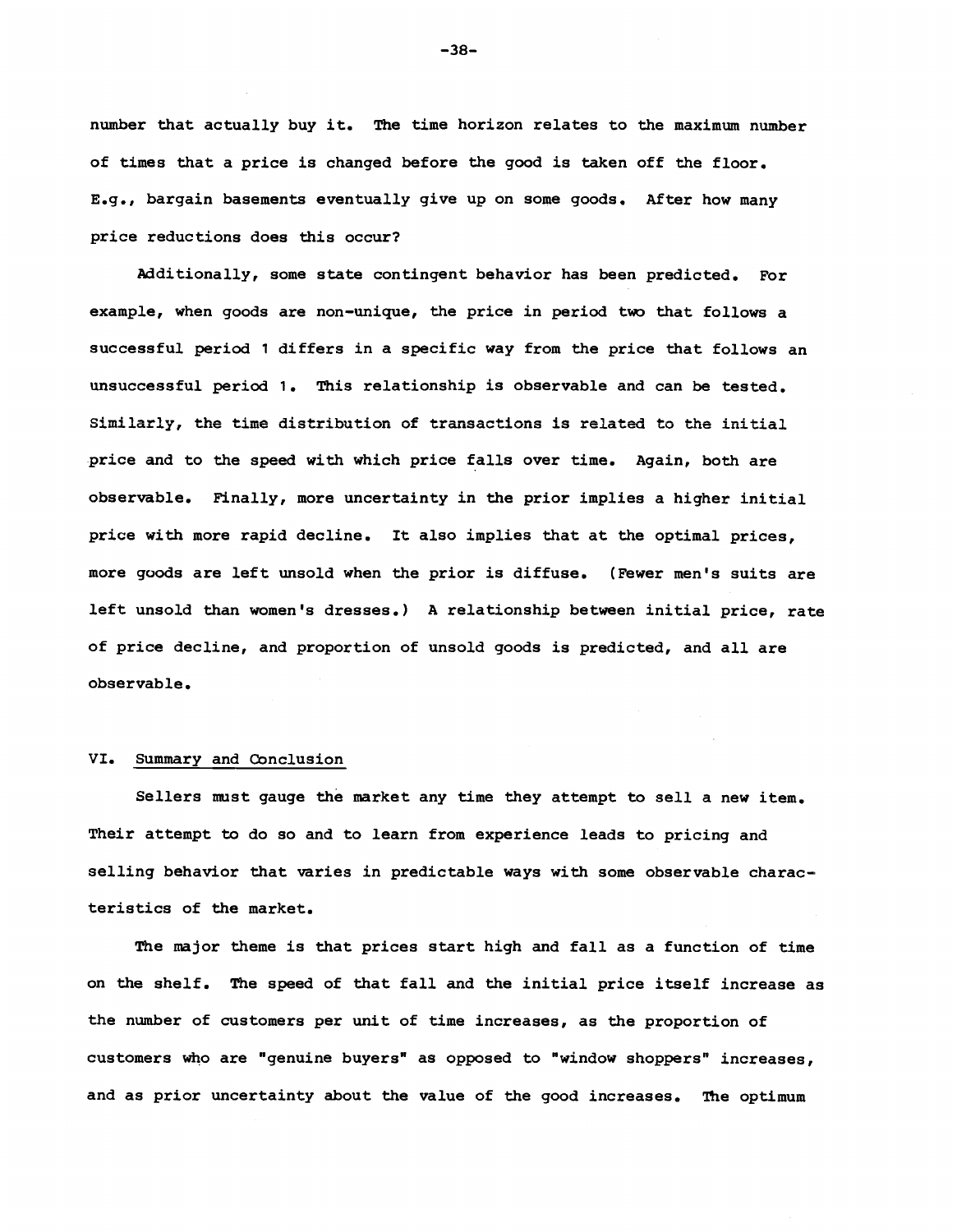number that actually buy it. The time horizon relates to the maximum number of times that a price is changed before the good is taken off the floor. E.g., bargain basements eventually give up on some goods. After how many price reductions does this occur?

additionally, some state contingent behavior has been predicted. For example, when goods are non—unique, the price in period two that follows a successful period 1 differs in a specific way from the price that follows an unsuccessful period 1. This relationship is observable and can be tested. Similarly, the time distribution of transactions is related to the initial price and to the speed with which price falls over time. Again, both are observable. Finally, more uncertainty in the prior implies a higher initial price with more rapid decline. It also implies that at the optimal prices, more goods are left unsold when the prior is diffuse. (Fewer men's suits are left unsold than women's dresses.) A relationship between initial price, rate of price decline, and proportion of unsold goods is predicted, and all are observable.

#### VI. Summary and conclusion

Sellers must gauge the market any time they attempt to sell a new item. Their attempt to do so and to learn from experience leads to pricing and selling behavior that varies in predictable ways with some observable characteristics of the market.

The major theme is that prices start high and fall as a function of time on the shelf. The speed of that fall and the initial price itself increase as the number of customers per unit of time increases, as the proportion of customers who are "genuine buyers" as opposed to "window shoppers" increases, and as prior uncertainty about the value of the good increases. The optimum

—38—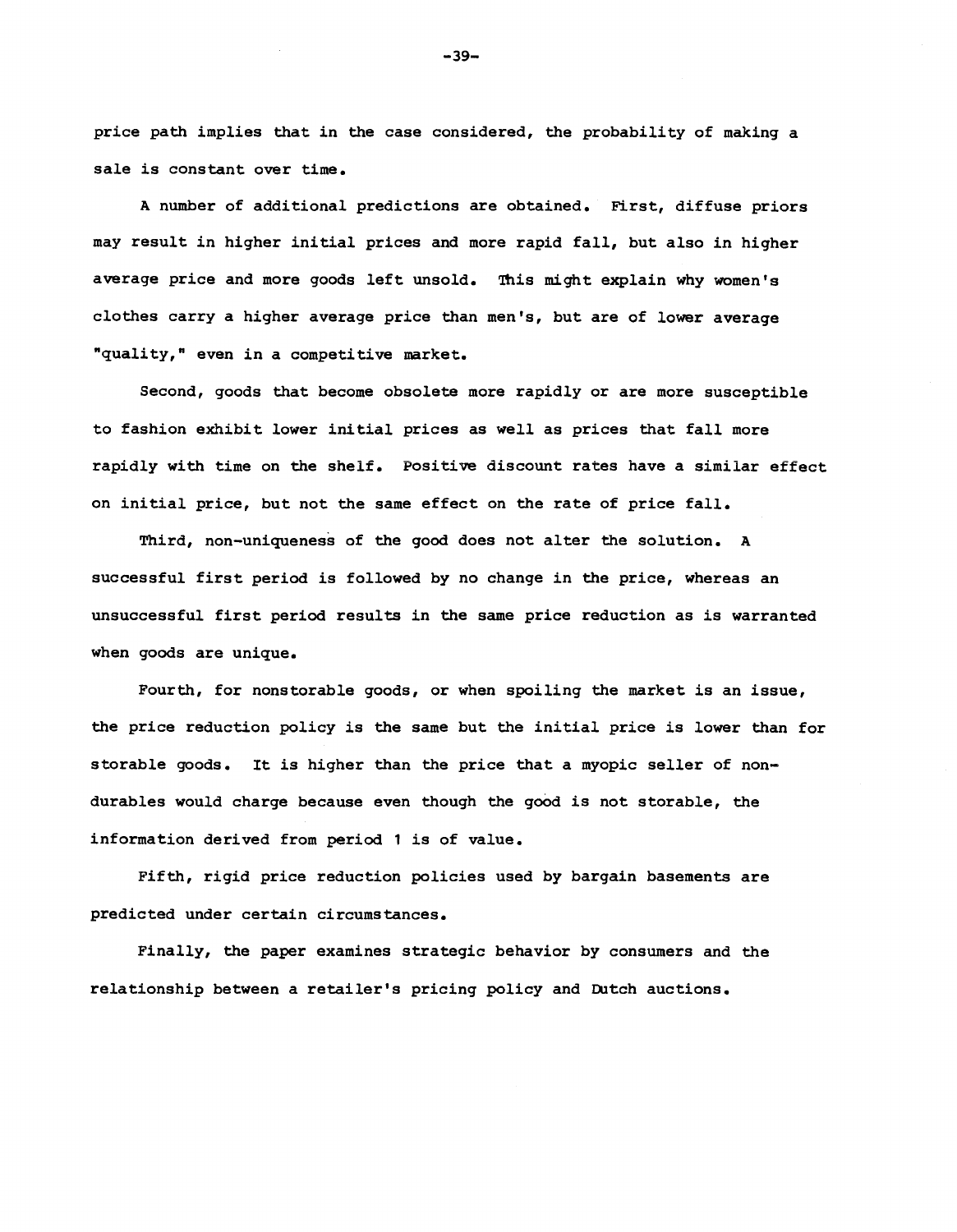price path implies that in the case considered, the probability of making a sale is constant over time.

A number of additional predictions are obtained. First, diffuse priors may result in higher initial prices and more rapid fall, but also in higher average price and more goods left unsold. This might explain why women's clothes carry a higher average price than men's, but are of lower average "quality," even in a competitive market.

Second, goods that become obsolete more rapidly or are more susceptible to fashion exhibjt lower initial prices as well as prices that fall more rapidly with time on the shelf. Positive discount rates have a similar effect on initial price, but not the same effect on the rate of price fall.

Third, non—uniqueness of the good does not alter the solution. A successful first period is followed by no change in the price, whereas an unsuccessful first period results in the same price reduction as is warranted when goods are unique.

Fourth, for nonstorable goods, or when spoiling the market is an issue, the price reduction policy is the same but the initial price is lower than for storable goods. It is higher than the price that a myopic seller of non durables would charge because even though the good is not storable, the information derived from period 1 is of value.

Fifth, rigid price reduction policies used by bargain basements are predicted under certain circumstances.

Finally, the paper examines strategic behavior by consumers and the relationship between a retailer's pricing policy and Dutch auctions.

—39—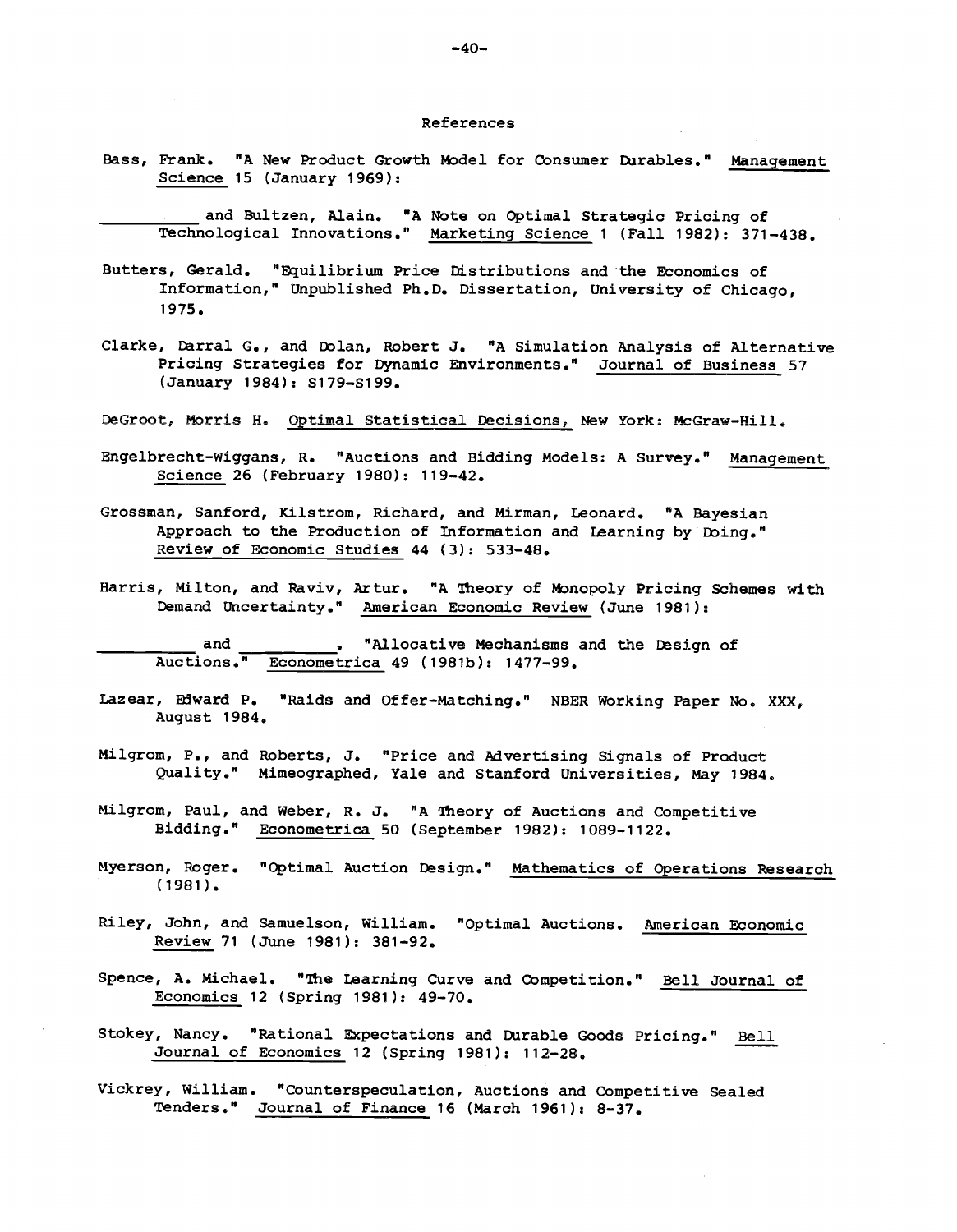#### References

- Bass, Frank. "A New Product Growth Model for Consumer Durables." Management Science 15 (January 1969):
	- and Bultzen, Alain. "A Note on Optimal Strategic Pricing of Technological Innovations." Marketing Science 1 (Fall 1982): 371—438.
- Butters, Gerald. "Equilibrium Price Distributions and the Economics of Information," Unpublished Ph.D. Dissertation, University of Chicago, 1975.
- Clarke, Derral G., and Eblan, Robert J. "A Simulation Analysis of Alternative Pricing Strategies for Dynamic Environments." Journal of Business 57 (January 1984): S179—S199.
- DeGroot, Morris H. Optimal Statistical Decisions, New York: McGraw—Hill.
- Engelbrecht—Wiggans, R. "Auctions and Bidding Models: A Survey." Management Science 26 (February 1980): 119—42.
- Grossman, Sanford, Kilstrom, Richard, and Mirman, Leonard. "A Bayesian Approach to the Production of Information and Learning by Doing." Review of Economic Studies 44 (3): 533—48.
- Harris, Milton, and Raviv, Artur. "A Theory of Monopoly Pricing Schemes with Demand Uncertainty." American Economic Review (June 1981):

and  $\qquad \qquad$  . "Allocative Mechanisms and the Design of Auctions." Econometrica 49 (1981b): 1477—99.

- Lazear, Edward P. "Raids and Offer-Matching." NBER Working Paper No. XXX, August 1984.
- Milgrom, P., and Roberts, J. "Price and advertising Signals of Product Quality." Mimeographed, Yale and Stanford Universities, May 1984.
- Milgrom, Paul, and Weber, R. J. "A Theory of Auctions and Competitive Bidding." Econometrica 50 (September 1982): 1089-1122.
- Myerson, Roger. "Optimal Auction Design." Mathematics of Operations Research (1981).
- Riley, John, and Samuelson, William, "Optimal Auctions. American Economic Review 71 (June 1981): 381—92.
- Spence, A. Michael. "The Learning Curve and Competition." Bell Journal of Economics 12 (Spring 1981): 49—70.
- Stokey, Nancy. "Rational Expectations and Durable Goods Pricing." Bell Journal of Economics 12 (spring 1981): 112—28.
- Vickrey, William. "Counterspeculation, Auctions and Competitive Sealed Tenders," Journal of Finance 16 (March 1961): 8—37.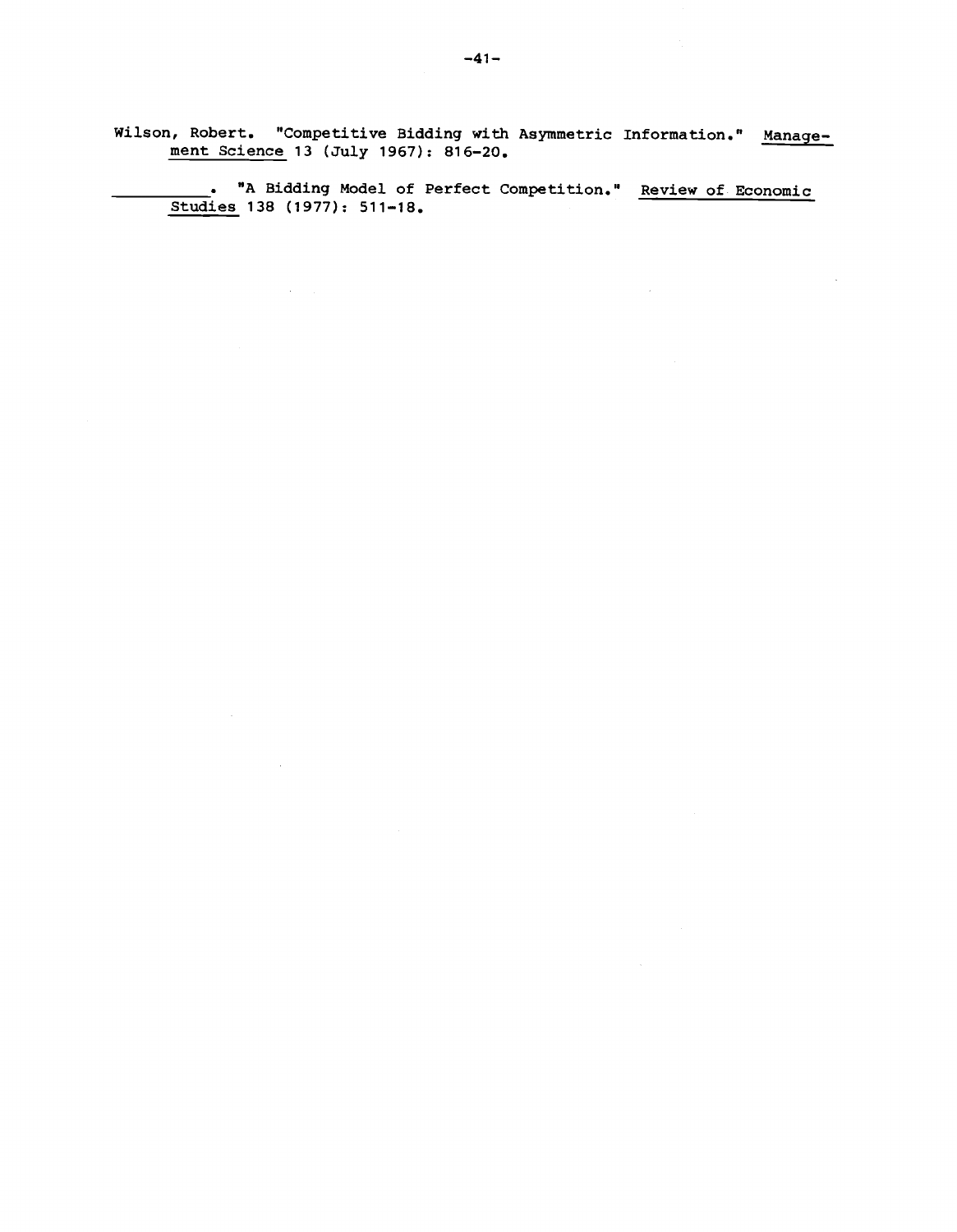Wilson, Robert. "Competitive Bidding with Asymmetric Information." Management Science 13 (July 1967): 816—20.

 $\alpha$  -  $\alpha$  -  $\alpha$ 

\_\_\_\_\_\_\_\_\_\_ "A Bidding Model of Perfect Competition." Review of Economic Studies 138 (1977): 511—18.

 $\sim 10^7$ 

 $\bar{z}$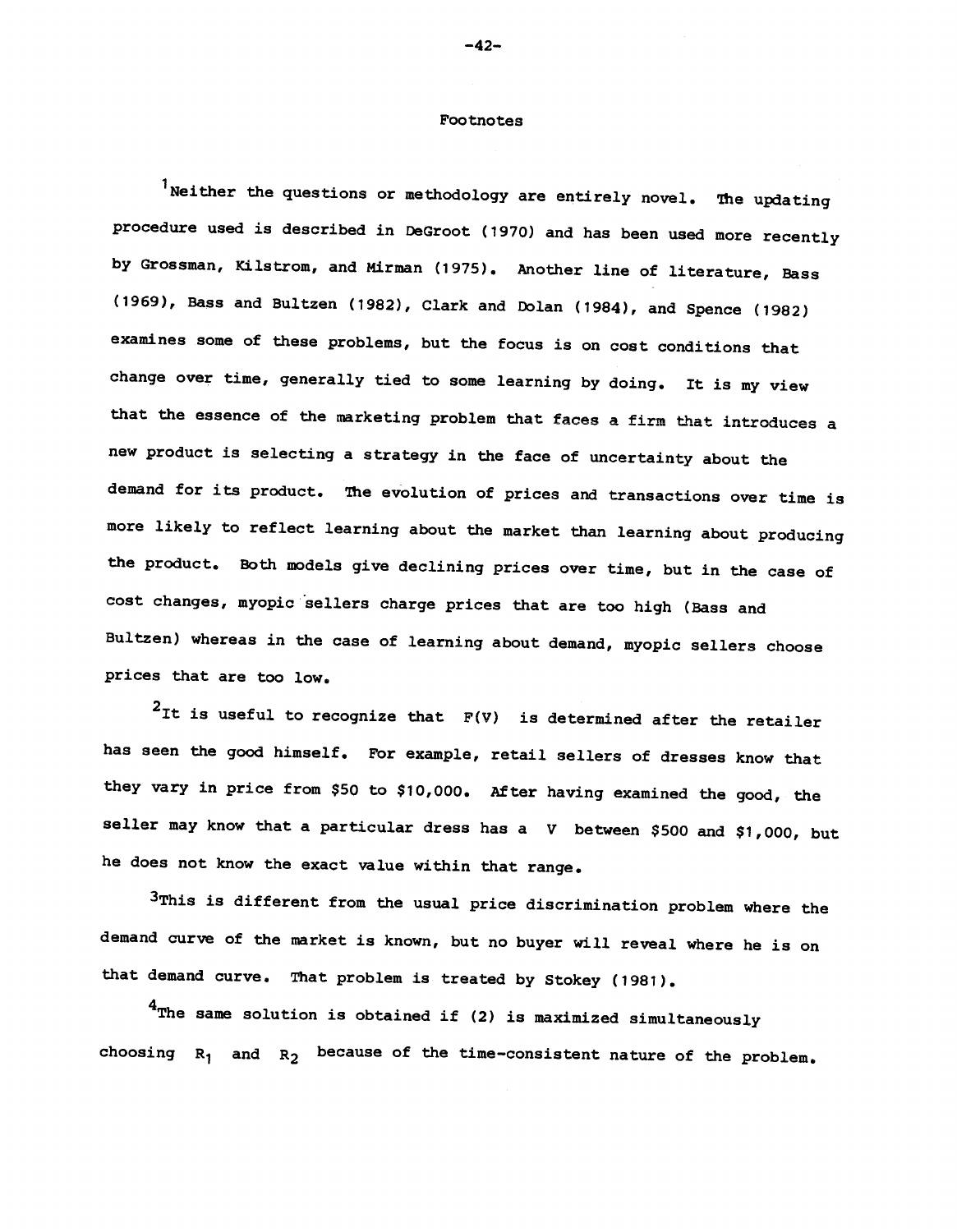### Footnotes

 $^{\text{1}}$ Neither the questions or methodology are entirely novel. The updating procedure used is described in DeGroot (1970) and has been used more recently by Grossman, Kilstrom, and Mirman (1975). Another line of literature, Bass (1969), Bass and Bultzen (1982), Clark and Dolan (1984), and Spence (1982) examines some of these problems, but the focus is on cost conditions that change over time, generally tied to some learning by doing. It is my view that the essence of the marketing problem that faces a firm that introduces a new product is selecting a strategy in the face of uncertainty about the demand for its product. The evolution of prices and transactions over time is more likely to reflect learning about the market than learning about producing the product. Both models give declining prices over time, but in the case of cost changes, myopic sellers charge prices that are too high (Bass and Bultzen) whereas in the case of learning about demand, myopic sellers choose prices that are too low.

 $2$ It is useful to recognize that  $F(V)$  is determined after the retailer has seen the good himself. For example, retail sellers of dresses know that they vary in price from \$50 to \$10,000. After having examined the good, the seller may know that a particular dress has a V between \$500 and \$1,000, but he does not know the exact value within that range.

3This is different from the usual price discrimination problem where the demand curve of the market is known, but no buyer will reveal where he is on that demand curve. That problem is treated by Stokey (1981).

 $4$ The same solution is obtained if (2) is maximized simultaneously choosing  $R_1$  and  $R_2$  because of the time-consistent nature of the problem.

 $-42-$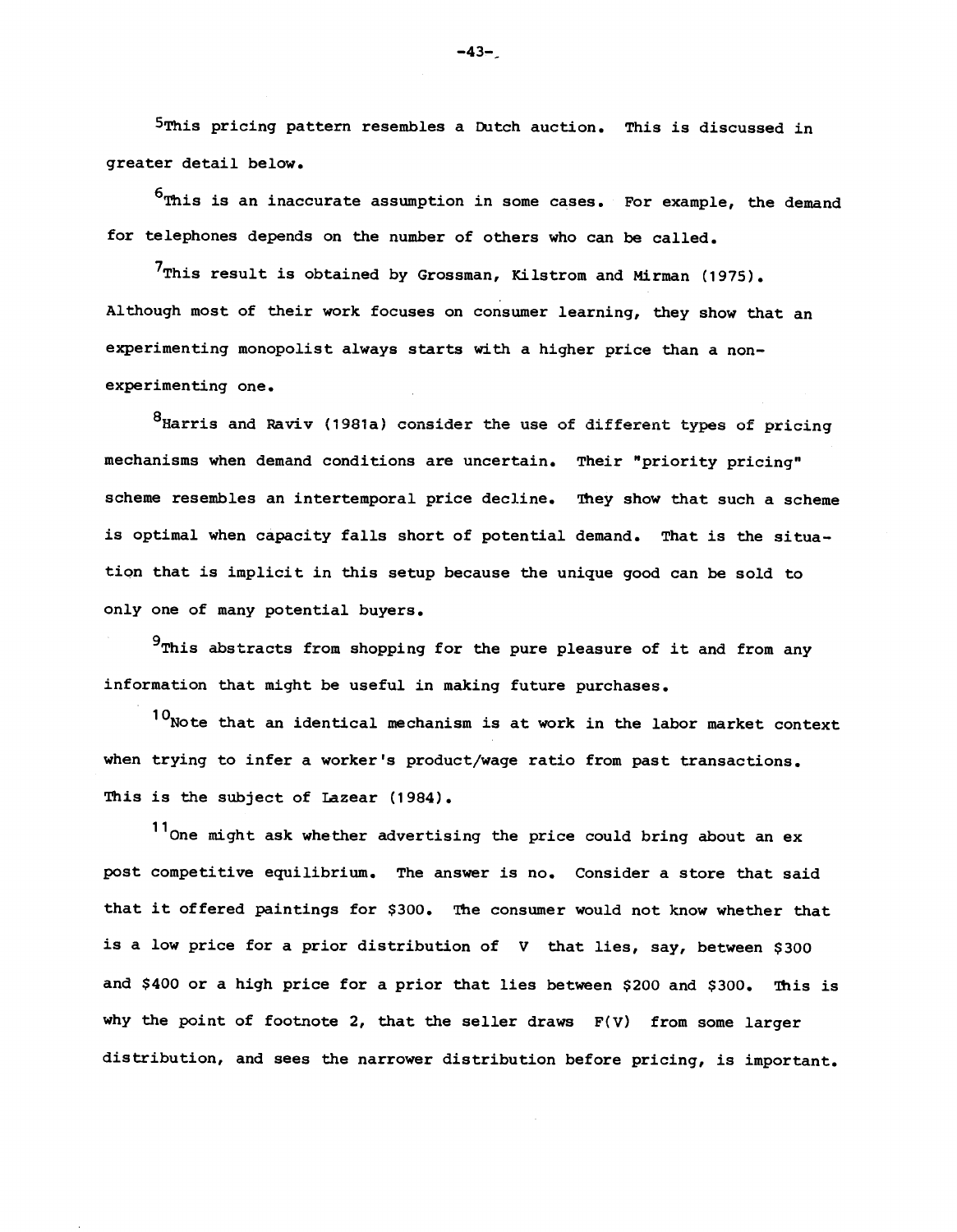5This pricing pattern resembles a Dutch auction. This is discussed in greater detail below.

 $^6$ This is an inaccurate assumption in some cases. For example, the demand for telephones depends on the number of others who can be called.

 $7$ This result is obtained by Grossman, Kilstrom and Mirman (1975). Although most of their work focuses on consumer learning, they show that an experimenting monopolist always starts with a higher price than a nonexperimenting one.

<sup>8</sup>Harris and Raviv (1981a) consider the use of different types of pricing mechanisms when demand conditions are uncertain. Their "priority pricing" scheme resembles an intertemporal price decline. They show that such a scheme is optimal when capacity falls short of potential demand. That is the situation that is implicit in this setup because the unique good can be sold to only one of many potential buyers.

 $9$ This abstracts from shopping for the pure pleasure of it and from any information that might be useful in making future purchases.

 $10<sub>N</sub>$  ote that an identical mechanism is at work in the labor market context when trying to infer a worker's product/wage ratio from past transactions. This is the subject of Lazear (1984).

<sup>11</sup>One might ask whether advertising the price could bring about an ex post competitive equilibrium. The answer is no. Consider a store that said that it offered paintings for \$300. The consumer would not know whether that is a low price for a prior distribution of V that lies, say, between \$300 and \$400 or a high price for a prior that lies between \$200 and \$300. This is why the point of footnote 2, that the seller draws  $F(V)$  from some larger distribution, and sees the narrower distribution before pricing, is important.

 $-43-$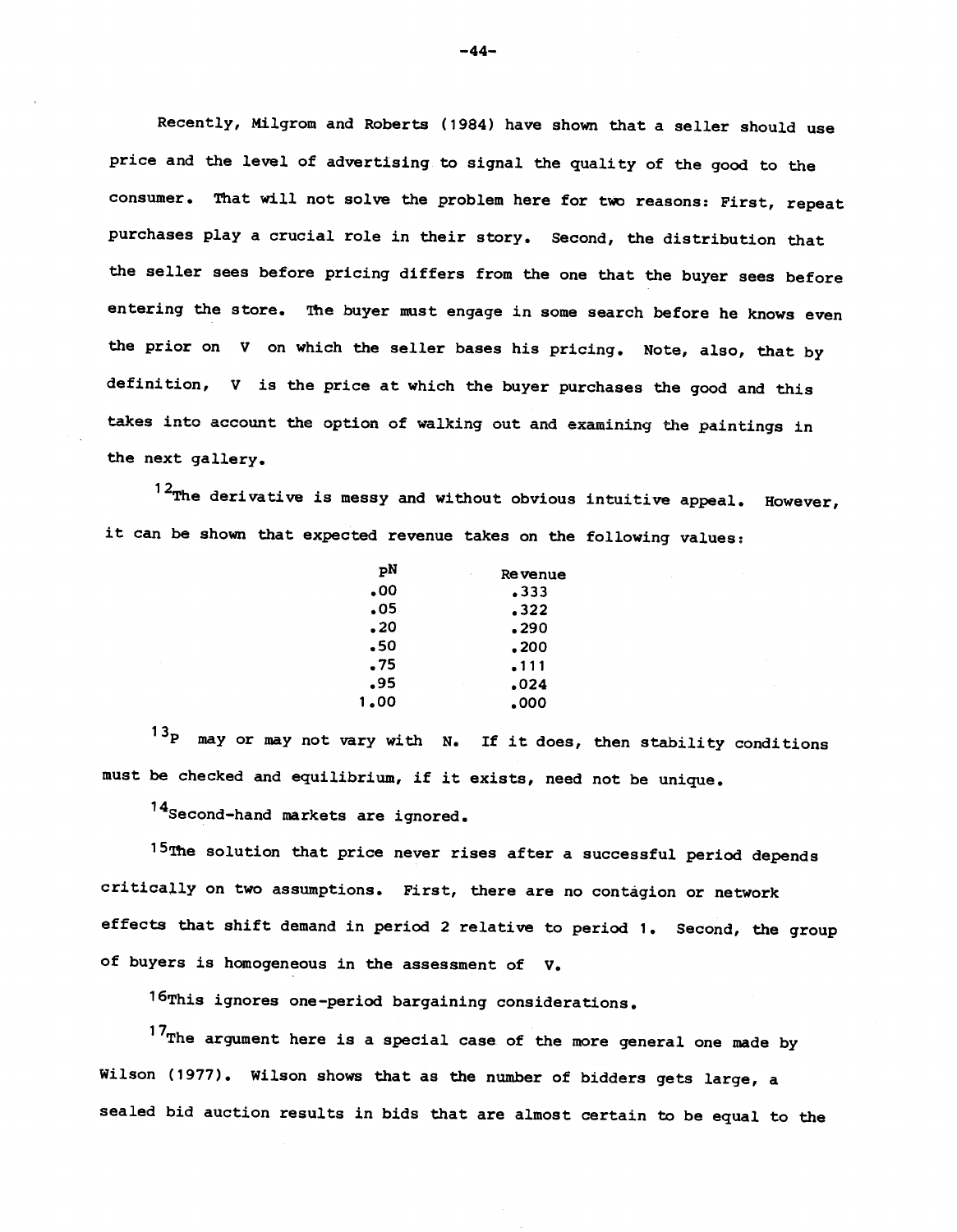Recently, Milgrom and Roberts (1984) have shown that a seller should use price and the level of advertising to signal the quality of the good to the consumer. That will not solve the problem here for two reasons: First, repeat purchases play a crucial role in their story. Second, the distribution that the seller sees before pricing differs from the one that the buyer sees before entering the store. The buyer must engage in some search before he knows even the prior on V on which the seller bases his pricing. Note, also, that by definition, v is the price at which the buyer purchases the good and this takes into account the option of walking out and examining the paintings in the next gallery.

 $12$ The derivative is messy and without obvious intuitive appeal. However, it can be shown that expected revenue takes on the following values:

| рN   | Re venue<br>×,   |  |
|------|------------------|--|
| .00  | .333             |  |
| .05  | .322             |  |
| - 20 | .290             |  |
| -50  | - 200            |  |
| . 75 | .111             |  |
| -95  | .024<br>$\alpha$ |  |
| 1.00 | 000ء             |  |
|      |                  |  |

 $13<sub>P</sub>$  may or may not vary with N. If it does, then stability conditions must be checked and equilibrium, if it exists, need not be unique.

14Second—hand markets are ignored.

15The solution that price never rises after a successful period depends critically on two assumptions. First, there are no contagion or network effects that shift demand in period 2 relative to period 1. Second, the group of buyers is homogeneous in the assessment of V.

16This ignores one-period bargaining considerations.

 $17$ The argument here is a special case of the more general one made by Wilson (1977). Wilson shows that as the number of bidders gets large, a sealed bid auction results in bids that are almost certain to be equal to the